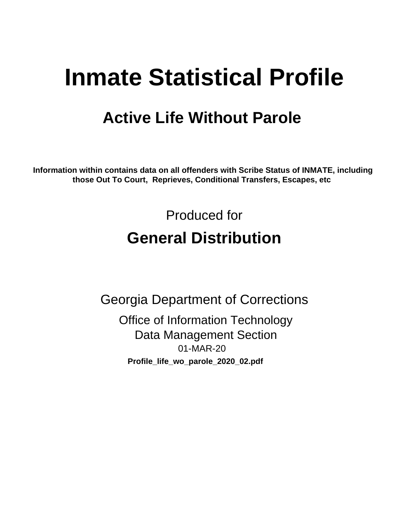# **Inmate Statistical Profile**

## **Active Life Without Parole**

Information within contains data on all offenders with Scribe Status of INMATE, including those Out To Court, Reprieves, Conditional Transfers, Escapes, etc

> Produced for **General Distribution**

**Georgia Department of Corrections Office of Information Technology Data Management Section** 01-MAR-20 Profile\_life\_wo\_parole\_2020\_02.pdf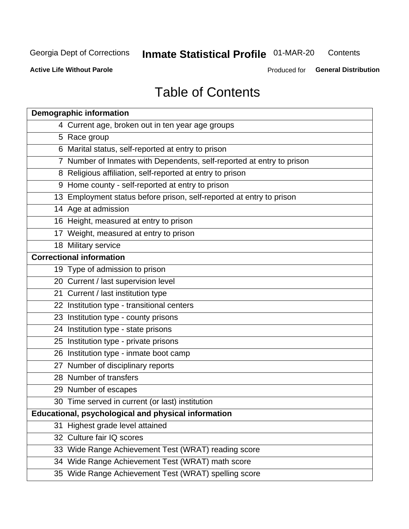#### **Inmate Statistical Profile 01-MAR-20** Contents

**Active Life Without Parole** 

Produced for General Distribution

## **Table of Contents**

|    | <b>Demographic information</b>                                        |
|----|-----------------------------------------------------------------------|
|    | 4 Current age, broken out in ten year age groups                      |
|    | 5 Race group                                                          |
|    | 6 Marital status, self-reported at entry to prison                    |
|    | 7 Number of Inmates with Dependents, self-reported at entry to prison |
|    | 8 Religious affiliation, self-reported at entry to prison             |
|    | 9 Home county - self-reported at entry to prison                      |
|    | 13 Employment status before prison, self-reported at entry to prison  |
|    | 14 Age at admission                                                   |
|    | 16 Height, measured at entry to prison                                |
|    | 17 Weight, measured at entry to prison                                |
|    | 18 Military service                                                   |
|    | <b>Correctional information</b>                                       |
|    | 19 Type of admission to prison                                        |
|    | 20 Current / last supervision level                                   |
|    | 21 Current / last institution type                                    |
|    | 22 Institution type - transitional centers                            |
|    | 23 Institution type - county prisons                                  |
|    | 24 Institution type - state prisons                                   |
|    | 25 Institution type - private prisons                                 |
|    | 26 Institution type - inmate boot camp                                |
|    | 27 Number of disciplinary reports                                     |
|    | 28 Number of transfers                                                |
|    | 29 Number of escapes                                                  |
|    | 30 Time served in current (or last) institution                       |
|    | Educational, psychological and physical information                   |
| 31 | Highest grade level attained                                          |
|    | 32 Culture fair IQ scores                                             |
|    | 33 Wide Range Achievement Test (WRAT) reading score                   |
|    | 34 Wide Range Achievement Test (WRAT) math score                      |
|    | 35 Wide Range Achievement Test (WRAT) spelling score                  |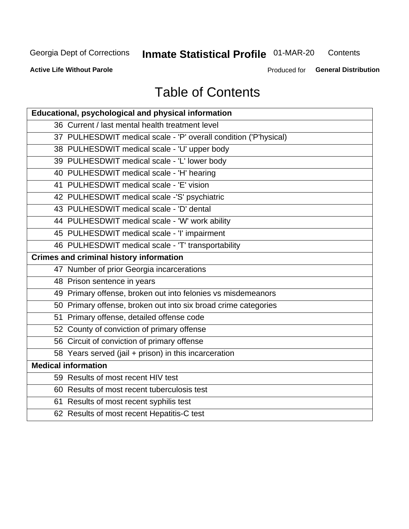## **Inmate Statistical Profile 01-MAR-20**

Contents

**Active Life Without Parole** 

Produced for General Distribution

## **Table of Contents**

| <b>Educational, psychological and physical information</b>       |
|------------------------------------------------------------------|
| 36 Current / last mental health treatment level                  |
| 37 PULHESDWIT medical scale - 'P' overall condition ('P'hysical) |
| 38 PULHESDWIT medical scale - 'U' upper body                     |
| 39 PULHESDWIT medical scale - 'L' lower body                     |
| 40 PULHESDWIT medical scale - 'H' hearing                        |
| 41 PULHESDWIT medical scale - 'E' vision                         |
| 42 PULHESDWIT medical scale -'S' psychiatric                     |
| 43 PULHESDWIT medical scale - 'D' dental                         |
| 44 PULHESDWIT medical scale - 'W' work ability                   |
| 45 PULHESDWIT medical scale - 'I' impairment                     |
| 46 PULHESDWIT medical scale - 'T' transportability               |
| <b>Crimes and criminal history information</b>                   |
| 47 Number of prior Georgia incarcerations                        |
| 48 Prison sentence in years                                      |
| 49 Primary offense, broken out into felonies vs misdemeanors     |
| 50 Primary offense, broken out into six broad crime categories   |
| 51 Primary offense, detailed offense code                        |
| 52 County of conviction of primary offense                       |
| 56 Circuit of conviction of primary offense                      |
| 58 Years served (jail + prison) in this incarceration            |
| <b>Medical information</b>                                       |
| 59 Results of most recent HIV test                               |
| 60 Results of most recent tuberculosis test                      |
| 61 Results of most recent syphilis test                          |
| 62 Results of most recent Hepatitis-C test                       |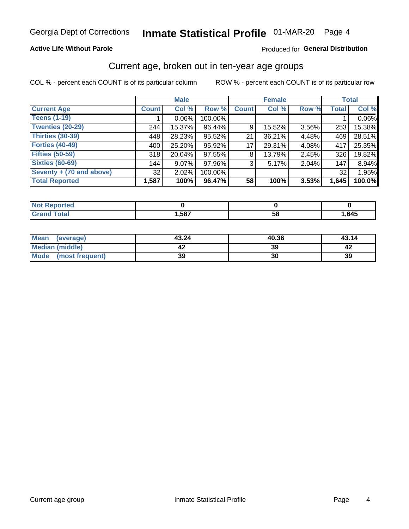#### **Active Life Without Parole**

#### Produced for General Distribution

### Current age, broken out in ten-year age groups

COL % - percent each COUNT is of its particular column

|                          |              | <b>Male</b> |         | <b>Female</b> |        |          | <b>Total</b> |        |
|--------------------------|--------------|-------------|---------|---------------|--------|----------|--------------|--------|
| <b>Current Age</b>       | <b>Count</b> | Col %       | Row %   | <b>Count</b>  | Col %  | Row %    | <b>Total</b> | Col %  |
| <b>Teens (1-19)</b>      |              | $0.06\%$    | 100.00% |               |        |          |              | 0.06%  |
| <b>Twenties (20-29)</b>  | 244          | 15.37%      | 96.44%  | 9             | 15.52% | $3.56\%$ | 253          | 15.38% |
| Thirties (30-39)         | 448          | 28.23%      | 95.52%  | 21            | 36.21% | 4.48%    | 469          | 28.51% |
| <b>Forties (40-49)</b>   | 400          | 25.20%      | 95.92%  | 17            | 29.31% | 4.08%    | 417          | 25.35% |
| <b>Fifties (50-59)</b>   | 318          | 20.04%      | 97.55%  | 8             | 13.79% | $2.45\%$ | 326          | 19.82% |
| <b>Sixties (60-69)</b>   | 144          | $9.07\%$    | 97.96%  | 3             | 5.17%  | 2.04%    | 147          | 8.94%  |
| Seventy + (70 and above) | 32           | 2.02%       | 100.00% |               |        |          | 32           | 1.95%  |
| <b>Total Reported</b>    | 1,587        | 100%        | 96.47%  | 58            | 100%   | $3.53\%$ | 1,645        | 100.0% |

| <b>Continued State</b> |      |               |      |
|------------------------|------|---------------|------|
| $C = 4 - 7$            | ,587 | co<br>∼.<br>◡ | ,645 |

| <b>Mean</b><br>(average) | 43.24 | 40.36 | 43.14 |
|--------------------------|-------|-------|-------|
| Median (middle)          |       | 39    |       |
| Mode (most frequent)     | 39    | 30    | 39    |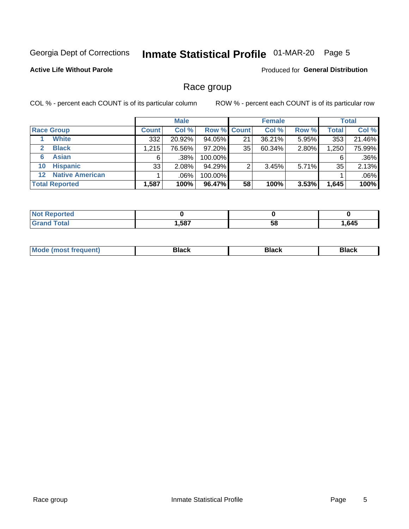## Inmate Statistical Profile 01-MAR-20 Page 5

#### **Active Life Without Parole**

**Produced for General Distribution** 

### Race group

COL % - percent each COUNT is of its particular column

|                                   | <b>Male</b>  |        |           | <b>Female</b> |        |          | <b>Total</b> |         |
|-----------------------------------|--------------|--------|-----------|---------------|--------|----------|--------------|---------|
| <b>Race Group</b>                 | <b>Count</b> | Col %  |           | Row % Count   | Col %  | Row %    | <b>Total</b> | Col %   |
| <b>White</b>                      | 332          | 20.92% | 94.05%    | 21            | 36.21% | 5.95%    | 353          | 21.46%  |
| <b>Black</b><br>$\mathbf{2}$      | 1,215        | 76.56% | $97.20\%$ | 35            | 60.34% | 2.80%    | 1,250        | 75.99%  |
| <b>Asian</b><br>6                 | 6            | .38%   | 100.00%   |               |        |          | 6            | .36%    |
| <b>Hispanic</b><br>10             | 33           | 2.08%  | 94.29%    | ົ             | 3.45%  | $5.71\%$ | 35           | 2.13%   |
| <b>Native American</b><br>$12 \,$ |              | .06%   | 100.00%   |               |        |          |              | $.06\%$ |
| <b>Total Reported</b>             | 1,587        | 100%   | 96.47%    | 58            | 100%   | 3.53%    | 1,645        | 100%    |

| neo  |      |    |      |
|------|------|----|------|
| أحقت | ,587 | 58 | .645 |

| –•••• |  | M |  |  |  |
|-------|--|---|--|--|--|
|-------|--|---|--|--|--|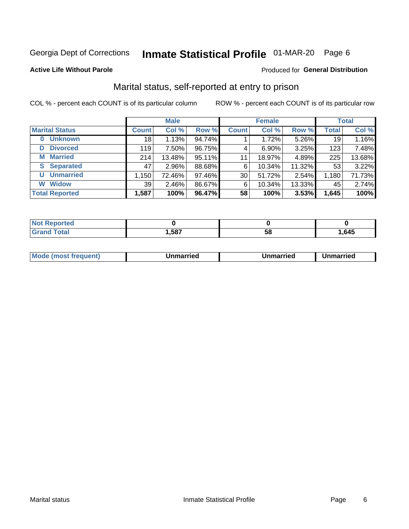## Inmate Statistical Profile 01-MAR-20 Page 6

#### **Active Life Without Parole**

#### Produced for General Distribution

### Marital status, self-reported at entry to prison

COL % - percent each COUNT is of its particular column

|                            | <b>Male</b>  |          |        |              | <b>Female</b> | <b>Total</b> |              |        |
|----------------------------|--------------|----------|--------|--------------|---------------|--------------|--------------|--------|
| <b>Marital Status</b>      | <b>Count</b> | Col %    | Row %  | <b>Count</b> | Col %         | Row %        | <b>Total</b> | Col %  |
| <b>Unknown</b><br>$\bf{0}$ | 18           | 1.13%    | 94.74% |              | 1.72%         | 5.26%        | 19           | 1.16%  |
| <b>Divorced</b><br>D       | 119          | 7.50%    | 96.75% | 4            | $6.90\%$      | 3.25%        | 123          | 7.48%  |
| <b>Married</b><br>М        | 214          | 13.48%   | 95.11% | 11           | 18.97%        | 4.89%        | 225          | 13.68% |
| <b>S</b> Separated         | 47           | 2.96%    | 88.68% | 6            | 10.34%        | 11.32%       | 53           | 3.22%  |
| <b>Unmarried</b><br>U      | 1,150        | 72.46%   | 97.46% | 30           | 51.72%        | 2.54%        | 1,180        | 71.73% |
| <b>Widow</b><br>W          | 39           | $2.46\%$ | 86.67% | 6            | 10.34%        | 13.33%       | 45           | 2.74%  |
| <b>Total Reported</b>      | 1,587        | 100%     | 96.47% | 58           | 100%          | 3.53%        | 1,645        | 100%   |

| "teu<br>NOT |      |    |      |
|-------------|------|----|------|
|             | ,587 | ວດ | .645 |

|--|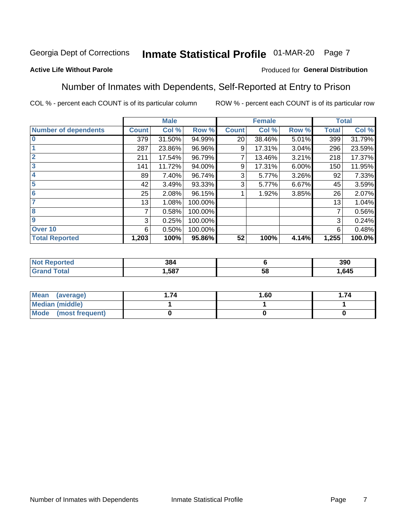## Inmate Statistical Profile 01-MAR-20 Page 7

#### **Active Life Without Parole**

#### Produced for General Distribution

### Number of Inmates with Dependents, Self-Reported at Entry to Prison

COL % - percent each COUNT is of its particular column

|                             |              | <b>Male</b> |         |              | <b>Female</b> |       |              | <b>Total</b> |
|-----------------------------|--------------|-------------|---------|--------------|---------------|-------|--------------|--------------|
| <b>Number of dependents</b> | <b>Count</b> | Col %       | Row %   | <b>Count</b> | Col %         | Row % | <b>Total</b> | Col %        |
| $\bf{0}$                    | 379          | 31.50%      | 94.99%  | 20           | 38.46%        | 5.01% | 399          | 31.79%       |
|                             | 287          | 23.86%      | 96.96%  | 9            | 17.31%        | 3.04% | 296          | 23.59%       |
| $\overline{2}$              | 211          | 17.54%      | 96.79%  |              | 13.46%        | 3.21% | 218          | 17.37%       |
| 3                           | 141          | 11.72%      | 94.00%  | 9            | 17.31%        | 6.00% | 150          | 11.95%       |
| 4                           | 89           | 7.40%       | 96.74%  | 3            | 5.77%         | 3.26% | 92           | 7.33%        |
| 5                           | 42           | 3.49%       | 93.33%  | 3            | 5.77%         | 6.67% | 45           | 3.59%        |
| $6\phantom{1}6$             | 25           | 2.08%       | 96.15%  |              | 1.92%         | 3.85% | 26           | 2.07%        |
| 7                           | 13           | 1.08%       | 100.00% |              |               |       | 13           | 1.04%        |
| 8                           | 7            | 0.58%       | 100.00% |              |               |       | 7            | 0.56%        |
| $\boldsymbol{9}$            | 3            | 0.25%       | 100.00% |              |               |       | 3            | 0.24%        |
| Over 10                     | 6            | 0.50%       | 100.00% |              |               |       | 6            | 0.48%        |
| <b>Total Reported</b>       | 1,203        | 100%        | 95.86%  | 52           | 100%          | 4.14% | 1,255        | 100.0%       |

| 384  |          | 390  |
|------|----------|------|
| .587 | . .<br>◡ | ,645 |

| <b>Mean</b><br>(average) | 1.60 | . 74 |
|--------------------------|------|------|
| Median (middle)          |      |      |
| Mode<br>(most frequent)  |      |      |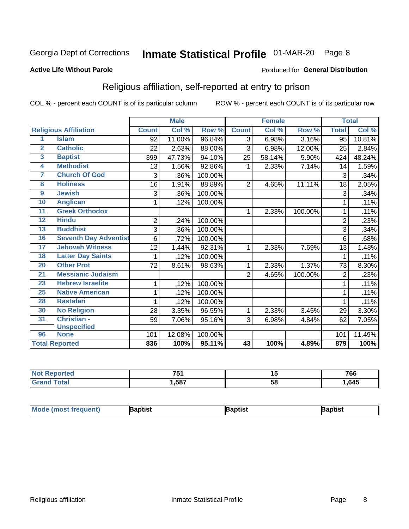## Inmate Statistical Profile 01-MAR-20 Page 8

#### **Active Life Without Parole**

#### Produced for General Distribution

### Religious affiliation, self-reported at entry to prison

COL % - percent each COUNT is of its particular column

|                 |                              |                | <b>Male</b>                |         |                | <b>Female</b> |         |                | <b>Total</b> |
|-----------------|------------------------------|----------------|----------------------------|---------|----------------|---------------|---------|----------------|--------------|
|                 | <b>Religious Affiliation</b> | <b>Count</b>   | $\overline{\text{Col }^9}$ | Row %   | <b>Count</b>   | Col %         | Row %   | <b>Total</b>   | Col %        |
| 1               | <b>Islam</b>                 | 92             | 11.00%                     | 96.84%  | $\overline{3}$ | 6.98%         | 3.16%   | 95             | 10.81%       |
| $\overline{2}$  | <b>Catholic</b>              | 22             | 2.63%                      | 88.00%  | 3              | 6.98%         | 12.00%  | 25             | 2.84%        |
| 3               | <b>Baptist</b>               | 399            | 47.73%                     | 94.10%  | 25             | 58.14%        | 5.90%   | 424            | 48.24%       |
| 4               | <b>Methodist</b>             | 13             | 1.56%                      | 92.86%  | 1              | 2.33%         | 7.14%   | 14             | 1.59%        |
| 7               | <b>Church Of God</b>         | 3              | .36%                       | 100.00% |                |               |         | 3              | .34%         |
| 8               | <b>Holiness</b>              | 16             | 1.91%                      | 88.89%  | $\overline{2}$ | 4.65%         | 11.11%  | 18             | 2.05%        |
| $\overline{9}$  | <b>Jewish</b>                | 3              | .36%                       | 100.00% |                |               |         | 3              | .34%         |
| 10              | <b>Anglican</b>              | 1              | .12%                       | 100.00% |                |               |         |                | .11%         |
| 11              | <b>Greek Orthodox</b>        |                |                            |         | 1              | 2.33%         | 100.00% |                | .11%         |
| 12              | <b>Hindu</b>                 | $\overline{2}$ | .24%                       | 100.00% |                |               |         | $\overline{2}$ | .23%         |
| 13              | <b>Buddhist</b>              | 3              | .36%                       | 100.00% |                |               |         | 3              | .34%         |
| 16              | <b>Seventh Day Adventist</b> | 6              | .72%                       | 100.00% |                |               |         | 6              | .68%         |
| 17              | <b>Jehovah Witness</b>       | 12             | 1.44%                      | 92.31%  | 1              | 2.33%         | 7.69%   | 13             | 1.48%        |
| 18              | <b>Latter Day Saints</b>     |                | .12%                       | 100.00% |                |               |         |                | .11%         |
| 20              | <b>Other Prot</b>            | 72             | 8.61%                      | 98.63%  | 1              | 2.33%         | 1.37%   | 73             | 8.30%        |
| $\overline{21}$ | <b>Messianic Judaism</b>     |                |                            |         | $\overline{2}$ | 4.65%         | 100.00% | $\overline{2}$ | .23%         |
| 23              | <b>Hebrew Israelite</b>      | 1              | .12%                       | 100.00% |                |               |         |                | .11%         |
| 25              | <b>Native American</b>       | 1              | .12%                       | 100.00% |                |               |         |                | .11%         |
| 28              | <b>Rastafari</b>             | 1              | .12%                       | 100.00% |                |               |         |                | .11%         |
| 30              | <b>No Religion</b>           | 28             | 3.35%                      | 96.55%  | 1              | 2.33%         | 3.45%   | 29             | 3.30%        |
| 31              | Christian -                  | 59             | 7.06%                      | 95.16%  | 3              | 6.98%         | 4.84%   | 62             | 7.05%        |
|                 | <b>Unspecified</b>           |                |                            |         |                |               |         |                |              |
| 96              | <b>None</b>                  | 101            | 12.08%                     | 100.00% |                |               |         | 101            | 11.49%       |
|                 | <b>Total Reported</b>        | 836            | 100%                       | 95.11%  | 43             | 100%          | 4.89%   | 879            | 100%         |

| кәо | $-$<br>. | . .      | 766 |
|-----|----------|----------|-----|
|     | .587     | 58<br>vu | 645 |

| <b>Mode (most frequent)</b> | <b>3aptist</b> | 3aptist | Baptist |
|-----------------------------|----------------|---------|---------|
|-----------------------------|----------------|---------|---------|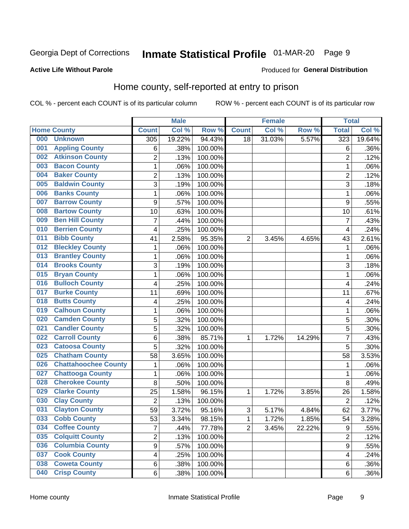## Inmate Statistical Profile 01-MAR-20 Page 9

#### **Active Life Without Parole**

#### Produced for General Distribution

### Home county, self-reported at entry to prison

COL % - percent each COUNT is of its particular column

|     |                             |                | <b>Male</b> |         |                | <b>Female</b> |        | <b>Total</b>     |        |
|-----|-----------------------------|----------------|-------------|---------|----------------|---------------|--------|------------------|--------|
|     | <b>Home County</b>          | <b>Count</b>   | Col %       | Row %   | <b>Count</b>   | Col %         | Row %  | <b>Total</b>     | Col %  |
| 000 | <b>Unknown</b>              | 305            | 19.22%      | 94.43%  | 18             | 31.03%        | 5.57%  | 323              | 19.64% |
| 001 | <b>Appling County</b>       | 6              | .38%        | 100.00% |                |               |        | 6                | .36%   |
| 002 | <b>Atkinson County</b>      | $\overline{2}$ | .13%        | 100.00% |                |               |        | $\overline{2}$   | .12%   |
| 003 | <b>Bacon County</b>         | 1              | .06%        | 100.00% |                |               |        | 1                | .06%   |
| 004 | <b>Baker County</b>         | $\overline{2}$ | .13%        | 100.00% |                |               |        | $\overline{2}$   | .12%   |
| 005 | <b>Baldwin County</b>       | 3              | .19%        | 100.00% |                |               |        | 3                | .18%   |
| 006 | <b>Banks County</b>         | $\mathbf{1}$   | .06%        | 100.00% |                |               |        | 1                | .06%   |
| 007 | <b>Barrow County</b>        | 9              | .57%        | 100.00% |                |               |        | 9                | .55%   |
| 008 | <b>Bartow County</b>        | 10             | .63%        | 100.00% |                |               |        | 10               | .61%   |
| 009 | <b>Ben Hill County</b>      | 7              | .44%        | 100.00% |                |               |        | 7                | .43%   |
| 010 | <b>Berrien County</b>       | 4              | .25%        | 100.00% |                |               |        | $\overline{4}$   | .24%   |
| 011 | <b>Bibb County</b>          | 41             | 2.58%       | 95.35%  | $\overline{2}$ | 3.45%         | 4.65%  | 43               | 2.61%  |
| 012 | <b>Bleckley County</b>      | 1              | .06%        | 100.00% |                |               |        | 1                | .06%   |
| 013 | <b>Brantley County</b>      | 1              | .06%        | 100.00% |                |               |        | 1                | .06%   |
| 014 | <b>Brooks County</b>        | 3              | .19%        | 100.00% |                |               |        | 3                | .18%   |
| 015 | <b>Bryan County</b>         | 1              | .06%        | 100.00% |                |               |        | 1                | .06%   |
| 016 | <b>Bulloch County</b>       | 4              | .25%        | 100.00% |                |               |        | 4                | .24%   |
| 017 | <b>Burke County</b>         | 11             | .69%        | 100.00% |                |               |        | 11               | .67%   |
| 018 | <b>Butts County</b>         | 4              | .25%        | 100.00% |                |               |        | 4                | .24%   |
| 019 | <b>Calhoun County</b>       | 1              | .06%        | 100.00% |                |               |        | 1                | .06%   |
| 020 | <b>Camden County</b>        | 5              | .32%        | 100.00% |                |               |        | 5                | .30%   |
| 021 | <b>Candler County</b>       | 5              | .32%        | 100.00% |                |               |        | 5                | .30%   |
| 022 | <b>Carroll County</b>       | 6              | .38%        | 85.71%  | 1              | 1.72%         | 14.29% | 7                | .43%   |
| 023 | <b>Catoosa County</b>       | 5              | .32%        | 100.00% |                |               |        | 5                | .30%   |
| 025 | <b>Chatham County</b>       | 58             | 3.65%       | 100.00% |                |               |        | 58               | 3.53%  |
| 026 | <b>Chattahoochee County</b> | 1              | .06%        | 100.00% |                |               |        | 1                | .06%   |
| 027 | <b>Chattooga County</b>     | 1              | .06%        | 100.00% |                |               |        | 1                | .06%   |
| 028 | <b>Cherokee County</b>      | 8              | .50%        | 100.00% |                |               |        | 8                | .49%   |
| 029 | <b>Clarke County</b>        | 25             | 1.58%       | 96.15%  | $\mathbf{1}$   | 1.72%         | 3.85%  | 26               | 1.58%  |
| 030 | <b>Clay County</b>          | $\overline{2}$ | .13%        | 100.00% |                |               |        | $\overline{2}$   | .12%   |
| 031 | <b>Clayton County</b>       | 59             | 3.72%       | 95.16%  | $\mathbf{3}$   | 5.17%         | 4.84%  | 62               | 3.77%  |
| 033 | <b>Cobb County</b>          | 53             | 3.34%       | 98.15%  | 1              | 1.72%         | 1.85%  | 54               | 3.28%  |
| 034 | <b>Coffee County</b>        | $\overline{7}$ | .44%        | 77.78%  | $\overline{2}$ | 3.45%         | 22.22% | $\boldsymbol{9}$ | .55%   |
| 035 | <b>Colquitt County</b>      | 2              | .13%        | 100.00% |                |               |        | $\overline{2}$   | .12%   |
| 036 | <b>Columbia County</b>      | 9              | .57%        | 100.00% |                |               |        | 9                | .55%   |
| 037 | <b>Cook County</b>          | 4              | .25%        | 100.00% |                |               |        | 4                | .24%   |
| 038 | <b>Coweta County</b>        | 6              | .38%        | 100.00% |                |               |        | 6                | .36%   |
| 040 | <b>Crisp County</b>         | 6              | .38%        | 100.00% |                |               |        | 6                | .36%   |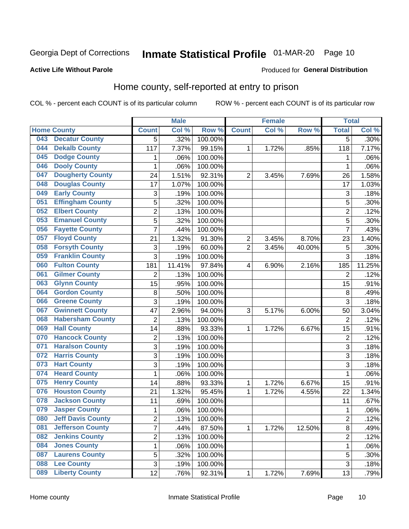## Inmate Statistical Profile 01-MAR-20 Page 10

#### **Active Life Without Parole**

#### Produced for General Distribution

### Home county, self-reported at entry to prison

COL % - percent each COUNT is of its particular column

|     |                          |                | <b>Male</b> |                  |                         | <b>Female</b> |        | <b>Total</b>   |         |
|-----|--------------------------|----------------|-------------|------------------|-------------------------|---------------|--------|----------------|---------|
|     | <b>Home County</b>       | <b>Count</b>   | Col %       | Row <sup>%</sup> | <b>Count</b>            | Col %         | Row %  | <b>Total</b>   | Col %   |
| 043 | <b>Decatur County</b>    | $\overline{5}$ | .32%        | 100.00%          |                         |               |        | 5              | $.30\%$ |
| 044 | <b>Dekalb County</b>     | 117            | 7.37%       | 99.15%           | 1                       | 1.72%         | .85%   | 118            | 7.17%   |
| 045 | <b>Dodge County</b>      | 1              | .06%        | 100.00%          |                         |               |        | 1              | .06%    |
| 046 | <b>Dooly County</b>      | 1              | .06%        | 100.00%          |                         |               |        | 1              | .06%    |
| 047 | <b>Dougherty County</b>  | 24             | 1.51%       | 92.31%           | $\overline{2}$          | 3.45%         | 7.69%  | 26             | 1.58%   |
| 048 | <b>Douglas County</b>    | 17             | 1.07%       | 100.00%          |                         |               |        | 17             | 1.03%   |
| 049 | <b>Early County</b>      | 3              | .19%        | 100.00%          |                         |               |        | 3              | .18%    |
| 051 | <b>Effingham County</b>  | 5              | .32%        | 100.00%          |                         |               |        | 5              | .30%    |
| 052 | <b>Elbert County</b>     | $\overline{2}$ | .13%        | 100.00%          |                         |               |        | $\overline{2}$ | .12%    |
| 053 | <b>Emanuel County</b>    | 5              | .32%        | 100.00%          |                         |               |        | 5              | .30%    |
| 056 | <b>Fayette County</b>    | $\overline{7}$ | .44%        | 100.00%          |                         |               |        | $\overline{7}$ | .43%    |
| 057 | <b>Floyd County</b>      | 21             | 1.32%       | 91.30%           | $\overline{\mathbf{c}}$ | 3.45%         | 8.70%  | 23             | 1.40%   |
| 058 | <b>Forsyth County</b>    | 3              | .19%        | 60.00%           | $\overline{2}$          | 3.45%         | 40.00% | 5              | .30%    |
| 059 | <b>Franklin County</b>   | 3              | .19%        | 100.00%          |                         |               |        | 3              | .18%    |
| 060 | <b>Fulton County</b>     | 181            | 11.41%      | 97.84%           | 4                       | 6.90%         | 2.16%  | 185            | 11.25%  |
| 061 | <b>Gilmer County</b>     | $\overline{2}$ | .13%        | 100.00%          |                         |               |        | $\overline{2}$ | .12%    |
| 063 | <b>Glynn County</b>      | 15             | .95%        | 100.00%          |                         |               |        | 15             | .91%    |
| 064 | <b>Gordon County</b>     | 8              | .50%        | 100.00%          |                         |               |        | 8              | .49%    |
| 066 | <b>Greene County</b>     | 3              | .19%        | 100.00%          |                         |               |        | 3              | .18%    |
| 067 | <b>Gwinnett County</b>   | 47             | 2.96%       | 94.00%           | 3                       | 5.17%         | 6.00%  | 50             | 3.04%   |
| 068 | <b>Habersham County</b>  | $\overline{2}$ | .13%        | 100.00%          |                         |               |        | $\overline{2}$ | .12%    |
| 069 | <b>Hall County</b>       | 14             | .88%        | 93.33%           | 1                       | 1.72%         | 6.67%  | 15             | .91%    |
| 070 | <b>Hancock County</b>    | $\mathbf 2$    | .13%        | 100.00%          |                         |               |        | $\overline{2}$ | .12%    |
| 071 | <b>Haralson County</b>   | 3              | .19%        | 100.00%          |                         |               |        | 3              | .18%    |
| 072 | <b>Harris County</b>     | 3              | .19%        | 100.00%          |                         |               |        | 3              | .18%    |
| 073 | <b>Hart County</b>       | 3              | .19%        | 100.00%          |                         |               |        | 3              | .18%    |
| 074 | <b>Heard County</b>      | $\mathbf 1$    | .06%        | 100.00%          |                         |               |        | 1              | .06%    |
| 075 | <b>Henry County</b>      | 14             | .88%        | 93.33%           | 1                       | 1.72%         | 6.67%  | 15             | .91%    |
| 076 | <b>Houston County</b>    | 21             | 1.32%       | 95.45%           | 1                       | 1.72%         | 4.55%  | 22             | 1.34%   |
| 078 | <b>Jackson County</b>    | 11             | .69%        | 100.00%          |                         |               |        | 11             | .67%    |
| 079 | <b>Jasper County</b>     | 1              | .06%        | 100.00%          |                         |               |        | 1              | .06%    |
| 080 | <b>Jeff Davis County</b> | 2              | .13%        | 100.00%          |                         |               |        | $\overline{2}$ | .12%    |
| 081 | <b>Jefferson County</b>  | $\overline{7}$ | .44%        | 87.50%           | $\mathbf{1}$            | 1.72%         | 12.50% | 8              | .49%    |
| 082 | <b>Jenkins County</b>    | $\overline{2}$ | .13%        | 100.00%          |                         |               |        | $\overline{2}$ | .12%    |
| 084 | <b>Jones County</b>      | $\mathbf{1}$   | .06%        | 100.00%          |                         |               |        | 1              | .06%    |
| 087 | <b>Laurens County</b>    | 5              | .32%        | 100.00%          |                         |               |        | 5              | .30%    |
| 088 | <b>Lee County</b>        | 3              | .19%        | 100.00%          |                         |               |        | $\mathfrak{S}$ | .18%    |
| 089 | <b>Liberty County</b>    | 12             | .76%        | 92.31%           | 1                       | 1.72%         | 7.69%  | 13             | .79%    |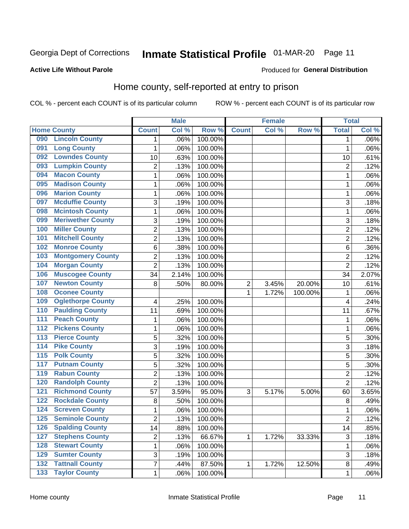## Inmate Statistical Profile 01-MAR-20 Page 11

Produced for General Distribution

#### **Active Life Without Parole**

### Home county, self-reported at entry to prison

COL % - percent each COUNT is of its particular column

|                  |                          |                | <b>Male</b> |         |                | <b>Female</b> |         | <b>Total</b>            |       |
|------------------|--------------------------|----------------|-------------|---------|----------------|---------------|---------|-------------------------|-------|
|                  | <b>Home County</b>       | <b>Count</b>   | Col %       | Row %   | <b>Count</b>   | Col%          | Row %   | <b>Total</b>            | Col % |
| 090              | <b>Lincoln County</b>    | 1              | .06%        | 100.00% |                |               |         | 1                       | .06%  |
| 091              | <b>Long County</b>       | 1              | .06%        | 100.00% |                |               |         | 1                       | .06%  |
| 092              | <b>Lowndes County</b>    | 10             | .63%        | 100.00% |                |               |         | 10                      | .61%  |
| 093              | <b>Lumpkin County</b>    | 2              | .13%        | 100.00% |                |               |         | $\overline{2}$          | .12%  |
| 094              | <b>Macon County</b>      | $\mathbf{1}$   | .06%        | 100.00% |                |               |         | 1                       | .06%  |
| 095              | <b>Madison County</b>    | $\mathbf 1$    | .06%        | 100.00% |                |               |         | 1                       | .06%  |
| 096              | <b>Marion County</b>     | $\mathbf 1$    | .06%        | 100.00% |                |               |         | 1                       | .06%  |
| 097              | <b>Mcduffie County</b>   | 3              | .19%        | 100.00% |                |               |         | 3                       | .18%  |
| 098              | <b>Mcintosh County</b>   | $\mathbf 1$    | .06%        | 100.00% |                |               |         | 1                       | .06%  |
| 099              | <b>Meriwether County</b> | 3              | .19%        | 100.00% |                |               |         | 3                       | .18%  |
| 100              | <b>Miller County</b>     | $\overline{2}$ | .13%        | 100.00% |                |               |         | $\overline{2}$          | .12%  |
| 101              | <b>Mitchell County</b>   | $\overline{c}$ | .13%        | 100.00% |                |               |         | $\overline{2}$          | .12%  |
| 102              | <b>Monroe County</b>     | 6              | .38%        | 100.00% |                |               |         | 6                       | .36%  |
| 103              | <b>Montgomery County</b> | $\overline{c}$ | .13%        | 100.00% |                |               |         | $\overline{2}$          | .12%  |
| 104              | <b>Morgan County</b>     | $\overline{2}$ | .13%        | 100.00% |                |               |         | $\overline{2}$          | .12%  |
| 106              | <b>Muscogee County</b>   | 34             | 2.14%       | 100.00% |                |               |         | 34                      | 2.07% |
| 107              | <b>Newton County</b>     | 8              | .50%        | 80.00%  | $\overline{2}$ | 3.45%         | 20.00%  | 10                      | .61%  |
| 108              | <b>Oconee County</b>     |                |             |         | 1              | 1.72%         | 100.00% | 1                       | .06%  |
| 109              | <b>Oglethorpe County</b> | 4              | .25%        | 100.00% |                |               |         | $\overline{\mathbf{4}}$ | .24%  |
| 110              | <b>Paulding County</b>   | 11             | .69%        | 100.00% |                |               |         | 11                      | .67%  |
| 111              | <b>Peach County</b>      | 1              | .06%        | 100.00% |                |               |         | 1                       | .06%  |
| $\overline{112}$ | <b>Pickens County</b>    | $\mathbf 1$    | .06%        | 100.00% |                |               |         | 1                       | .06%  |
| 113              | <b>Pierce County</b>     | 5              | .32%        | 100.00% |                |               |         | 5                       | .30%  |
| 114              | <b>Pike County</b>       | 3              | .19%        | 100.00% |                |               |         | 3                       | .18%  |
| $\overline{115}$ | <b>Polk County</b>       | 5              | .32%        | 100.00% |                |               |         | 5                       | .30%  |
| 117              | <b>Putnam County</b>     | 5              | .32%        | 100.00% |                |               |         | 5                       | .30%  |
| 119              | <b>Rabun County</b>      | $\overline{2}$ | .13%        | 100.00% |                |               |         | $\overline{2}$          | .12%  |
| 120              | <b>Randolph County</b>   | $\overline{2}$ | .13%        | 100.00% |                |               |         | $\overline{2}$          | .12%  |
| $121$            | <b>Richmond County</b>   | 57             | 3.59%       | 95.00%  | 3              | 5.17%         | 5.00%   | 60                      | 3.65% |
| 122              | <b>Rockdale County</b>   | 8              | .50%        | 100.00% |                |               |         | 8                       | .49%  |
| 124              | <b>Screven County</b>    | 1              | .06%        | 100.00% |                |               |         | 1                       | .06%  |
| 125              | <b>Seminole County</b>   | 2              | .13%        | 100.00% |                |               |         | $\overline{c}$          | .12%  |
| 126              | <b>Spalding County</b>   | 14             | .88%        | 100.00% |                |               |         | 14                      | .85%  |
| 127              | <b>Stephens County</b>   | $\overline{2}$ | .13%        | 66.67%  | 1              | 1.72%         | 33.33%  | $\sqrt{3}$              | .18%  |
| 128              | <b>Stewart County</b>    | $\mathbf 1$    | .06%        | 100.00% |                |               |         | 1                       | .06%  |
| 129              | <b>Sumter County</b>     | 3              | .19%        | 100.00% |                |               |         | 3                       | .18%  |
| 132              | <b>Tattnall County</b>   | $\overline{7}$ | .44%        | 87.50%  | 1              | 1.72%         | 12.50%  | 8                       | .49%  |
| 133              | <b>Taylor County</b>     | $\mathbf{1}$   | .06%        | 100.00% |                |               |         | 1                       | .06%  |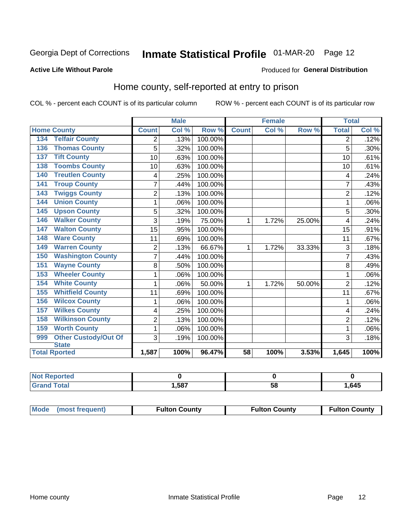## Inmate Statistical Profile 01-MAR-20 Page 12

#### **Active Life Without Parole**

#### Produced for General Distribution

### Home county, self-reported at entry to prison

COL % - percent each COUNT is of its particular column

|                                    |                | <b>Male</b> |         | <b>Female</b> |       | <b>Total</b> |                |       |
|------------------------------------|----------------|-------------|---------|---------------|-------|--------------|----------------|-------|
| <b>Home County</b>                 | <b>Count</b>   | Col %       | Row %   | <b>Count</b>  | Col % | Row %        | <b>Total</b>   | Col % |
| <b>Telfair County</b><br>134       | 2              | .13%        | 100.00% |               |       |              | 2              | .12%  |
| <b>Thomas County</b><br>136        | 5              | .32%        | 100.00% |               |       |              | 5              | .30%  |
| <b>Tift County</b><br>137          | 10             | .63%        | 100.00% |               |       |              | 10             | .61%  |
| <b>Toombs County</b><br>138        | 10             | .63%        | 100.00% |               |       |              | 10             | .61%  |
| <b>Treutlen County</b><br>140      | 4              | .25%        | 100.00% |               |       |              | 4              | .24%  |
| <b>Troup County</b><br>141         | $\overline{7}$ | .44%        | 100.00% |               |       |              | 7              | .43%  |
| <b>Twiggs County</b><br>143        | $\overline{c}$ | .13%        | 100.00% |               |       |              | $\overline{2}$ | .12%  |
| <b>Union County</b><br>144         | 1              | .06%        | 100.00% |               |       |              |                | .06%  |
| <b>Upson County</b><br>145         | 5              | .32%        | 100.00% |               |       |              | 5              | .30%  |
| <b>Walker County</b><br>146        | 3              | .19%        | 75.00%  | 1             | 1.72% | 25.00%       | 4              | .24%  |
| <b>Walton County</b><br>147        | 15             | .95%        | 100.00% |               |       |              | 15             | .91%  |
| <b>Ware County</b><br>148          | 11             | .69%        | 100.00% |               |       |              | 11             | .67%  |
| <b>Warren County</b><br>149        | $\overline{2}$ | .13%        | 66.67%  | 1             | 1.72% | 33.33%       | 3              | .18%  |
| <b>Washington County</b><br>150    | 7              | .44%        | 100.00% |               |       |              |                | .43%  |
| <b>Wayne County</b><br>151         | 8              | .50%        | 100.00% |               |       |              | 8              | .49%  |
| <b>Wheeler County</b><br>153       | 1              | .06%        | 100.00% |               |       |              | 1              | .06%  |
| <b>White County</b><br>154         | 1              | .06%        | 50.00%  | 1             | 1.72% | 50.00%       | $\overline{2}$ | .12%  |
| <b>Whitfield County</b><br>155     | 11             | .69%        | 100.00% |               |       |              | 11             | .67%  |
| <b>Wilcox County</b><br>156        | 1              | .06%        | 100.00% |               |       |              | 1              | .06%  |
| <b>Wilkes County</b><br>157        | 4              | .25%        | 100.00% |               |       |              | 4              | .24%  |
| <b>Wilkinson County</b><br>158     | $\overline{2}$ | .13%        | 100.00% |               |       |              | $\overline{2}$ | .12%  |
| <b>Worth County</b><br>159         | 1              | .06%        | 100.00% |               |       |              | 1              | .06%  |
| <b>Other Custody/Out Of</b><br>999 | 3              | .19%        | 100.00% |               |       |              | 3              | .18%  |
| <b>State</b>                       |                |             |         |               |       |              |                |       |
| <b>Total Rported</b>               | 1,587          | 100%        | 96.47%  | 58            | 100%  | 3.53%        | 1,645          | 100%  |

| <b>Not Reported</b> |      |    |      |
|---------------------|------|----|------|
| <b>Total</b>        | ,587 | ວດ | ,645 |

| Mode (most frequent) | <b>Fulton County</b> | <b>Fulton County</b> | <b>Fulton County</b> |
|----------------------|----------------------|----------------------|----------------------|
|----------------------|----------------------|----------------------|----------------------|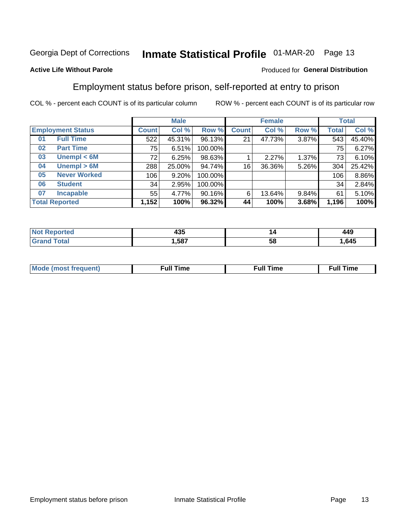## Inmate Statistical Profile 01-MAR-20 Page 13

#### **Active Life Without Parole**

#### Produced for General Distribution

### Employment status before prison, self-reported at entry to prison

COL % - percent each COUNT is of its particular column

|                           |              | <b>Male</b> |         |              | <b>Female</b> |       |       | <b>Total</b> |
|---------------------------|--------------|-------------|---------|--------------|---------------|-------|-------|--------------|
| <b>Employment Status</b>  | <b>Count</b> | Col %       | Row %   | <b>Count</b> | Col %         | Row % | Total | Col %        |
| <b>Full Time</b><br>01    | 522          | 45.31%      | 96.13%  | 21           | 47.73%        | 3.87% | 543   | 45.40%       |
| <b>Part Time</b><br>02    | 75           | 6.51%       | 100.00% |              |               |       | 75    | 6.27%        |
| Unempl $<$ 6M<br>03       | 72           | 6.25%       | 98.63%  |              | 2.27%         | 1.37% | 73    | 6.10%        |
| Unempl > 6M<br>04         | 288          | 25.00%      | 94.74%  | 16           | 36.36%        | 5.26% | 304   | 25.42%       |
| <b>Never Worked</b><br>05 | 106          | 9.20%       | 100.00% |              |               |       | 106   | 8.86%        |
| <b>Student</b><br>06      | 34           | 2.95%       | 100.00% |              |               |       | 34    | 2.84%        |
| <b>Incapable</b><br>07    | 55           | 4.77%       | 90.16%  | 6            | 13.64%        | 9.84% | 61    | 5.10%        |
| <b>Total Reported</b>     | 1,152        | 100%        | 96.32%  | 44           | 100%          | 3.68% | 1,196 | 100%         |

| $\sqrt{2}$<br>−∪J<br>__ | ız | $\overline{ }$<br>44J |
|-------------------------|----|-----------------------|
| .587                    | ວເ | ,645                  |

| Mc | ∴ul! | ----<br>ıme<br>w |
|----|------|------------------|
|    |      |                  |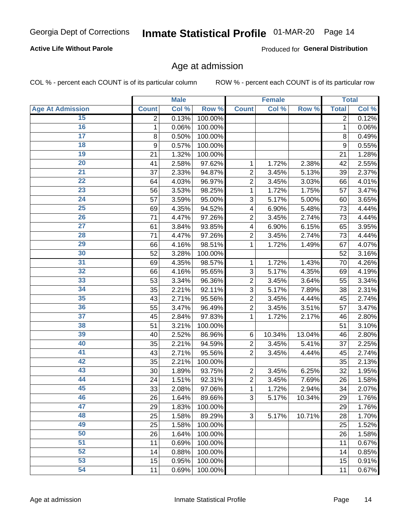#### **Active Life Without Parole**

Produced for General Distribution

### Age at admission

COL % - percent each COUNT is of its particular column

|                         |              | <b>Male</b> |         |                | <b>Female</b> |        |              | <b>Total</b> |
|-------------------------|--------------|-------------|---------|----------------|---------------|--------|--------------|--------------|
| <b>Age At Admission</b> | <b>Count</b> | Col %       | Row %   | <b>Count</b>   | Col %         | Row %  | <b>Total</b> | Col %        |
| 15                      | 2            | 0.13%       | 100.00% |                |               |        | 2            | 0.12%        |
| 16                      | 1            | 0.06%       | 100.00% |                |               |        | 1            | 0.06%        |
| $\overline{17}$         | 8            | 0.50%       | 100.00% |                |               |        | 8            | 0.49%        |
| 18                      | 9            | 0.57%       | 100.00% |                |               |        | 9            | 0.55%        |
| 19                      | 21           | 1.32%       | 100.00% |                |               |        | 21           | 1.28%        |
| $\overline{20}$         | 41           | 2.58%       | 97.62%  | 1              | 1.72%         | 2.38%  | 42           | 2.55%        |
| 21                      | 37           | 2.33%       | 94.87%  | $\overline{2}$ | 3.45%         | 5.13%  | 39           | 2.37%        |
| 22                      | 64           | 4.03%       | 96.97%  | $\overline{2}$ | 3.45%         | 3.03%  | 66           | 4.01%        |
| 23                      | 56           | 3.53%       | 98.25%  | 1              | 1.72%         | 1.75%  | 57           | 3.47%        |
| 24                      | 57           | 3.59%       | 95.00%  | 3              | 5.17%         | 5.00%  | 60           | 3.65%        |
| $\overline{25}$         | 69           | 4.35%       | 94.52%  | 4              | 6.90%         | 5.48%  | 73           | 4.44%        |
| 26                      | 71           | 4.47%       | 97.26%  | $\overline{2}$ | 3.45%         | 2.74%  | 73           | 4.44%        |
| $\overline{27}$         | 61           | 3.84%       | 93.85%  | 4              | 6.90%         | 6.15%  | 65           | 3.95%        |
| 28                      | 71           | 4.47%       | 97.26%  | $\overline{2}$ | 3.45%         | 2.74%  | 73           | 4.44%        |
| 29                      | 66           | 4.16%       | 98.51%  | 1              | 1.72%         | 1.49%  | 67           | 4.07%        |
| 30                      | 52           | 3.28%       | 100.00% |                |               |        | 52           | 3.16%        |
| 31                      | 69           | 4.35%       | 98.57%  | 1              | 1.72%         | 1.43%  | 70           | 4.26%        |
| 32                      | 66           | 4.16%       | 95.65%  | 3              | 5.17%         | 4.35%  | 69           | 4.19%        |
| 33                      | 53           | 3.34%       | 96.36%  | $\overline{2}$ | 3.45%         | 3.64%  | 55           | 3.34%        |
| 34                      | 35           | 2.21%       | 92.11%  | 3              | 5.17%         | 7.89%  | 38           | 2.31%        |
| 35                      | 43           | 2.71%       | 95.56%  | $\overline{2}$ | 3.45%         | 4.44%  | 45           | 2.74%        |
| 36                      | 55           | 3.47%       | 96.49%  | $\overline{2}$ | 3.45%         | 3.51%  | 57           | 3.47%        |
| $\overline{37}$         | 45           | 2.84%       | 97.83%  | 1              | 1.72%         | 2.17%  | 46           | 2.80%        |
| 38                      | 51           | 3.21%       | 100.00% |                |               |        | 51           | 3.10%        |
| 39                      | 40           | 2.52%       | 86.96%  | 6              | 10.34%        | 13.04% | 46           | 2.80%        |
| 40                      | 35           | 2.21%       | 94.59%  | $\overline{2}$ | 3.45%         | 5.41%  | 37           | 2.25%        |
| 41                      | 43           | 2.71%       | 95.56%  | $\overline{2}$ | 3.45%         | 4.44%  | 45           | 2.74%        |
| 42                      | 35           | 2.21%       | 100.00% |                |               |        | 35           | 2.13%        |
| 43                      | 30           | 1.89%       | 93.75%  | $\overline{2}$ | 3.45%         | 6.25%  | 32           | 1.95%        |
| 44                      | 24           | 1.51%       | 92.31%  | $\overline{2}$ | 3.45%         | 7.69%  | 26           | 1.58%        |
| 45                      | 33           | 2.08%       | 97.06%  | 1              | 1.72%         | 2.94%  | 34           | 2.07%        |
| 46                      | 26           | 1.64%       | 89.66%  | 3              | 5.17%         | 10.34% | 29           | 1.76%        |
| 47                      | 29           | 1.83%       | 100.00% |                |               |        | 29           | 1.76%        |
| 48                      | 25           | 1.58%       | 89.29%  | 3              | 5.17%         | 10.71% | 28           | 1.70%        |
| 49                      | 25           | 1.58%       | 100.00% |                |               |        | 25           | 1.52%        |
| 50                      | 26           | 1.64%       | 100.00% |                |               |        | 26           | 1.58%        |
| $\overline{51}$         | 11           | 0.69%       | 100.00% |                |               |        | 11           | 0.67%        |
| 52                      | 14           | 0.88%       | 100.00% |                |               |        | 14           | 0.85%        |
| 53                      | 15           | 0.95%       | 100.00% |                |               |        | 15           | 0.91%        |
| 54                      | 11           | 0.69%       | 100.00% |                |               |        | 11           | 0.67%        |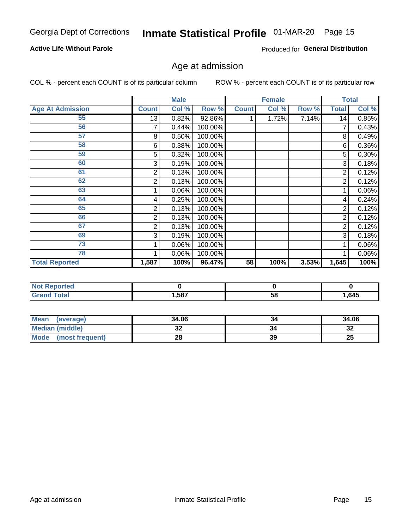#### **Active Life Without Parole**

Produced for General Distribution

## Age at admission

COL % - percent each COUNT is of its particular column

|                         |              | <b>Male</b> |         |              | Female |       |              | <b>Total</b> |
|-------------------------|--------------|-------------|---------|--------------|--------|-------|--------------|--------------|
| <b>Age At Admission</b> | <b>Count</b> | Col %       | Row %   | <b>Count</b> | Col %  | Row % | <b>Total</b> | Col %        |
| 55                      | 13           | 0.82%       | 92.86%  |              | 1.72%  | 7.14% | 14           | 0.85%        |
| 56                      | 7            | 0.44%       | 100.00% |              |        |       | 7            | 0.43%        |
| 57                      | 8            | 0.50%       | 100.00% |              |        |       | 8            | 0.49%        |
| 58                      | 6            | 0.38%       | 100.00% |              |        |       | 6            | 0.36%        |
| 59                      | 5            | 0.32%       | 100.00% |              |        |       | 5            | $0.30\%$     |
| 60                      | 3            | 0.19%       | 100.00% |              |        |       | 3            | 0.18%        |
| 61                      | 2            | 0.13%       | 100.00% |              |        |       | 2            | 0.12%        |
| 62                      | 2            | 0.13%       | 100.00% |              |        |       | 2            | 0.12%        |
| 63                      |              | 0.06%       | 100.00% |              |        |       |              | 0.06%        |
| 64                      | 4            | 0.25%       | 100.00% |              |        |       | 4            | 0.24%        |
| 65                      | 2            | 0.13%       | 100.00% |              |        |       | 2            | 0.12%        |
| 66                      | 2            | 0.13%       | 100.00% |              |        |       | 2            | 0.12%        |
| 67                      | 2            | 0.13%       | 100.00% |              |        |       | 2            | 0.12%        |
| 69                      | 3            | 0.19%       | 100.00% |              |        |       | 3            | 0.18%        |
| 73                      |              | 0.06%       | 100.00% |              |        |       |              | 0.06%        |
| 78                      |              | 0.06%       | 100.00% |              |        |       |              | $0.06\%$     |
| <b>Total Reported</b>   | 1,587        | 100%        | 96.47%  | 58           | 100%   | 3.53% | 1,645        | 100%         |

| <b>Reported</b><br> |            |    |      |
|---------------------|------------|----|------|
|                     | 587<br>ישי | 58 | .645 |

| <b>Mean</b><br>(average) | 34.06 |    | 34.06     |
|--------------------------|-------|----|-----------|
| <b>Median (middle)</b>   | ◡▵    |    | o c<br>⊾ت |
| Mode (most frequent)     |       | 39 | 25        |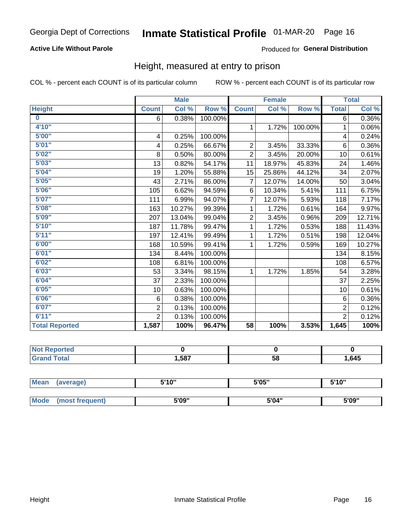#### **Active Life Without Parole**

#### Produced for General Distribution

### Height, measured at entry to prison

COL % - percent each COUNT is of its particular column

|                       |                | <b>Male</b> |         |                | <b>Female</b> |         |                | <b>Total</b> |
|-----------------------|----------------|-------------|---------|----------------|---------------|---------|----------------|--------------|
| <b>Height</b>         | <b>Count</b>   | Col %       | Row %   | <b>Count</b>   | Col %         | Row %   | <b>Total</b>   | Col %        |
| $\bf{0}$              | 6              | 0.38%       | 100.00% |                |               |         | 6              | 0.36%        |
| 4'10''                |                |             |         | $\mathbf{1}$   | 1.72%         | 100.00% | 1              | 0.06%        |
| 5'00''                | 4              | 0.25%       | 100.00% |                |               |         | 4              | 0.24%        |
| 5'01"                 | 4              | 0.25%       | 66.67%  | $\overline{2}$ | 3.45%         | 33.33%  | 6              | $0.36\%$     |
| 5'02"                 | 8              | 0.50%       | 80.00%  | $\overline{2}$ | 3.45%         | 20.00%  | 10             | 0.61%        |
| 5'03''                | 13             | 0.82%       | 54.17%  | 11             | 18.97%        | 45.83%  | 24             | 1.46%        |
| 5'04"                 | 19             | 1.20%       | 55.88%  | 15             | 25.86%        | 44.12%  | 34             | 2.07%        |
| 5'05"                 | 43             | 2.71%       | 86.00%  | $\overline{7}$ | 12.07%        | 14.00%  | 50             | 3.04%        |
| 5'06''                | 105            | 6.62%       | 94.59%  | 6              | 10.34%        | 5.41%   | 111            | 6.75%        |
| 5'07"                 | 111            | 6.99%       | 94.07%  | 7              | 12.07%        | 5.93%   | 118            | 7.17%        |
| 5'08''                | 163            | 10.27%      | 99.39%  | 1              | 1.72%         | 0.61%   | 164            | 9.97%        |
| 5'09''                | 207            | 13.04%      | 99.04%  | $\overline{c}$ | 3.45%         | 0.96%   | 209            | 12.71%       |
| 5'10''                | 187            | 11.78%      | 99.47%  | 1              | 1.72%         | 0.53%   | 188            | 11.43%       |
| 5'11"                 | 197            | 12.41%      | 99.49%  | 1              | 1.72%         | 0.51%   | 198            | 12.04%       |
| 6'00''                | 168            | 10.59%      | 99.41%  | 1              | 1.72%         | 0.59%   | 169            | 10.27%       |
| 6'01''                | 134            | 8.44%       | 100.00% |                |               |         | 134            | 8.15%        |
| 6'02"                 | 108            | 6.81%       | 100.00% |                |               |         | 108            | 6.57%        |
| 6'03''                | 53             | 3.34%       | 98.15%  | $\mathbf{1}$   | 1.72%         | 1.85%   | 54             | 3.28%        |
| 6'04"                 | 37             | 2.33%       | 100.00% |                |               |         | 37             | 2.25%        |
| 6'05"                 | 10             | 0.63%       | 100.00% |                |               |         | 10             | 0.61%        |
| 6'06''                | 6              | 0.38%       | 100.00% |                |               |         | 6              | 0.36%        |
| 6'07''                | $\overline{2}$ | 0.13%       | 100.00% |                |               |         | $\overline{2}$ | 0.12%        |
| 6'11''                | $\overline{2}$ | 0.13%       | 100.00% |                |               |         | $\overline{2}$ | 0.12%        |
| <b>Total Reported</b> | 1,587          | 100%        | 96.47%  | 58             | 100%          | 3.53%   | 1,645          | 100%         |

| тео<br>m. |       |    |      |
|-----------|-------|----|------|
|           | 1,587 | 58 | ,645 |

| <b>Mean</b> | (average)       | 5'10" | 5'05" | 5'10'' |  |
|-------------|-----------------|-------|-------|--------|--|
|             |                 |       |       |        |  |
| <b>Mode</b> | (most frequent) | 5'09" | 5'04" | 5'09"  |  |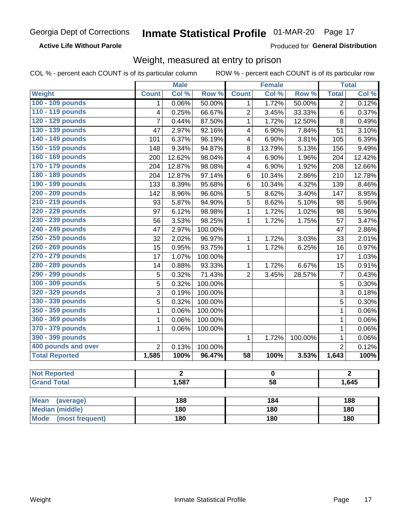#### **Active Life Without Parole**

Produced for General Distribution

### Weight, measured at entry to prison

COL % - percent each COUNT is of its particular column

|                                |                | <b>Male</b>    |                 |                         | <b>Female</b>           |         |                  | <b>Total</b>   |  |
|--------------------------------|----------------|----------------|-----------------|-------------------------|-------------------------|---------|------------------|----------------|--|
| Weight                         | <b>Count</b>   | Col %          | Row %           | <b>Count</b>            | Col %                   | Row %   | <b>Total</b>     | Col %          |  |
| 100 - 109 pounds               | 1              | 0.06%          | 50.00%          | 1                       | 1.72%                   | 50.00%  | $\overline{2}$   | 0.12%          |  |
| 110 - 119 pounds               | 4              | 0.25%          | 66.67%          | $\overline{2}$          | 3.45%                   | 33.33%  | 6                | 0.37%          |  |
| 120 - 129 pounds               | $\overline{7}$ | 0.44%          | 87.50%          | $\mathbf{1}$            | 1.72%                   | 12.50%  | $\overline{8}$   | 0.49%          |  |
| 130 - 139 pounds               | 47             | 2.97%          | 92.16%          | 4                       | 6.90%                   | 7.84%   | 51               | 3.10%          |  |
| 140 - 149 pounds               | 101            | 6.37%          | 96.19%          | $\overline{\mathbf{4}}$ | 6.90%                   | 3.81%   | 105              | 6.39%          |  |
| 150 - 159 pounds               | 148            | 9.34%          | 94.87%          | 8                       | 13.79%                  | 5.13%   | 156              | 9.49%          |  |
| 160 - 169 pounds               | 200            | 12.62%         | 98.04%          | 4                       | 6.90%                   | 1.96%   | 204              | 12.42%         |  |
| 170 - 179 pounds               | 204            | 12.87%         | 98.08%          | 4                       | 6.90%                   | 1.92%   | $\overline{208}$ | 12.66%         |  |
| 180 - 189 pounds               | 204            | 12.87%         | 97.14%          | $\,6$                   | 10.34%                  | 2.86%   | 210              | 12.78%         |  |
| 190 - 199 pounds               | 133            | 8.39%          | 95.68%          | 6                       | 10.34%                  | 4.32%   | 139              | 8.46%          |  |
| 200 - 209 pounds               | 142            | 8.96%          | 96.60%          | 5                       | 8.62%                   | 3.40%   | 147              | 8.95%          |  |
| 210 - 219 pounds               | 93             | 5.87%          | 94.90%          | 5                       | 8.62%                   | 5.10%   | 98               | 5.96%          |  |
| 220 - 229 pounds               | 97             | 6.12%          | 98.98%          | $\mathbf{1}$            | 1.72%                   | 1.02%   | 98               | 5.96%          |  |
| 230 - 239 pounds               | 56             | 3.53%          | 98.25%          | $\mathbf{1}$            | 1.72%                   | 1.75%   | 57               | 3.47%          |  |
| 240 - 249 pounds               | 47             | 2.97%          | 100.00%         |                         |                         |         | 47               | 2.86%          |  |
| 250 - 259 pounds               | 32             | 2.02%          | 96.97%          | 1                       | 1.72%                   | 3.03%   | 33               | 2.01%          |  |
| 260 - 269 pounds               | 15             | 0.95%          | 93.75%          | $\mathbf{1}$            | 1.72%                   | 6.25%   | 16               | 0.97%          |  |
| 270 - 279 pounds               | 17             | 1.07%          | 100.00%         |                         |                         |         | 17               | 1.03%          |  |
| 280 - 289 pounds               | 14             | 0.88%          | 93.33%          | $\mathbf{1}$            | 1.72%                   | 6.67%   | 15               | 0.91%          |  |
| 290 - 299 pounds               | 5              | 0.32%          | 71.43%          | $\overline{2}$          | 3.45%                   | 28.57%  | $\overline{7}$   | 0.43%          |  |
| 300 - 309 pounds               | 5              | 0.32%          | 100.00%         |                         |                         |         | 5                | 0.30%          |  |
| 320 - 329 pounds               | 3              | 0.19%          | 100.00%         |                         |                         |         | 3                | 0.18%          |  |
| 330 - 339 pounds               | 5              | 0.32%          | 100.00%         |                         |                         |         | 5                | 0.30%          |  |
| 350 - 359 pounds               | 1              | 0.06%          | 100.00%         |                         |                         |         | $\mathbf{1}$     | 0.06%          |  |
| 360 - 369 pounds               | 1              | 0.06%          | 100.00%         |                         |                         |         | $\mathbf{1}$     | 0.06%          |  |
| 370 - 379 pounds               | 1              | 0.06%          | 100.00%         |                         |                         |         | 1                | 0.06%          |  |
| 390 - 399 pounds               |                |                |                 | $\mathbf{1}$            | 1.72%                   | 100.00% | $\mathbf{1}$     | 0.06%          |  |
| 400 pounds and over            | $\overline{2}$ | 0.13%          | 100.00%         |                         |                         |         | $\overline{2}$   | 0.12%          |  |
| <b>Total Reported</b>          | 1,585          | 100%           | 96.47%          | $\overline{58}$         | 100%                    | 3.53%   | 1,643            | 100%           |  |
| <b>Not Reported</b>            |                | $\overline{2}$ |                 |                         | $\overline{\mathbf{0}}$ |         |                  | $\overline{2}$ |  |
| <b>Grand Total</b>             | 1,587          |                | $\overline{58}$ |                         |                         | 1,645   |                  |                |  |
|                                |                |                |                 |                         |                         |         |                  |                |  |
| <b>Mean</b><br>(average)       |                | 188            |                 |                         | 184                     |         |                  | 188            |  |
| <b>Median (middle)</b>         |                | 180            |                 |                         | <b>180</b>              |         |                  | 180            |  |
| <b>Mode</b><br>(most frequent) |                | <b>180</b>     |                 | <b>180</b>              |                         |         | 180              |                |  |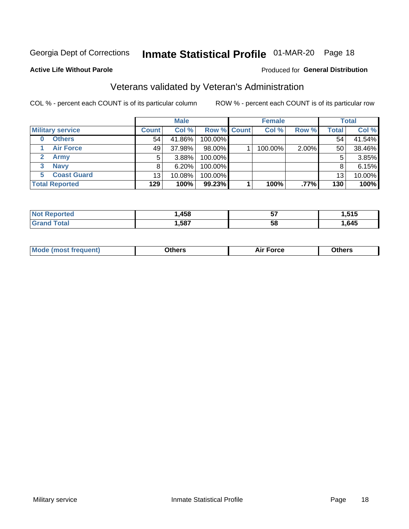## Inmate Statistical Profile 01-MAR-20 Page 18

**Active Life Without Parole** 

#### Produced for General Distribution

## Veterans validated by Veteran's Administration

COL % - percent each COUNT is of its particular column

|                          |              | <b>Male</b> |                    | <b>Female</b> |       |              | <b>Total</b> |
|--------------------------|--------------|-------------|--------------------|---------------|-------|--------------|--------------|
| <b>Military service</b>  | <b>Count</b> | Col %       | <b>Row % Count</b> | Col %         | Row % | <b>Total</b> | Col %        |
| <b>Others</b><br>0       | 54           | 41.86%      | 100.00%            |               |       | 54           | 41.54%       |
| <b>Air Force</b>         | 49           | 37.98%      | 98.00%             | 100.00%       | 2.00% | 50           | 38.46%       |
| <b>Army</b>              | 5            | $3.88\%$    | 100.00%            |               |       | 5            | 3.85%        |
| <b>Navy</b><br>3         | 8            | 6.20%       | 100.00%            |               |       | 8            | 6.15%        |
| <b>Coast Guard</b><br>5. | 13           | 10.08%      | 100.00%            |               |       | 13           | 10.00%       |
| <b>Total Reported</b>    | 129          | 100%        | $99.23\%$          | 100%          | .77%  | 130          | 100%         |

| neo      | .458 | --<br>v, | 515<br>.<br>יוש |
|----------|------|----------|-----------------|
| $f$ ata' | ,587 | 58       | ,645            |

| <b>Moo.</b> |
|-------------|
|-------------|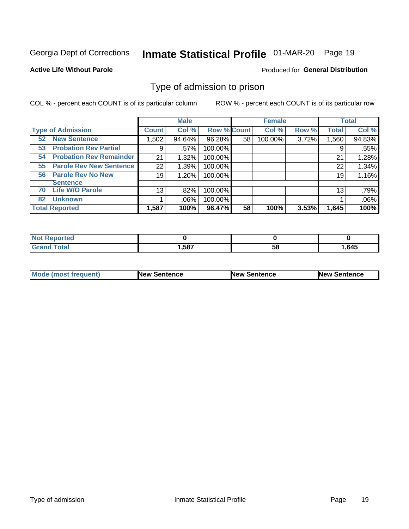## Inmate Statistical Profile 01-MAR-20 Page 19

**Active Life Without Parole** 

Produced for General Distribution

### Type of admission to prison

COL % - percent each COUNT is of its particular column

|                                      |                 | <b>Male</b> |                    |    | <b>Female</b> |       |              | <b>Total</b> |
|--------------------------------------|-----------------|-------------|--------------------|----|---------------|-------|--------------|--------------|
| <b>Type of Admission</b>             | <b>Count</b>    | Col %       | <b>Row % Count</b> |    | Col %         | Row % | <b>Total</b> | Col %        |
| <b>New Sentence</b><br>52            | 1,502           | 94.64%      | 96.28%             | 58 | 100.00%       | 3.72% | 1,560        | 94.83%       |
| <b>Probation Rev Partial</b><br>53   | 9               | .57%        | 100.00%            |    |               |       | 9            | .55%         |
| <b>Probation Rev Remainder</b><br>54 | 21              | 1.32%       | 100.00%            |    |               |       | 21           | 1.28%        |
| <b>Parole Rev New Sentence</b><br>55 | 22              | 1.39%       | 100.00%            |    |               |       | 22           | 1.34%        |
| <b>Parole Rev No New</b><br>56       | 19              | 1.20%       | 100.00%            |    |               |       | 19           | 1.16%        |
| <b>Sentence</b>                      |                 |             |                    |    |               |       |              |              |
| <b>Life W/O Parole</b><br>70         | 13 <sub>1</sub> | .82%        | 100.00%            |    |               |       | 13           | .79%         |
| <b>Unknown</b><br>82                 |                 | $.06\%$     | 100.00%            |    |               |       |              | .06%         |
| <b>Total Reported</b>                | 1,587           | 100%        | 96.47%             | 58 | 100%          | 3.53% | 1,645        | 100%         |

| Reported<br><b>NOT</b> |       |           |      |
|------------------------|-------|-----------|------|
| <b>c</b> otal          | 1,587 | - -<br>วง | .645 |

| <b>Mode (most frequent)</b> | <b>New Sentence</b> | <b>New Sentence</b> | <b>New Sentence</b> |
|-----------------------------|---------------------|---------------------|---------------------|
|                             |                     |                     |                     |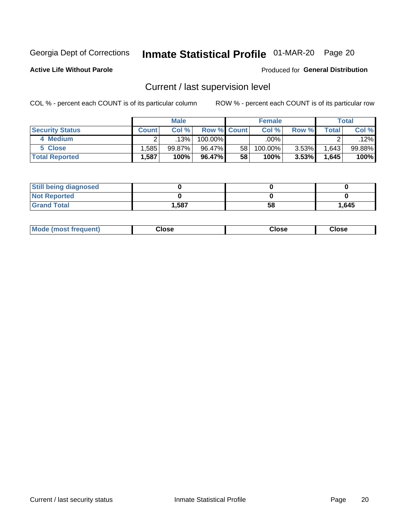## Inmate Statistical Profile 01-MAR-20 Page 20

**Active Life Without Parole** 

#### Produced for General Distribution

## Current / last supervision level

COL % - percent each COUNT is of its particular column

|                        |              | <b>Male</b> |                    |    | <b>Female</b>      |       |       | <b>Total</b> |
|------------------------|--------------|-------------|--------------------|----|--------------------|-------|-------|--------------|
| <b>Security Status</b> | <b>Count</b> | Col%        | <b>Row % Count</b> |    | Col %              | Row % | Total | Col %        |
| 4 Medium               |              | 13%         | 100.00%            |    | $.00\%$ $^{\circ}$ |       |       | .12%         |
| 5 Close                | .585         | $99.87\%$   | 96.47%             | 58 | 100.00%            | 3.53% | 1,643 | 99.88%       |
| <b>Total Reported</b>  | .587         | 100%        | 96.47%             | 58 | 100%               | 3.53% | 1,645 | 100%         |

| <b>Still being diagnosed</b> |       |    |       |
|------------------------------|-------|----|-------|
| <b>Not Reported</b>          |       |    |       |
| <b>Grand Total</b>           | 1,587 | 58 | 1,645 |

| <b>AhoM</b><br>rreauent) | <b>Close</b> | Close | Close |
|--------------------------|--------------|-------|-------|
|                          |              |       |       |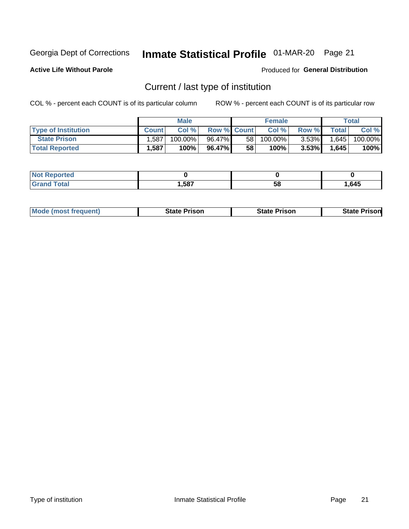## Inmate Statistical Profile 01-MAR-20 Page 21

**Active Life Without Parole** 

Produced for General Distribution

## Current / last type of institution

COL % - percent each COUNT is of its particular column

|                            |              | <b>Male</b> |                    |                 | <b>Female</b> |          |        | Total   |
|----------------------------|--------------|-------------|--------------------|-----------------|---------------|----------|--------|---------|
| <b>Type of Institution</b> | <b>Count</b> | Col %       | <b>Row % Count</b> |                 | Col %         | Row %    | Totall | Col %   |
| <b>State Prison</b>        | .587         | 100.00%     | 96.47%             | 58 <sub>1</sub> | 100.00%       | $3.53\%$ | 1,645  | 100.00% |
| <b>Total Reported</b>      | 1,587        | 100%        | 96.47%             | 58              | 100%          | $3.53\%$ | 1,645  | 100%    |

| ueo<br>$\sim$ |      |    |      |
|---------------|------|----|------|
|               | ,587 | ວເ | .645 |

|  | <b>Mode (most frequent)</b> | State Prison | <b>State Prison</b> | <b>State Prison</b> |
|--|-----------------------------|--------------|---------------------|---------------------|
|--|-----------------------------|--------------|---------------------|---------------------|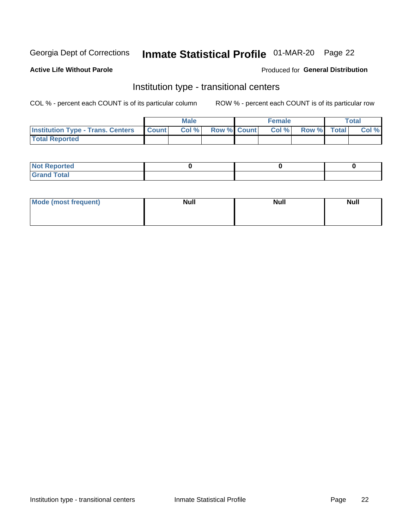## Inmate Statistical Profile 01-MAR-20 Page 22

#### **Active Life Without Parole**

#### Produced for General Distribution

### Institution type - transitional centers

COL % - percent each COUNT is of its particular column

|                                                  | <b>Male</b> |                    | <b>Female</b> |             | Total |
|--------------------------------------------------|-------------|--------------------|---------------|-------------|-------|
| <b>Institution Type - Trans. Centers Count  </b> | Col%        | <b>Row % Count</b> | Col %         | Row % Total | Col % |
| <b>Total Reported</b>                            |             |                    |               |             |       |

| <b>Reported</b><br><b>NOT</b><br>$\sim$            |  |  |
|----------------------------------------------------|--|--|
| $f$ $f \circ f \circ f$<br>$C = 1$<br><b>TULAI</b> |  |  |

| Mode (most frequent) | <b>Null</b> | <b>Null</b> | <b>Null</b> |
|----------------------|-------------|-------------|-------------|
|                      |             |             |             |
|                      |             |             |             |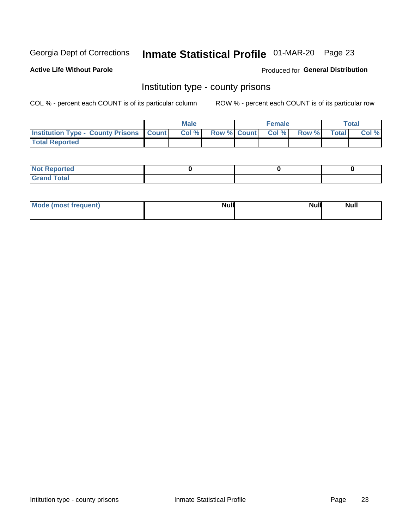## Inmate Statistical Profile 01-MAR-20 Page 23

**Active Life Without Parole** 

**Produced for General Distribution** 

### Institution type - county prisons

COL % - percent each COUNT is of its particular column

|                                                    | <b>Male</b> |       |  | <b>Female</b> |                          |             | <b>Total</b> |       |
|----------------------------------------------------|-------------|-------|--|---------------|--------------------------|-------------|--------------|-------|
| <b>Institution Type - County Prisons   Count  </b> |             | Col % |  |               | <b>Row % Count Col %</b> | Row % Total |              | Col % |
| <b>Total Reported</b>                              |             |       |  |               |                          |             |              |       |

| <b>Not</b><br>: Reported<br>$\cdots$ |  |  |
|--------------------------------------|--|--|
| <b>Total</b><br>---                  |  |  |

| Mode (most frequent) | <b>Null</b> | <b>Null</b><br><b>Null</b> |
|----------------------|-------------|----------------------------|
|                      |             |                            |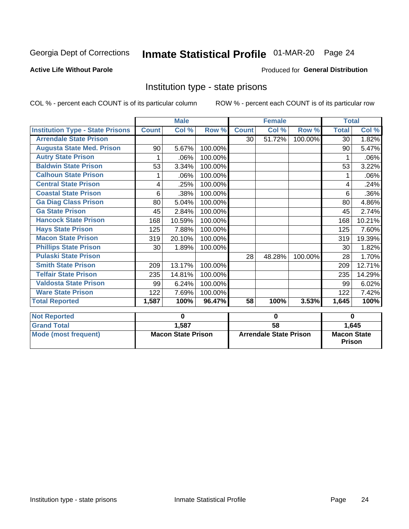## Inmate Statistical Profile 01-MAR-20 Page 24

#### **Active Life Without Parole**

#### **Produced for General Distribution**

### Institution type - state prisons

COL % - percent each COUNT is of its particular column ROW % - percent each COUNT is of its particular row

|                                         | <b>Male</b>               |             |         | <b>Female</b>                 |        |         | <b>Total</b>                        |        |
|-----------------------------------------|---------------------------|-------------|---------|-------------------------------|--------|---------|-------------------------------------|--------|
| <b>Institution Type - State Prisons</b> | <b>Count</b>              | Col %       | Row %   | <b>Count</b>                  | Col %  | Row %   | <b>Total</b>                        | Col %  |
| <b>Arrendale State Prison</b>           |                           |             |         | 30                            | 51.72% | 100.00% | 30                                  | 1.82%  |
| <b>Augusta State Med. Prison</b>        | 90                        | 5.67%       | 100.00% |                               |        |         | 90                                  | 5.47%  |
| <b>Autry State Prison</b>               |                           | .06%        | 100.00% |                               |        |         |                                     | .06%   |
| <b>Baldwin State Prison</b>             | 53                        | 3.34%       | 100.00% |                               |        |         | 53                                  | 3.22%  |
| <b>Calhoun State Prison</b>             | 1                         | .06%        | 100.00% |                               |        |         | 1                                   | .06%   |
| <b>Central State Prison</b>             | 4                         | .25%        | 100.00% |                               |        |         | 4                                   | .24%   |
| <b>Coastal State Prison</b>             | 6                         | .38%        | 100.00% |                               |        |         | 6                                   | .36%   |
| <b>Ga Diag Class Prison</b>             | 80                        | 5.04%       | 100.00% |                               |        |         | 80                                  | 4.86%  |
| <b>Ga State Prison</b>                  | 45                        | 2.84%       | 100.00% |                               |        |         | 45                                  | 2.74%  |
| <b>Hancock State Prison</b>             | 168                       | 10.59%      | 100.00% |                               |        |         | 168                                 | 10.21% |
| <b>Hays State Prison</b>                | 125                       | 7.88%       | 100.00% |                               |        |         | 125                                 | 7.60%  |
| <b>Macon State Prison</b>               | 319                       | 20.10%      | 100.00% |                               |        |         | 319                                 | 19.39% |
| <b>Phillips State Prison</b>            | 30                        | 1.89%       | 100.00% |                               |        |         | 30                                  | 1.82%  |
| <b>Pulaski State Prison</b>             |                           |             |         | 28                            | 48.28% | 100.00% | 28                                  | 1.70%  |
| <b>Smith State Prison</b>               | 209                       | 13.17%      | 100.00% |                               |        |         | 209                                 | 12.71% |
| <b>Telfair State Prison</b>             | 235                       | 14.81%      | 100.00% |                               |        |         | 235                                 | 14.29% |
| <b>Valdosta State Prison</b>            | 99                        | 6.24%       | 100.00% |                               |        |         | 99                                  | 6.02%  |
| <b>Ware State Prison</b>                | 122                       | 7.69%       | 100.00% |                               |        |         | 122                                 | 7.42%  |
| <b>Total Reported</b>                   | 1,587                     | 100%        | 96.47%  | 58                            | 100%   | 3.53%   | 1,645                               | 100%   |
| <b>Not Reported</b>                     |                           | $\mathbf 0$ |         | 0                             |        |         | $\bf{0}$                            |        |
| <b>Grand Total</b>                      |                           | 1,587       |         | $\overline{58}$               |        |         |                                     | 1,645  |
| <b>Mode (most frequent)</b>             | <b>Macon State Prison</b> |             |         | <b>Arrendale State Prison</b> |        |         | <b>Macon State</b><br><b>Prison</b> |        |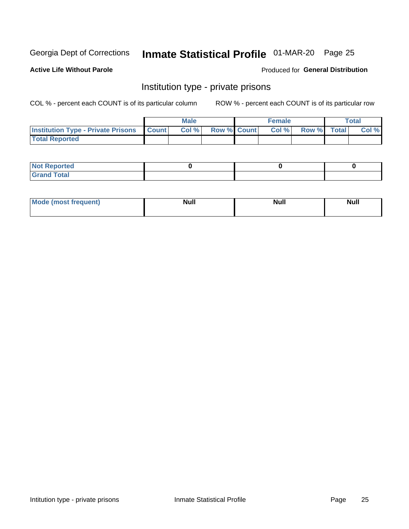## Inmate Statistical Profile 01-MAR-20 Page 25

**Active Life Without Parole** 

Produced for General Distribution

### Institution type - private prisons

COL % - percent each COUNT is of its particular column

|                                                     | <b>Male</b> |      |                    | <b>Female</b> |       |             | Total |       |
|-----------------------------------------------------|-------------|------|--------------------|---------------|-------|-------------|-------|-------|
| <b>Institution Type - Private Prisons   Count  </b> |             | Col% | <b>Row % Count</b> |               | Col % | Row % Total |       | Col % |
| <b>Total Reported</b>                               |             |      |                    |               |       |             |       |       |

| Not Reported          |  |  |
|-----------------------|--|--|
| <b>Cotal</b><br>_____ |  |  |

| <b>Mo</b><br>frequent) | <b>Null</b> | <b>Null</b> | . . I *<br><b>IVUII</b> |
|------------------------|-------------|-------------|-------------------------|
|                        |             |             |                         |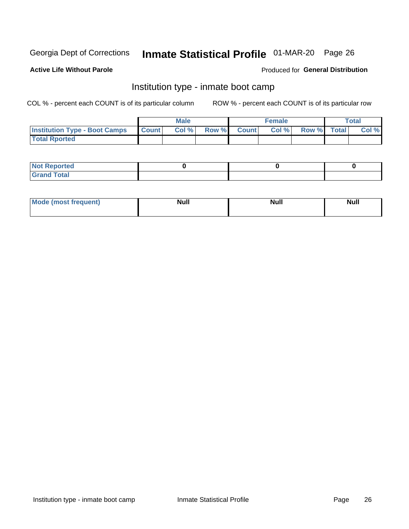## Inmate Statistical Profile 01-MAR-20 Page 26

#### **Active Life Without Parole**

#### Produced for General Distribution

### Institution type - inmate boot camp

COL % - percent each COUNT is of its particular column

|                                            | <b>Male</b> |      |                    | <b>Female</b> | <b>Total</b> |  |       |
|--------------------------------------------|-------------|------|--------------------|---------------|--------------|--|-------|
| <b>Institution Type - Boot Camps Count</b> |             | Col% | <b>Row % Count</b> | Col%          | Row % Total  |  | Col % |
| <b>Total Rported</b>                       |             |      |                    |               |              |  |       |

| <b>Not Reported</b>            |  |  |
|--------------------------------|--|--|
| <b>Total</b><br>C <sub>r</sub> |  |  |

| Mod<br>uamo | Nul.<br>$- - - - - -$ | <b>Null</b> | <br>uu.<br>------ |
|-------------|-----------------------|-------------|-------------------|
|             |                       |             |                   |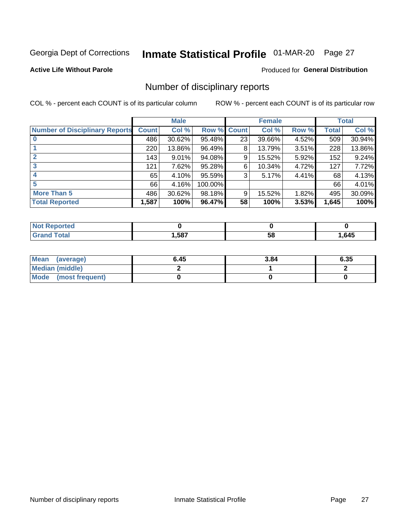## Inmate Statistical Profile 01-MAR-20 Page 27

**Active Life Without Parole** 

Produced for General Distribution

### Number of disciplinary reports

COL % - percent each COUNT is of its particular column

|                                       | <b>Male</b>  |        |                    | <b>Female</b> |        |       | <b>Total</b> |        |
|---------------------------------------|--------------|--------|--------------------|---------------|--------|-------|--------------|--------|
| <b>Number of Disciplinary Reports</b> | <b>Count</b> | Col %  | <b>Row % Count</b> |               | Col %  | Row % | Total        | Col %  |
|                                       | 486          | 30.62% | 95.48%             | 23            | 39.66% | 4.52% | 509          | 30.94% |
|                                       | 220          | 13.86% | 96.49%             | 8             | 13.79% | 3.51% | 228          | 13.86% |
| $\mathbf{2}$                          | 143          | 9.01%  | 94.08%             | 9             | 15.52% | 5.92% | 152          | 9.24%  |
| 3                                     | 121          | 7.62%  | 95.28%             | 6             | 10.34% | 4.72% | 127          | 7.72%  |
|                                       | 65           | 4.10%  | 95.59%             | 3             | 5.17%  | 4.41% | 68           | 4.13%  |
| 5                                     | 66           | 4.16%  | 100.00%            |               |        |       | 66           | 4.01%  |
| <b>More Than 5</b>                    | 486          | 30.62% | 98.18%             | 9             | 15.52% | 1.82% | 495          | 30.09% |
| <b>Total Reported</b>                 | 1,587        | 100%   | 96.47%             | 58            | 100%   | 3.53% | 1,645        | 100%   |

| prteo<br>NOT |      |    |      |
|--------------|------|----|------|
| <b>otal</b>  | ,587 | 58 | .645 |

| Mean (average)       | 6.45 | 3.84 | 6.35 |
|----------------------|------|------|------|
| Median (middle)      |      |      |      |
| Mode (most frequent) |      |      |      |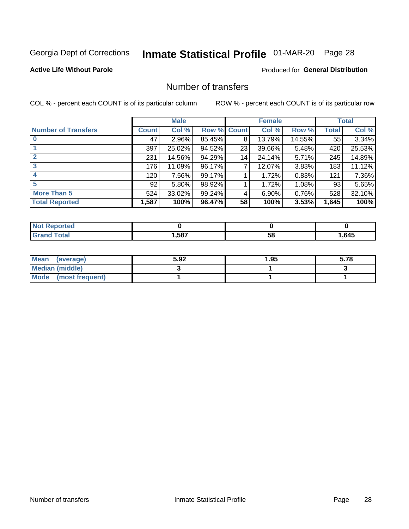## Inmate Statistical Profile 01-MAR-20 Page 28

#### **Active Life Without Parole**

#### **Produced for General Distribution**

### Number of transfers

COL % - percent each COUNT is of its particular column

|                            |              | <b>Male</b> |             |    | <b>Female</b> |          |       | <b>Total</b> |
|----------------------------|--------------|-------------|-------------|----|---------------|----------|-------|--------------|
| <b>Number of Transfers</b> | <b>Count</b> | Col %       | Row % Count |    | Col %         | Row %    | Total | Col %        |
|                            | 47           | $2.96\%$    | 85.45%      | 8  | 13.79%        | 14.55%   | 55    | 3.34%        |
|                            | 397          | 25.02%      | 94.52%      | 23 | 39.66%        | 5.48%    | 420   | 25.53%       |
| 2                          | 231          | 14.56%      | 94.29%      | 14 | 24.14%        | 5.71%    | 245   | 14.89%       |
| 3                          | 176          | 11.09%      | 96.17%      | 7  | 12.07%        | $3.83\%$ | 183   | 11.12%       |
|                            | 120          | 7.56%       | 99.17%      |    | 1.72%         | 0.83%    | 121   | 7.36%        |
| 5                          | 92           | $5.80\%$    | 98.92%      |    | 1.72%         | 1.08%    | 93    | 5.65%        |
| <b>More Than 5</b>         | 524          | 33.02%      | 99.24%      | 4  | 6.90%         | 0.76%    | 528   | 32.10%       |
| <b>Total Reported</b>      | 1,587        | 100%        | 96.47%      | 58 | 100%          | 3.53%    | 1,645 | 100%         |

| NC           |      |    |      |
|--------------|------|----|------|
| <b>Total</b> | ,587 | Эō | .645 |

| Mean (average)       | 5.92 | 1.95 | 5.78 |
|----------------------|------|------|------|
| Median (middle)      |      |      |      |
| Mode (most frequent) |      |      |      |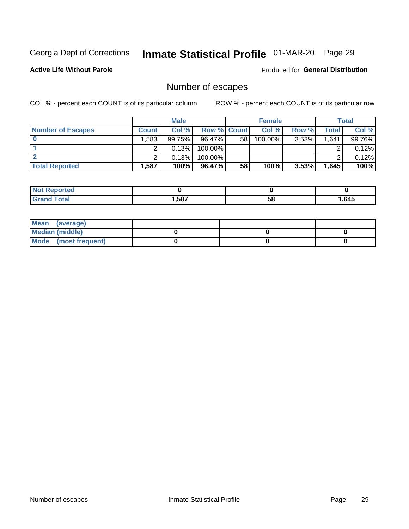## Inmate Statistical Profile 01-MAR-20 Page 29

**Active Life Without Parole** 

Produced for General Distribution

## Number of escapes

COL % - percent each COUNT is of its particular column

|                          | <b>Male</b>       |        |                    | <b>Female</b> |         |          | Total |        |
|--------------------------|-------------------|--------|--------------------|---------------|---------|----------|-------|--------|
| <b>Number of Escapes</b> | <b>Count</b>      | Col %  | <b>Row % Count</b> |               | Col %   | Row %    | Total | Col %  |
|                          | .583 <sup>†</sup> | 99.75% | $96.47\%$          | 58            | 100.00% | $3.53\%$ | 1,641 | 99.76% |
|                          |                   | 0.13%  | 100.00%            |               |         |          |       | 0.12%  |
|                          |                   | 0.13%  | $100.00\%$         |               |         |          |       | 0.12%  |
| <b>Total Reported</b>    | .587              | 100%   | 96.47%             | 58            | 100%    | 3.53%    | 1,645 | 100%   |

| <b>Not Reported</b> |      |    |      |
|---------------------|------|----|------|
| <b>Grand Total</b>  | ,587 | 58 | .645 |

| Mean (average)       |  |  |
|----------------------|--|--|
| Median (middle)      |  |  |
| Mode (most frequent) |  |  |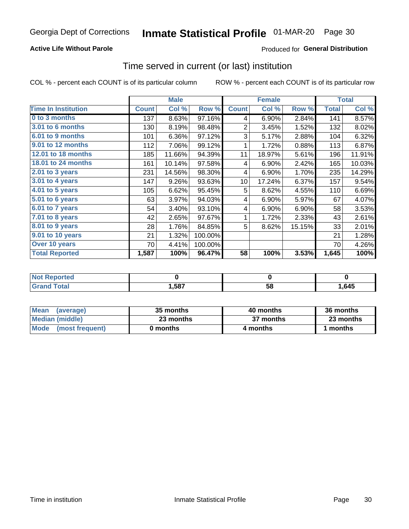#### **Active Life Without Parole**

#### Produced for General Distribution

### Time served in current (or last) institution

COL % - percent each COUNT is of its particular column

|                            |              | <b>Male</b> |         |                | <b>Female</b> |        |              | <b>Total</b> |
|----------------------------|--------------|-------------|---------|----------------|---------------|--------|--------------|--------------|
| <b>Time In Institution</b> | <b>Count</b> | Col %       | Row %   | <b>Count</b>   | Col %         | Row %  | <b>Total</b> | Col %        |
| 0 to 3 months              | 137          | 8.63%       | 97.16%  | 4              | 6.90%         | 2.84%  | 141          | 8.57%        |
| <b>3.01 to 6 months</b>    | 130          | 8.19%       | 98.48%  | $\overline{2}$ | 3.45%         | 1.52%  | 132          | 8.02%        |
| 6.01 to 9 months           | 101          | 6.36%       | 97.12%  | 3              | 5.17%         | 2.88%  | 104          | 6.32%        |
| 9.01 to 12 months          | 112          | 7.06%       | 99.12%  | 1              | 1.72%         | 0.88%  | 113          | 6.87%        |
| 12.01 to 18 months         | 185          | 11.66%      | 94.39%  | 11             | 18.97%        | 5.61%  | 196          | 11.91%       |
| <b>18.01 to 24 months</b>  | 161          | 10.14%      | 97.58%  | 4              | 6.90%         | 2.42%  | 165          | 10.03%       |
| $2.01$ to 3 years          | 231          | 14.56%      | 98.30%  | 4              | 6.90%         | 1.70%  | 235          | 14.29%       |
| $3.01$ to 4 years          | 147          | 9.26%       | 93.63%  | 10             | 17.24%        | 6.37%  | 157          | 9.54%        |
| 4.01 to 5 years            | 105          | 6.62%       | 95.45%  | 5              | 8.62%         | 4.55%  | 110          | 6.69%        |
| 5.01 to 6 years            | 63           | 3.97%       | 94.03%  | 4              | 6.90%         | 5.97%  | 67           | 4.07%        |
| 6.01 to 7 years            | 54           | 3.40%       | 93.10%  | 4              | 6.90%         | 6.90%  | 58           | 3.53%        |
| 7.01 to 8 years            | 42           | 2.65%       | 97.67%  | 1              | 1.72%         | 2.33%  | 43           | 2.61%        |
| 8.01 to 9 years            | 28           | 1.76%       | 84.85%  | 5              | 8.62%         | 15.15% | 33           | 2.01%        |
| 9.01 to 10 years           | 21           | 1.32%       | 100.00% |                |               |        | 21           | 1.28%        |
| Over 10 years              | 70           | 4.41%       | 100.00% |                |               |        | 70           | 4.26%        |
| <b>Total Reported</b>      | 1,587        | 100%        | 96.47%  | 58             | 100%          | 3.53%  | 1,645        | 100%         |

| Reported<br><b>Not</b> |      |    |      |
|------------------------|------|----|------|
| <i>i</i> otal          | ,587 | vu | ,645 |

| <b>Mean</b><br>(average) | 35 months | 40 months | 36 months |
|--------------------------|-----------|-----------|-----------|
| Median (middle)          | 23 months | 37 months | 23 months |
| Mode (most frequent)     | 0 months  | 4 months  | 1 months  |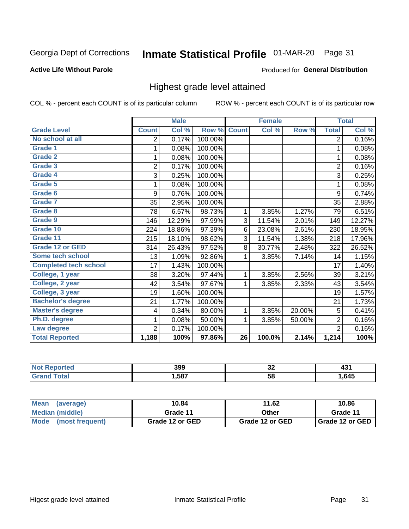## Inmate Statistical Profile 01-MAR-20 Page 31

#### **Active Life Without Parole**

#### Produced for General Distribution

### Highest grade level attained

COL % - percent each COUNT is of its particular column

|                              |                | <b>Male</b> |         |                 | <b>Female</b> |        |                | <b>Total</b> |
|------------------------------|----------------|-------------|---------|-----------------|---------------|--------|----------------|--------------|
| <b>Grade Level</b>           | <b>Count</b>   | Col %       | Row %   | <b>Count</b>    | Col %         | Row %  | <b>Total</b>   | Col %        |
| No school at all             | 2              | 0.17%       | 100.00% |                 |               |        | $\overline{2}$ | 0.16%        |
| <b>Grade 1</b>               | 1              | 0.08%       | 100.00% |                 |               |        | 1              | 0.08%        |
| <b>Grade 2</b>               | 1              | 0.08%       | 100.00% |                 |               |        | 1              | 0.08%        |
| <b>Grade 3</b>               | $\overline{2}$ | 0.17%       | 100.00% |                 |               |        | $\overline{2}$ | 0.16%        |
| Grade 4                      | 3              | 0.25%       | 100.00% |                 |               |        | 3              | 0.25%        |
| Grade 5                      | 1              | 0.08%       | 100.00% |                 |               |        | 1              | 0.08%        |
| Grade 6                      | 9              | 0.76%       | 100.00% |                 |               |        | 9              | 0.74%        |
| Grade 7                      | 35             | 2.95%       | 100.00% |                 |               |        | 35             | 2.88%        |
| <b>Grade 8</b>               | 78             | 6.57%       | 98.73%  | 1               | 3.85%         | 1.27%  | 79             | 6.51%        |
| Grade 9                      | 146            | 12.29%      | 97.99%  | 3               | 11.54%        | 2.01%  | 149            | 12.27%       |
| Grade 10                     | 224            | 18.86%      | 97.39%  | 6               | 23.08%        | 2.61%  | 230            | 18.95%       |
| Grade 11                     | 215            | 18.10%      | 98.62%  | 3               | 11.54%        | 1.38%  | 218            | 17.96%       |
| <b>Grade 12 or GED</b>       | 314            | 26.43%      | 97.52%  | 8               | 30.77%        | 2.48%  | 322            | 26.52%       |
| Some tech school             | 13             | 1.09%       | 92.86%  | 1               | 3.85%         | 7.14%  | 14             | 1.15%        |
| <b>Completed tech school</b> | 17             | 1.43%       | 100.00% |                 |               |        | 17             | 1.40%        |
| College, 1 year              | 38             | 3.20%       | 97.44%  | 1               | 3.85%         | 2.56%  | 39             | 3.21%        |
| College, 2 year              | 42             | 3.54%       | 97.67%  | 1               | 3.85%         | 2.33%  | 43             | 3.54%        |
| College, 3 year              | 19             | 1.60%       | 100.00% |                 |               |        | 19             | 1.57%        |
| <b>Bachelor's degree</b>     | 21             | 1.77%       | 100.00% |                 |               |        | 21             | 1.73%        |
| <b>Master's degree</b>       | 4              | 0.34%       | 80.00%  | 1               | 3.85%         | 20.00% | 5              | 0.41%        |
| Ph.D. degree                 | 1              | 0.08%       | 50.00%  | 1               | 3.85%         | 50.00% | $\overline{2}$ | 0.16%        |
| Law degree                   | $\overline{2}$ | 0.17%       | 100.00% |                 |               |        | $\overline{2}$ | 0.16%        |
| <b>Total Reported</b>        | 1,188          | 100%        | 97.86%  | $\overline{26}$ | 100.0%        | 2.14%  | 1,214          | 100%         |

| NO   | 399  | ^^ | $\sim$ |
|------|------|----|--------|
| rtec |      | ◡▵ | ∼      |
| νιαι | .587 | 58 | .645   |

| <b>Mean</b><br>(average) | 10.84           | 11.62           | 10.86           |
|--------------------------|-----------------|-----------------|-----------------|
| Median (middle)          | Grade 11        | Other           | Grade 11        |
| Mode<br>(most frequent)  | Grade 12 or GED | Grade 12 or GED | Grade 12 or GED |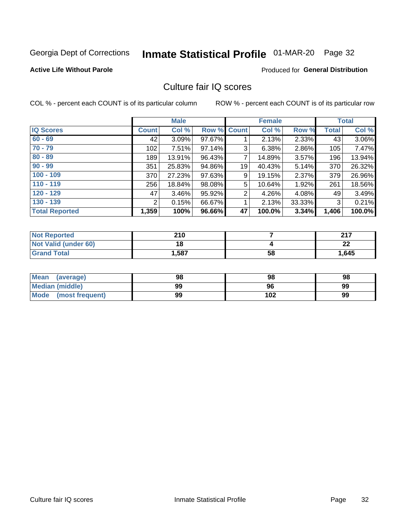## Inmate Statistical Profile 01-MAR-20 Page 32

#### **Active Life Without Parole**

#### **Produced for General Distribution**

### Culture fair IQ scores

COL % - percent each COUNT is of its particular column

|                       |              | <b>Male</b> |                    |                | <b>Female</b> |          |              | <b>Total</b> |
|-----------------------|--------------|-------------|--------------------|----------------|---------------|----------|--------------|--------------|
| <b>IQ Scores</b>      | <b>Count</b> | Col %       | <b>Row % Count</b> |                | Col %         | Row %    | <b>Total</b> | Col %        |
| $60 - 69$             | 42           | 3.09%       | 97.67%             |                | 2.13%         | 2.33%    | 43           | 3.06%        |
| $70 - 79$             | 102          | 7.51%       | 97.14%             | 3              | 6.38%         | 2.86%    | 105          | 7.47%        |
| $80 - 89$             | 189          | 13.91%      | 96.43%             | 7              | 14.89%        | 3.57%    | 196          | 13.94%       |
| $90 - 99$             | 351          | 25.83%      | 94.86%             | 19             | 40.43%        | 5.14%    | 370          | 26.32%       |
| $100 - 109$           | 370          | 27.23%      | 97.63%             | 9              | 19.15%        | 2.37%    | 379          | 26.96%       |
| $110 - 119$           | 256          | 18.84%      | 98.08%             | 5              | 10.64%        | 1.92%    | 261          | 18.56%       |
| $120 - 129$           | 47           | 3.46%       | 95.92%             | $\overline{2}$ | 4.26%         | $4.08\%$ | 49           | 3.49%        |
| $130 - 139$           | 2            | 0.15%       | 66.67%             | 1              | 2.13%         | 33.33%   | 3            | 0.21%        |
| <b>Total Reported</b> | 1,359        | 100%        | 96.66%             | 47             | 100.0%        | 3.34%    | 1,406        | 100.0%       |

| <b>Not Reported</b>         | 210   |    | 247     |
|-----------------------------|-------|----|---------|
| <b>Not Valid (under 60)</b> | 18    |    | ົ<br>LL |
| <b>Grand Total</b>          | 1,587 | 58 | 1,645   |

| <b>Mean</b><br>(average) | 98 | 98  | 98 |
|--------------------------|----|-----|----|
| Median (middle)          | 99 | 96  | 99 |
| Mode (most frequent)     | 99 | 102 | 99 |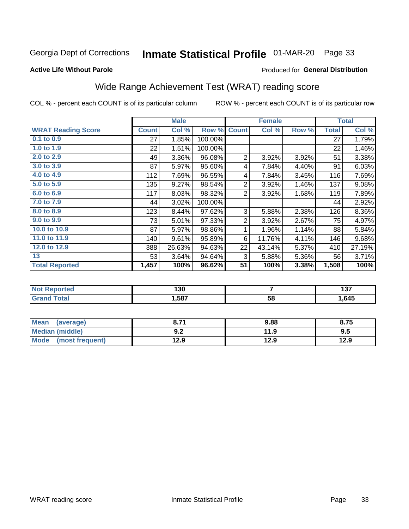## Inmate Statistical Profile 01-MAR-20 Page 33

#### **Active Life Without Parole**

#### Produced for General Distribution

## Wide Range Achievement Test (WRAT) reading score

COL % - percent each COUNT is of its particular column

|                           |              | <b>Male</b> |         |                | <b>Female</b> |       |              | <b>Total</b> |
|---------------------------|--------------|-------------|---------|----------------|---------------|-------|--------------|--------------|
| <b>WRAT Reading Score</b> | <b>Count</b> | Col %       | Row %   | <b>Count</b>   | Col %         | Row % | <b>Total</b> | Col %        |
| 0.1 to 0.9                | 27           | 1.85%       | 100.00% |                |               |       | 27           | 1.79%        |
| 1.0 to 1.9                | 22           | 1.51%       | 100.00% |                |               |       | 22           | 1.46%        |
| 2.0 to 2.9                | 49           | 3.36%       | 96.08%  | 2              | 3.92%         | 3.92% | 51           | 3.38%        |
| 3.0 to 3.9                | 87           | 5.97%       | 95.60%  | 4              | 7.84%         | 4.40% | 91           | 6.03%        |
| 4.0 to 4.9                | 112          | 7.69%       | 96.55%  | 4              | 7.84%         | 3.45% | 116          | 7.69%        |
| 5.0 to 5.9                | 135          | 9.27%       | 98.54%  | $\overline{2}$ | 3.92%         | 1.46% | 137          | 9.08%        |
| 6.0 to 6.9                | 117          | 8.03%       | 98.32%  | 2              | 3.92%         | 1.68% | 119          | 7.89%        |
| 7.0 to 7.9                | 44           | 3.02%       | 100.00% |                |               |       | 44           | 2.92%        |
| 8.0 to 8.9                | 123          | 8.44%       | 97.62%  | 3              | 5.88%         | 2.38% | 126          | 8.36%        |
| 9.0 to 9.9                | 73           | 5.01%       | 97.33%  | $\overline{2}$ | 3.92%         | 2.67% | 75           | 4.97%        |
| 10.0 to 10.9              | 87           | 5.97%       | 98.86%  | 1              | 1.96%         | 1.14% | 88           | 5.84%        |
| 11.0 to 11.9              | 140          | 9.61%       | 95.89%  | 6              | 11.76%        | 4.11% | 146          | 9.68%        |
| 12.0 to 12.9              | 388          | 26.63%      | 94.63%  | 22             | 43.14%        | 5.37% | 410          | 27.19%       |
| 13                        | 53           | 3.64%       | 94.64%  | 3              | 5.88%         | 5.36% | 56           | 3.71%        |
| <b>Total Reported</b>     | 1,457        | 100%        | 96.62%  | 51             | 100%          | 3.38% | 1,508        | 100%         |
|                           |              |             |         |                |               |       |              |              |

| <b>Not Reported</b>          | 130   |    | , , ,<br>וטו |
|------------------------------|-------|----|--------------|
| <b>Total</b><br><b>Grand</b> | 1,587 | 58 | .645         |

| <b>Mean</b><br>(average)       | 74 נ<br>o. / I     | 9.88 | 8.75 |
|--------------------------------|--------------------|------|------|
| Median (middle)                | י ה<br><u> ม.∠</u> | 11.9 | 9.5  |
| <b>Mode</b><br>(most frequent) | 12.9               | 12.9 | 12.9 |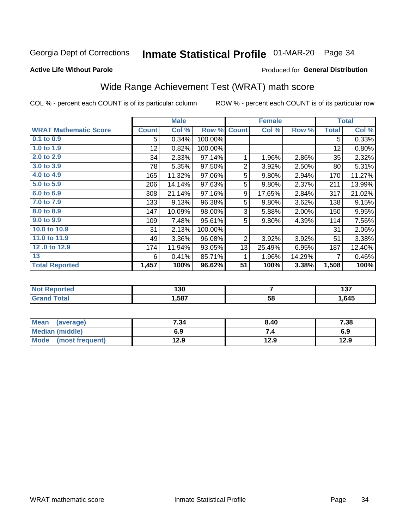## Inmate Statistical Profile 01-MAR-20 Page 34

Produced for General Distribution

#### **Active Life Without Parole**

## Wide Range Achievement Test (WRAT) math score

COL % - percent each COUNT is of its particular column

|                              |              | <b>Male</b> |         |                | <b>Female</b> |        |              | <b>Total</b> |
|------------------------------|--------------|-------------|---------|----------------|---------------|--------|--------------|--------------|
| <b>WRAT Mathematic Score</b> | <b>Count</b> | Col %       | Row %   | <b>Count</b>   | Col %         | Row %  | <b>Total</b> | Col %        |
| $0.1$ to $0.9$               | 5            | 0.34%       | 100.00% |                |               |        | 5            | 0.33%        |
| 1.0 to 1.9                   | 12           | 0.82%       | 100.00% |                |               |        | 12           | 0.80%        |
| 2.0 to 2.9                   | 34           | 2.33%       | 97.14%  | $\mathbf{1}$   | 1.96%         | 2.86%  | 35           | 2.32%        |
| 3.0 to 3.9                   | 78           | 5.35%       | 97.50%  | $\overline{2}$ | 3.92%         | 2.50%  | 80           | 5.31%        |
| 4.0 to 4.9                   | 165          | 11.32%      | 97.06%  | 5              | 9.80%         | 2.94%  | 170          | 11.27%       |
| 5.0 to 5.9                   | 206          | 14.14%      | 97.63%  | 5              | 9.80%         | 2.37%  | 211          | 13.99%       |
| 6.0 to 6.9                   | 308          | 21.14%      | 97.16%  | 9              | 17.65%        | 2.84%  | 317          | 21.02%       |
| 7.0 to 7.9                   | 133          | 9.13%       | 96.38%  | 5              | 9.80%         | 3.62%  | 138          | 9.15%        |
| 8.0 to 8.9                   | 147          | 10.09%      | 98.00%  | 3              | 5.88%         | 2.00%  | 150          | 9.95%        |
| 9.0 to 9.9                   | 109          | 7.48%       | 95.61%  | 5              | 9.80%         | 4.39%  | 114          | 7.56%        |
| 10.0 to 10.9                 | 31           | 2.13%       | 100.00% |                |               |        | 31           | 2.06%        |
| 11.0 to 11.9                 | 49           | 3.36%       | 96.08%  | 2              | 3.92%         | 3.92%  | 51           | 3.38%        |
| 12.0 to 12.9                 | 174          | 11.94%      | 93.05%  | 13             | 25.49%        | 6.95%  | 187          | 12.40%       |
| 13                           | 6            | 0.41%       | 85.71%  | 1              | 1.96%         | 14.29% | 7            | 0.46%        |
| <b>Total Reported</b>        | 1,457        | 100%        | 96.62%  | 51             | 100%          | 3.38%  | 1,508        | 100%         |

| <b>Not</b><br><b>Reported</b> | 130  |    | .<br>1 J I |
|-------------------------------|------|----|------------|
| <b>cotal</b>                  | ,587 | 58 | .645       |

| <b>Mean</b><br>(average) | 7.34 | 8.40 | 7.38 |
|--------------------------|------|------|------|
| <b>Median (middle)</b>   | 6.9  |      | 6.9  |
| Mode (most frequent)     | 12.9 | 12.9 | 12.9 |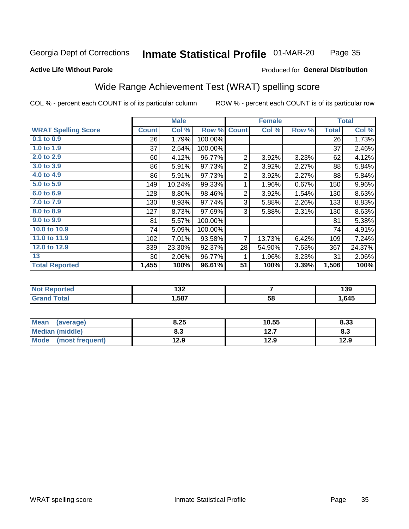#### Inmate Statistical Profile 01-MAR-20 Page 35

#### **Active Life Without Parole**

#### Produced for General Distribution

### Wide Range Achievement Test (WRAT) spelling score

COL % - percent each COUNT is of its particular column

|                            |                 | <b>Male</b> |         |                | <b>Female</b>  |       |              | <b>Total</b> |
|----------------------------|-----------------|-------------|---------|----------------|----------------|-------|--------------|--------------|
| <b>WRAT Spelling Score</b> | <b>Count</b>    | Col %       | Row %   | <b>Count</b>   | Col %          | Row % | <b>Total</b> | Col %        |
| $0.1$ to $0.9$             | 26              | 1.79%       | 100.00% |                |                |       | 26           | 1.73%        |
| 1.0 to 1.9                 | 37              | 2.54%       | 100.00% |                |                |       | 37           | 2.46%        |
| 2.0 to 2.9                 | 60              | 4.12%       | 96.77%  | $\overline{2}$ | 3.92%          | 3.23% | 62           | 4.12%        |
| 3.0 to 3.9                 | 86              | 5.91%       | 97.73%  | $\overline{2}$ | 3.92%          | 2.27% | 88           | 5.84%        |
| 4.0 to 4.9                 | 86              | 5.91%       | 97.73%  | $\overline{2}$ | 3.92%          | 2.27% | 88           | 5.84%        |
| 5.0 to 5.9                 | 149             | 10.24%      | 99.33%  | 1              | 1.96%          | 0.67% | 150          | 9.96%        |
| 6.0 to 6.9                 | 128             | 8.80%       | 98.46%  | $\overline{2}$ | 3.92%          | 1.54% | 130          | 8.63%        |
| 7.0 to 7.9                 | 130             | 8.93%       | 97.74%  | 3              | 5.88%          | 2.26% | 133          | 8.83%        |
| 8.0 to 8.9                 | 127             | 8.73%       | 97.69%  | 3              | 5.88%          | 2.31% | 130          | 8.63%        |
| 9.0 to 9.9                 | 81              | 5.57%       | 100.00% |                |                |       | 81           | 5.38%        |
| 10.0 to 10.9               | 74              | 5.09%       | 100.00% |                |                |       | 74           | 4.91%        |
| 11.0 to 11.9               | 102             | 7.01%       | 93.58%  | $\overline{7}$ | 13.73%         | 6.42% | 109          | 7.24%        |
| 12.0 to 12.9               | 339             | 23.30%      | 92.37%  | 28             | 54.90%         | 7.63% | 367          | 24.37%       |
| 13                         | 30 <sup>°</sup> | 2.06%       | 96.77%  | 1              | 1.96%          | 3.23% | 31           | 2.06%        |
| <b>Total Reported</b>      | 1,455           | 100%        | 96.61%  | 51             | 100%           | 3.39% | 1,506        | 100%         |
|                            |                 |             |         |                |                |       |              |              |
| <b>Not Reported</b>        |                 | 132         |         |                | $\overline{7}$ |       |              | 139          |
| <b>Grand Total</b>         |                 | 1,587       |         |                | 58             |       |              | 1,645        |

| <b>Mean</b><br>(average)       | 8.25 | 10.55        | 8.33 |
|--------------------------------|------|--------------|------|
| Median (middle)                | o. J | 127<br>I 4.I | ი.ა  |
| <b>Mode</b><br>(most frequent) | 12.9 | 12.9         | 12.9 |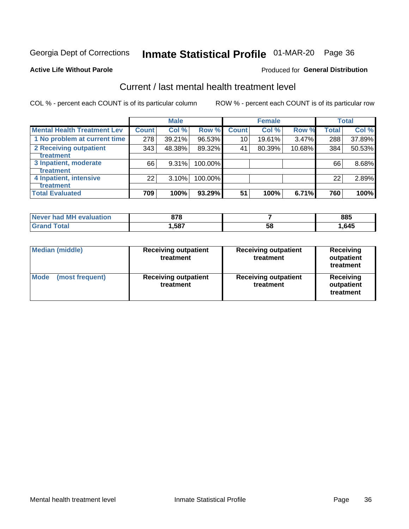## Inmate Statistical Profile 01-MAR-20 Page 36

#### **Active Life Without Parole**

#### Produced for General Distribution

## Current / last mental health treatment level

COL % - percent each COUNT is of its particular column

|                                    |              | <b>Male</b> |         |              | <b>Female</b> |        |              | <b>Total</b> |
|------------------------------------|--------------|-------------|---------|--------------|---------------|--------|--------------|--------------|
| <b>Mental Health Treatment Lev</b> | <b>Count</b> | Col %       | Row %   | <b>Count</b> | Col %         | Row %  | <b>Total</b> | Col %        |
| 1 No problem at current time       | 278          | 39.21%      | 96.53%  | 10           | 19.61%        | 3.47%  | 288          | 37.89%       |
| 2 Receiving outpatient             | 343          | 48.38%      | 89.32%  | 41           | 80.39%        | 10.68% | 384          | 50.53%       |
| Treatment                          |              |             |         |              |               |        |              |              |
| 3 Inpatient, moderate              | 66           | 9.31%       | 100.00% |              |               |        | 66           | 8.68%        |
| <b>Treatment</b>                   |              |             |         |              |               |        |              |              |
| 4 Inpatient, intensive             | 22           | 3.10%       | 100.00% |              |               |        | 22           | 2.89%        |
| Treatment                          |              |             |         |              |               |        |              |              |
| <b>Total Evaluated</b>             | 709          | 100%        | 93.29%  | 51           | 100%          | 6.71%  | 760          | 100%         |

| Never had MH evaluation | 878  |    | 885  |
|-------------------------|------|----|------|
|                         | ,587 | ວ໐ | .645 |

| <b>Median (middle)</b><br><b>Receiving outpatient</b><br>treatment |                                          | <b>Receiving outpatient</b><br>treatment | <b>Receiving</b><br>outpatient<br>treatment |
|--------------------------------------------------------------------|------------------------------------------|------------------------------------------|---------------------------------------------|
| <b>Mode</b><br>(most frequent)                                     | <b>Receiving outpatient</b><br>treatment | <b>Receiving outpatient</b><br>treatment | <b>Receiving</b><br>outpatient<br>treatment |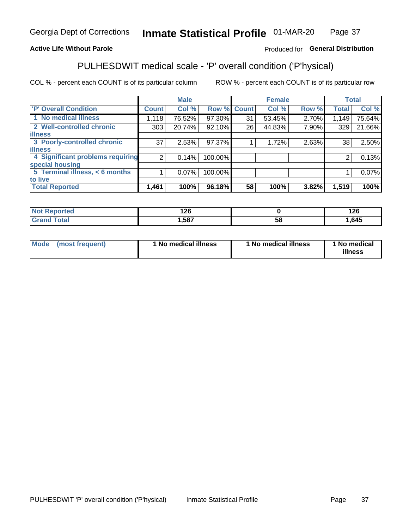#### Inmate Statistical Profile 01-MAR-20 Page 37

#### **Active Life Without Parole**

#### Produced for General Distribution

## PULHESDWIT medical scale - 'P' overall condition ('P'hysical)

COL % - percent each COUNT is of its particular column

|                                  |                | <b>Male</b> |         |             | <b>Female</b> |       |                | <b>Total</b> |
|----------------------------------|----------------|-------------|---------|-------------|---------------|-------|----------------|--------------|
| 'P' Overall Condition            | <b>Count</b>   | Col %       |         | Row % Count | Col %         | Row % | <b>Total</b>   | Col %        |
| 1 No medical illness             | 1,118          | 76.52%      | 97.30%  | 31          | 53.45%        | 2.70% | 1,149          | 75.64%       |
| 2 Well-controlled chronic        | 303            | 20.74%      | 92.10%  | 26          | 44.83%        | 7.90% | 329            | 21.66%       |
| <b>illness</b>                   |                |             |         |             |               |       |                |              |
| 3 Poorly-controlled chronic      | 37             | 2.53%       | 97.37%  |             | 1.72%         | 2.63% | 38             | 2.50%        |
| <b>illness</b>                   |                |             |         |             |               |       |                |              |
| 4 Significant problems requiring | 2 <sub>1</sub> | 0.14%       | 100.00% |             |               |       | $\overline{2}$ | 0.13%        |
| special housing                  |                |             |         |             |               |       |                |              |
| 5 Terminal illness, $<$ 6 months |                | $0.07\%$    | 100.00% |             |               |       |                | 0.07%        |
| to live                          |                |             |         |             |               |       |                |              |
| <b>Total Reported</b>            | 1,461          | 100%        | 96.18%  | 58          | 100%          | 3.82% | 1,519          | 100%         |

| rteo  | 1 ጎድ  |    | 1 つぐ |
|-------|-------|----|------|
| .     | 14 V  |    | 14 V |
| _____ | 1,587 | ၁၀ | ,645 |

|  |  | Mode (most frequent) | 1 No medical illness | 1 No medical illness | 1 No medical<br>illness |
|--|--|----------------------|----------------------|----------------------|-------------------------|
|--|--|----------------------|----------------------|----------------------|-------------------------|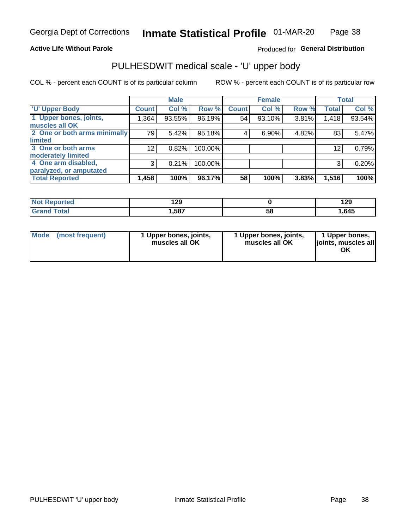#### **Active Life Without Parole**

### Produced for General Distribution

## PULHESDWIT medical scale - 'U' upper body

COL % - percent each COUNT is of its particular column

|                              |                 | <b>Male</b> |         |              | <b>Female</b> |       |              | <b>Total</b> |
|------------------------------|-----------------|-------------|---------|--------------|---------------|-------|--------------|--------------|
| <b>'U' Upper Body</b>        | <b>Count</b>    | Col %       | Row %   | <b>Count</b> | Col %         | Row % | <b>Total</b> | Col %        |
| 1 Upper bones, joints,       | 1,364           | 93.55%      | 96.19%  | 54           | 93.10%        | 3.81% | 1,418        | 93.54%       |
| muscles all OK               |                 |             |         |              |               |       |              |              |
| 2 One or both arms minimally | 79              | 5.42%       | 95.18%  | 4            | 6.90%         | 4.82% | 83           | 5.47%        |
| <b>limited</b>               |                 |             |         |              |               |       |              |              |
| 3 One or both arms           | 12 <sub>2</sub> | 0.82%       | 100.00% |              |               |       | 12           | 0.79%        |
| <b>moderately limited</b>    |                 |             |         |              |               |       |              |              |
| 4 One arm disabled,          | 3               | 0.21%       | 100.00% |              |               |       | 3            | 0.20%        |
| paralyzed, or amputated      |                 |             |         |              |               |       |              |              |
| <b>Total Reported</b>        | 1,458           | 100%        | 96.17%  | 58           | 100%          | 3.83% | 1,516        | 100%         |

| <b>Not Reported</b> | 1 2 Q<br>ت ے ا |    | 120<br>143 |
|---------------------|----------------|----|------------|
| <b>Grand Total</b>  | ,587           | აშ | .645       |

| Mode | (most frequent) | l Upper bones, joints,<br>muscles all OK | 1 Upper bones, joints,<br>muscles all OK | 1 Upper bones,<br>ljoints, muscles all<br>ОK |
|------|-----------------|------------------------------------------|------------------------------------------|----------------------------------------------|
|------|-----------------|------------------------------------------|------------------------------------------|----------------------------------------------|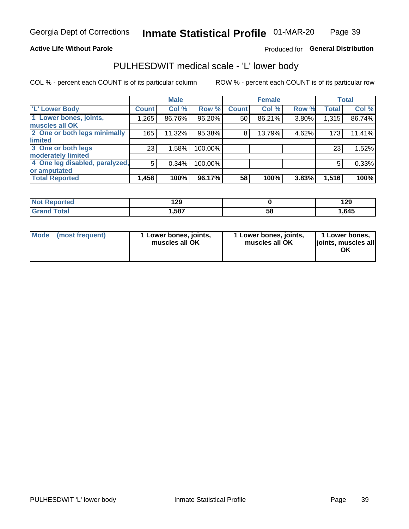#### **Active Life Without Parole**

#### Produced for General Distribution

### PULHESDWIT medical scale - 'L' lower body

COL % - percent each COUNT is of its particular column

|                                |              | <b>Male</b> |         |              | <b>Female</b> |       |              | <b>Total</b> |
|--------------------------------|--------------|-------------|---------|--------------|---------------|-------|--------------|--------------|
| 'L' Lower Body                 | <b>Count</b> | Col %       | Row %   | <b>Count</b> | Col %         | Row % | <b>Total</b> | Col %        |
| 1 Lower bones, joints,         | 1,265        | 86.76%      | 96.20%  | 50           | 86.21%        | 3.80% | 1,315        | 86.74%       |
| muscles all OK                 |              |             |         |              |               |       |              |              |
| 2 One or both legs minimally   | 165          | 11.32%      | 95.38%  | 8            | 13.79%        | 4.62% | 173          | 11.41%       |
| limited                        |              |             |         |              |               |       |              |              |
| 3 One or both legs             | 23           | 1.58%       | 100.00% |              |               |       | 23           | 1.52%        |
| moderately limited             |              |             |         |              |               |       |              |              |
| 4 One leg disabled, paralyzed, | 5            | 0.34%       | 100.00% |              |               |       | 5            | 0.33%        |
| or amputated                   |              |             |         |              |               |       |              |              |
| <b>Total Reported</b>          | 1,458        | 100%        | 96.17%  | 58           | 100%          | 3.83% | 1,516        | 100%         |

| <b>Not Reported</b> | 1 2 Q<br>ت ے ا |    | 120<br>143 |
|---------------------|----------------|----|------------|
| <b>Grand Total</b>  | ,587           | აშ | .645       |

| Mode | (most frequent) | 1 Lower bones, joints,<br>muscles all OK | 1 Lower bones, joints,<br>muscles all OK | 1 Lower bones,<br>ljoints, muscles all<br>ΟK |
|------|-----------------|------------------------------------------|------------------------------------------|----------------------------------------------|
|------|-----------------|------------------------------------------|------------------------------------------|----------------------------------------------|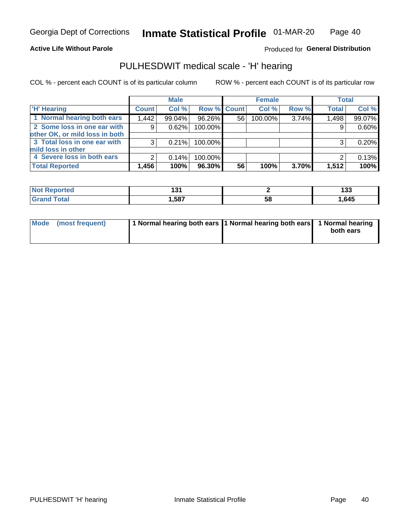#### **Active Life Without Parole**

**Produced for General Distribution** 

### PULHESDWIT medical scale - 'H' hearing

COL % - percent each COUNT is of its particular column

|                                | <b>Male</b>  |        | <b>Female</b>      |    |         | <b>Total</b> |              |        |
|--------------------------------|--------------|--------|--------------------|----|---------|--------------|--------------|--------|
| <b>H' Hearing</b>              | <b>Count</b> | Col %  | <b>Row % Count</b> |    | Col %   | Row %        | <b>Total</b> | Col %  |
| 1 Normal hearing both ears     | 1,442        | 99.04% | 96.26%             | 56 | 100.00% | 3.74%        | 1,498        | 99.07% |
| 2 Some loss in one ear with    | 9            | 0.62%  | 100.00%            |    |         |              | 9            | 0.60%  |
| other OK, or mild loss in both |              |        |                    |    |         |              |              |        |
| 3 Total loss in one ear with   | 3            | 0.21%  | 100.00%            |    |         |              | 3            | 0.20%  |
| mild loss in other             |              |        |                    |    |         |              |              |        |
| 4 Severe loss in both ears     | 2            | 0.14%  | 100.00%            |    |         |              |              | 0.13%  |
| <b>Total Reported</b>          | 1,456        | 100%   | 96.30%             | 56 | 100%    | $3.70\%$     | 1,512        | 100%   |

| N<br>тео |     |    | י ה<br>၊ ၁၁ |
|----------|-----|----|-------------|
| _____    | 587 | სა | 1,645       |

| Mode (most frequent) | 1 Normal hearing both ears 1 Normal hearing both ears 1 Normal hearing | both ears |
|----------------------|------------------------------------------------------------------------|-----------|
|                      |                                                                        |           |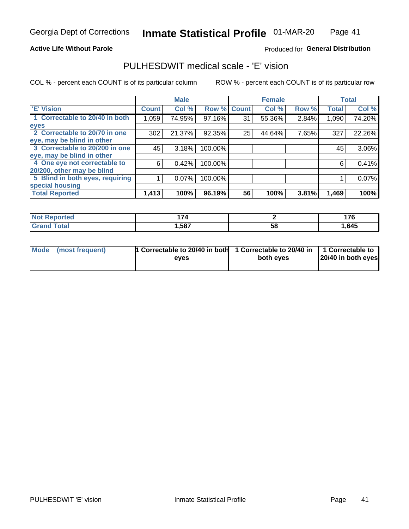#### **Active Life Without Parole**

#### Produced for General Distribution

### PULHESDWIT medical scale - 'E' vision

COL % - percent each COUNT is of its particular column

|                                 |              | <b>Male</b> |         |              | <b>Female</b> |       |              | <b>Total</b> |
|---------------------------------|--------------|-------------|---------|--------------|---------------|-------|--------------|--------------|
| <b>E' Vision</b>                | <b>Count</b> | Col %       | Row %   | <b>Count</b> | Col %         | Row % | <b>Total</b> | Col %        |
| 1 Correctable to 20/40 in both  | 1,059        | 74.95%      | 97.16%  | 31           | 55.36%        | 2.84% | 1,090        | 74.20%       |
| eyes                            |              |             |         |              |               |       |              |              |
| 2 Correctable to 20/70 in one   | 302          | 21.37%      | 92.35%  | 25           | 44.64%        | 7.65% | 327          | 22.26%       |
| eye, may be blind in other      |              |             |         |              |               |       |              |              |
| 3 Correctable to 20/200 in one  | 45           | 3.18%       | 100.00% |              |               |       | 45           | 3.06%        |
| eye, may be blind in other      |              |             |         |              |               |       |              |              |
| 4 One eye not correctable to    | 6            | 0.42%       | 100.00% |              |               |       | 6            | 0.41%        |
| 20/200, other may be blind      |              |             |         |              |               |       |              |              |
| 5 Blind in both eyes, requiring |              | 0.07%       | 100.00% |              |               |       |              | 0.07%        |
| special housing                 |              |             |         |              |               |       |              |              |
| <b>Total Reported</b>           | 1,413        | 100%        | 96.19%  | 56           | 100%          | 3.81% | 1,469        | 100%         |

| tea: | .    |    | $\bar{\ }$<br><u></u> |
|------|------|----|-----------------------|
|      | ,587 | 58 | .645                  |

| Mode (most frequent) | 1 Correctable to 20/40 in both<br>eves | 1 Correctable to 20/40 in   1 Correctable to  <br>both eves | 20/40 in both eyes |
|----------------------|----------------------------------------|-------------------------------------------------------------|--------------------|
|                      |                                        |                                                             |                    |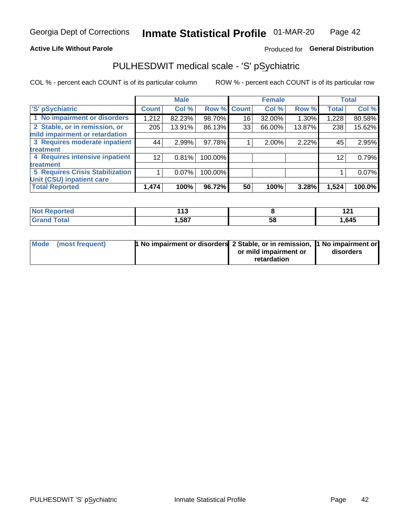#### **Active Life Without Parole**

#### Produced for General Distribution

## PULHESDWIT medical scale - 'S' pSychiatric

COL % - percent each COUNT is of its particular column

|                                        |                 | <b>Male</b> |                    |    | <b>Female</b> |        |              | <b>Total</b> |
|----------------------------------------|-----------------|-------------|--------------------|----|---------------|--------|--------------|--------------|
| 'S' pSychiatric                        | <b>Count</b>    | Col %       | <b>Row % Count</b> |    | Col %         | Row %  | <b>Total</b> | Col %        |
| 1 No impairment or disorders           | 1,212           | 82.23%      | 98.70%             | 16 | 32.00%        | 1.30%  | 1,228        | 80.58%       |
| 2 Stable, or in remission, or          | 205             | 13.91%      | 86.13%             | 33 | 66.00%        | 13.87% | 238          | 15.62%       |
| mild impairment or retardation         |                 |             |                    |    |               |        |              |              |
| 3 Requires moderate inpatient          | 44              | 2.99%       | 97.78%             |    | 2.00%         | 2.22%  | 45           | 2.95%        |
| treatment                              |                 |             |                    |    |               |        |              |              |
| 4 Requires intensive inpatient         | 12 <sub>1</sub> | 0.81%       | 100.00%            |    |               |        | 12           | 0.79%        |
| treatment                              |                 |             |                    |    |               |        |              |              |
| <b>5 Requires Crisis Stabilization</b> |                 | $0.07\%$    | 100.00%            |    |               |        |              | 0.07%        |
| Unit (CSU) inpatient care              |                 |             |                    |    |               |        |              |              |
| <b>Total Reported</b>                  | 1,474           | 100%        | 96.72%             | 50 | 100%          | 3.28%  | 1,524        | 100.0%       |

| norted<br>NOT F | 442<br>. |    | .<br>.<br>$  -$ |
|-----------------|----------|----|-----------------|
| <b>Total</b>    | 587,     | ວະ | 1,645           |

| Mode | (most frequent) | <b>1 No impairment or disorders</b> 2 Stable, or in remission, 1 No impairment or |                       |           |
|------|-----------------|-----------------------------------------------------------------------------------|-----------------------|-----------|
|      |                 |                                                                                   | or mild impairment or | disorders |
|      |                 |                                                                                   | retardation           |           |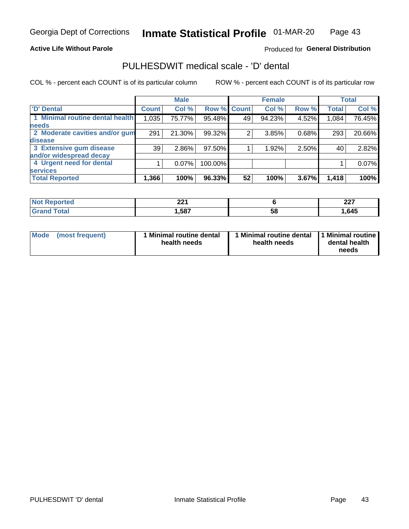#### **Active Life Without Parole**

#### Produced for General Distribution

## PULHESDWIT medical scale - 'D' dental

COL % - percent each COUNT is of its particular column

|                                 |              | <b>Male</b> |         |              | <b>Female</b> |       |              | <b>Total</b> |
|---------------------------------|--------------|-------------|---------|--------------|---------------|-------|--------------|--------------|
| <b>D'</b> Dental                | <b>Count</b> | Col %       | Row %   | <b>Count</b> | Col %         | Row % | <b>Total</b> | Col %        |
| 1 Minimal routine dental health | 1,035        | 75.77%      | 95.48%  | 49           | 94.23%        | 4.52% | 1,084        | 76.45%       |
| <b>needs</b>                    |              |             |         |              |               |       |              |              |
| 2 Moderate cavities and/or gum  | 291          | 21.30%      | 99.32%  | 2            | 3.85%         | 0.68% | 293          | 20.66%       |
| disease                         |              |             |         |              |               |       |              |              |
| 3 Extensive gum disease         | 39           | 2.86%       | 97.50%  |              | 1.92%         | 2.50% | 40           | 2.82%        |
| and/or widespread decay         |              |             |         |              |               |       |              |              |
| 4 Urgent need for dental        |              | 0.07%       | 100.00% |              |               |       |              | 0.07%        |
| <b>services</b>                 |              |             |         |              |               |       |              |              |
| <b>Total Reported</b>           | 1,366        | 100%        | 96.33%  | 52           | 100%          | 3.67% | 1,418        | 100%         |

| <b>orted</b> | ີ    |    | כמה  |
|--------------|------|----|------|
| NOT RADO     | ▴▴   |    | LL I |
| .            |      |    |      |
| Total        | ,587 | 58 | .645 |

| <b>Mode</b> | (most frequent) | <b>Minimal routine dental</b><br>health needs | 1 Minimal routine dental<br>health needs | <b>11 Minimal routine I</b><br>dental health<br>needs |
|-------------|-----------------|-----------------------------------------------|------------------------------------------|-------------------------------------------------------|
|-------------|-----------------|-----------------------------------------------|------------------------------------------|-------------------------------------------------------|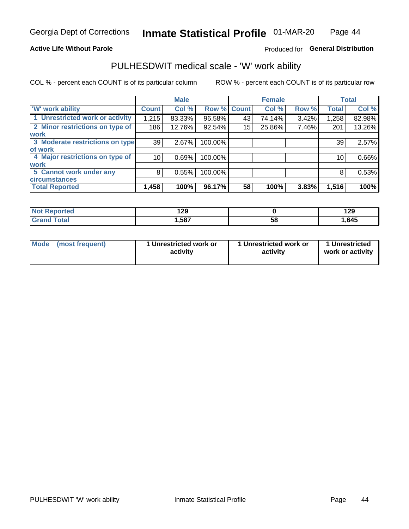#### **Active Life Without Parole**

#### Produced for General Distribution

### PULHESDWIT medical scale - 'W' work ability

COL % - percent each COUNT is of its particular column

|                                 |                    | <b>Male</b> |         |             | <b>Female</b> |       |              | <b>Total</b> |
|---------------------------------|--------------------|-------------|---------|-------------|---------------|-------|--------------|--------------|
| <b>W' work ability</b>          | Count <sup>'</sup> | Col %       |         | Row % Count | Col %         | Row % | <b>Total</b> | Col %        |
| 1 Unrestricted work or activity | 1,215              | 83.33%      | 96.58%  | 43          | 74.14%        | 3.42% | 1,258        | 82.98%       |
| 2 Minor restrictions on type of | 186                | 12.76%      | 92.54%  | 15          | 25.86%        | 7.46% | 201          | 13.26%       |
| <b>work</b>                     |                    |             |         |             |               |       |              |              |
| 3 Moderate restrictions on type | 39                 | 2.67%       | 100.00% |             |               |       | 39           | 2.57%        |
| lof work                        |                    |             |         |             |               |       |              |              |
| 4 Major restrictions on type of | 10                 | 0.69%       | 100.00% |             |               |       | 10           | 0.66%        |
| <b>work</b>                     |                    |             |         |             |               |       |              |              |
| 5 Cannot work under any         | 8                  | 0.55%       | 100.00% |             |               |       | 8            | 0.53%        |
| <b>circumstances</b>            |                    |             |         |             |               |       |              |              |
| <b>Total Reported</b>           | 1,458              | 100%        | 96.17%  | 58          | 100%          | 3.83% | 1,516        | 100%         |

| <b>orted</b> | ספו   |    | 190  |
|--------------|-------|----|------|
| NO.          | 1 Z J |    | 143  |
| <b>Total</b> | ,587  | ာဝ | .645 |

| Mode | (most frequent) | 1 Unrestricted work or<br>activity | 1 Unrestricted work or<br>activity | 1 Unrestricted<br>work or activity |
|------|-----------------|------------------------------------|------------------------------------|------------------------------------|
|------|-----------------|------------------------------------|------------------------------------|------------------------------------|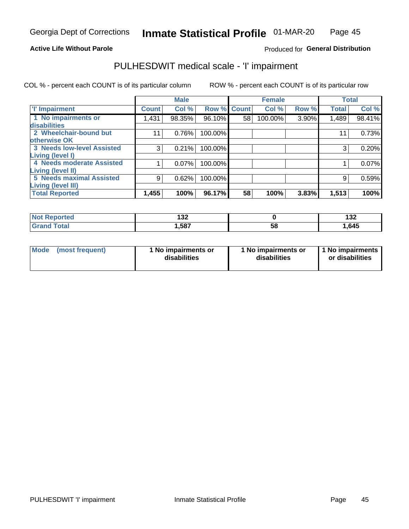#### **Active Life Without Parole**

#### Produced for General Distribution

## PULHESDWIT medical scale - 'I' impairment

COL % - percent each COUNT is of its particular column ROW % - percent each COUNT is of its particular row

|                                   |              | <b>Male</b> |             |    | <b>Female</b> |          |              | <b>Total</b> |
|-----------------------------------|--------------|-------------|-------------|----|---------------|----------|--------------|--------------|
| <b>T' Impairment</b>              | <b>Count</b> | Col %       | Row % Count |    | Col %         | Row %    | <b>Total</b> | Col %        |
| 1 No impairments or               | 1.431        | 98.35%      | 96.10%      | 58 | 100.00%       | $3.90\%$ | 1,489        | 98.41%       |
| disabilities                      |              |             |             |    |               |          |              |              |
| 2 Wheelchair-bound but            | 11           | 0.76%       | 100.00%     |    |               |          | 11           | 0.73%        |
| otherwise OK                      |              |             |             |    |               |          |              |              |
| <b>3 Needs low-level Assisted</b> | 3            | 0.21%       | 100.00%     |    |               |          | 3            | 0.20%        |
| Living (level I)                  |              |             |             |    |               |          |              |              |
| 4 Needs moderate Assisted         |              | 0.07%       | 100.00%     |    |               |          |              | 0.07%        |
| <b>Living (level II)</b>          |              |             |             |    |               |          |              |              |
| <b>5 Needs maximal Assisted</b>   | 9            | 0.62%       | 100.00%     |    |               |          | 9            | 0.59%        |
| <b>Living (level III)</b>         |              |             |             |    |               |          |              |              |
| <b>Total Reported</b>             | 1,455        | 100%        | 96.17%      | 58 | 100%          | 3.83%    | 1,513        | 100%         |

| Reported     | $\overline{\phantom{a}}$<br>1JZ |    | 499<br>19Z |
|--------------|---------------------------------|----|------------|
| <b>Total</b> | 587،،                           | 58 | 1,645      |

| Mode | (most frequent) | 1 No impairments or<br>disabilities | 1 No impairments or<br>disabilities | 1 No impairments<br>or disabilities |
|------|-----------------|-------------------------------------|-------------------------------------|-------------------------------------|
|------|-----------------|-------------------------------------|-------------------------------------|-------------------------------------|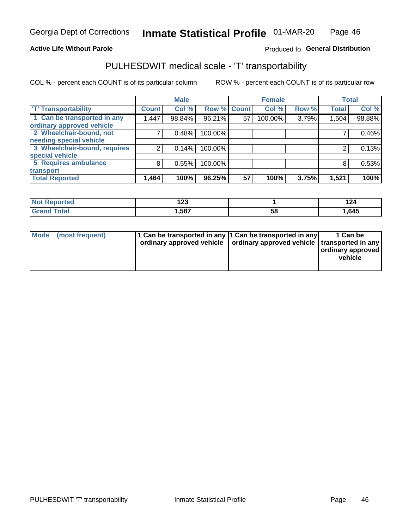#### **Active Life Without Parole**

#### Produced fo General Distribution

## PULHESDWIT medical scale - 'T' transportability

COL % - percent each COUNT is of its particular column

|                                                      |              | <b>Male</b> |         |             | <b>Female</b> |       |              | <b>Total</b> |
|------------------------------------------------------|--------------|-------------|---------|-------------|---------------|-------|--------------|--------------|
| <b>T' Transportability</b>                           | <b>Count</b> | Col %       |         | Row % Count | Col %         | Row % | <b>Total</b> | Col %        |
| 1 Can be transported in any                          | 1,447        | 98.84%      | 96.21%  | 57          | 100.00%       | 3.79% | 1,504        | 98.88%       |
| ordinary approved vehicle<br>2 Wheelchair-bound, not |              |             |         |             |               |       |              |              |
| needing special vehicle                              |              | 0.48%       | 100.00% |             |               |       |              | 0.46%        |
| 3 Wheelchair-bound, requires                         |              | 0.14%       | 100.00% |             |               |       |              | 0.13%        |
| special vehicle                                      |              |             |         |             |               |       |              |              |
| 5 Requires ambulance                                 | 8            | 0.55%       | 100.00% |             |               |       |              | 0.53%        |
| transport                                            |              |             |         |             |               |       |              |              |
| <b>Total Reported</b>                                | 1,464        | 100%        | 96.25%  | 57          | 100%          | 3.75% | 1,521        | 100%         |

| rted        | $\sim$<br>16J |    | . .<br>144 |
|-------------|---------------|----|------------|
| <b>otal</b> | .587          | Ⴢჾ | . 645      |

| <b>Mode</b> | (most frequent) | 1 Can be transported in any 1 Can be transported in any | ordinary approved vehicle   ordinary approved vehicle   transported in any | 1 Can be<br>  ordinary approved  <br>vehicle |
|-------------|-----------------|---------------------------------------------------------|----------------------------------------------------------------------------|----------------------------------------------|
|-------------|-----------------|---------------------------------------------------------|----------------------------------------------------------------------------|----------------------------------------------|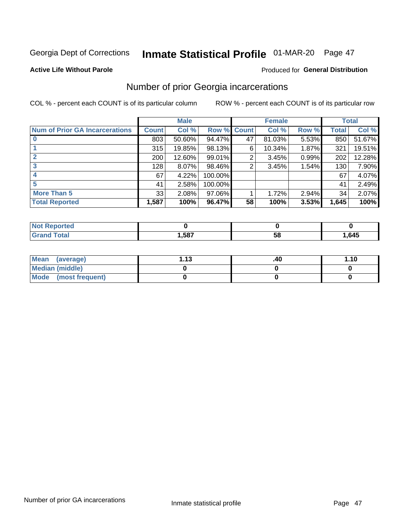## Inmate Statistical Profile 01-MAR-20 Page 47

#### **Active Life Without Parole**

#### **Produced for General Distribution**

### Number of prior Georgia incarcerations

COL % - percent each COUNT is of its particular column

|                                       |              | <b>Male</b> |                    |    | <b>Female</b> |       |       | <b>Total</b> |
|---------------------------------------|--------------|-------------|--------------------|----|---------------|-------|-------|--------------|
| <b>Num of Prior GA Incarcerations</b> | <b>Count</b> | Col %       | <b>Row % Count</b> |    | Col %         | Row % | Total | Col %        |
|                                       | 803          | 50.60%      | 94.47%             | 47 | 81.03%        | 5.53% | 850   | 51.67%       |
|                                       | 315          | 19.85%      | 98.13%             | 6  | 10.34%        | 1.87% | 321   | 19.51%       |
|                                       | 200          | 12.60%      | 99.01%             | 2  | 3.45%         | 0.99% | 202   | 12.28%       |
| 3                                     | 128          | 8.07%       | 98.46%             | 2  | 3.45%         | 1.54% | 130   | 7.90%        |
| 4                                     | 67           | 4.22%       | 100.00%            |    |               |       | 67    | 4.07%        |
| 5                                     | 41           | 2.58%       | 100.00%            |    |               |       | 41    | 2.49%        |
| <b>More Than 5</b>                    | 33           | 2.08%       | 97.06%             |    | 1.72%         | 2.94% | 34    | 2.07%        |
| <b>Total Reported</b>                 | 1,587        | 100%        | 96.47%             | 58 | 100%          | 3.53% | 1,645 | 100%         |

| <b>orted</b><br><b>NI</b>       |     |            |       |
|---------------------------------|-----|------------|-------|
| <b>otal</b><br>$\mathbf{v}$ and | 587 | - 12<br>JL | 1,645 |

| Mean (average)       | 1 1 2 | .40 | 1.10 |
|----------------------|-------|-----|------|
| Median (middle)      |       |     |      |
| Mode (most frequent) |       |     |      |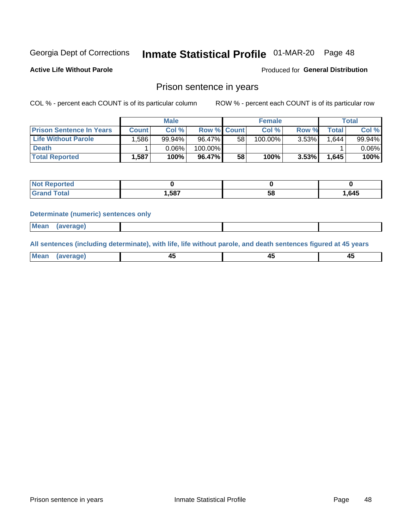## Inmate Statistical Profile 01-MAR-20 Page 48

**Active Life Without Parole** 

Produced for General Distribution

### Prison sentence in years

COL % - percent each COUNT is of its particular column

ROW % - percent each COUNT is of its particular row

|                                 | <b>Male</b> |        |                    |    | <b>Female</b> | Total    |       |          |
|---------------------------------|-------------|--------|--------------------|----|---------------|----------|-------|----------|
| <b>Prison Sentence In Years</b> | Count l     | Col %  | <b>Row % Count</b> |    | Col %         | Row %    | Total | Col %    |
| <b>Life Without Parole</b>      | :586,       | 99.94% | 96.47%             | 58 | 100.00%       | $3.53\%$ | 1.644 | 99.94%   |
| <b>Death</b>                    |             | 0.06%  | 100.00%            |    |               |          |       | $0.06\%$ |
| <b>Total Reported</b>           | 1.587       | 100%   | 96.47%             | 58 | 100%          | $3.53\%$ | 1,645 | 100%     |

| τeα |       |    |      |
|-----|-------|----|------|
|     | 1,587 | ວດ | ,645 |

#### **Determinate (numeric) sentences only**

| 1112211 | <b>Mean</b> | Ane <sup>*</sup> |  |  |
|---------|-------------|------------------|--|--|

All sentences (including determinate), with life, life without parole, and death sentences figured at 45 years

| l Mea<br>rane.<br> | г.<br>$\sim$ | $\overline{\phantom{a}}$ | −~<br>$\overline{\phantom{0}}$ |
|--------------------|--------------|--------------------------|--------------------------------|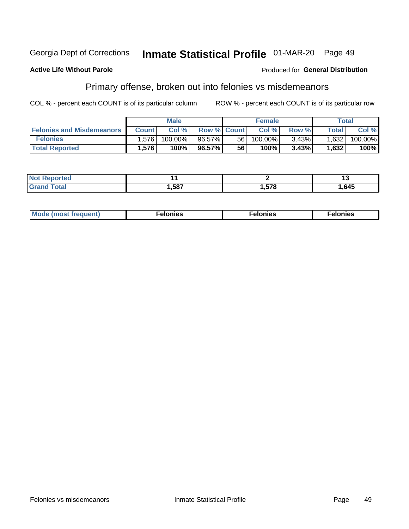#### Georgia Dept of Corrections Inmate Statistical Profile 01-MAR-20 Page 49

#### **Active Life Without Parole**

#### Produced for General Distribution

### Primary offense, broken out into felonies vs misdemeanors

COL % - percent each COUNT is of its particular column

|                                  | <b>Male</b>  |         |                    | <b>Female</b> |         |          | Total              |         |
|----------------------------------|--------------|---------|--------------------|---------------|---------|----------|--------------------|---------|
| <b>Felonies and Misdemeanors</b> | <b>Count</b> | Col%    | <b>Row % Count</b> |               | Col%    | Row %    | Total <sub>1</sub> | Col %   |
| <b>Felonies</b>                  | 1.576        | 100.00% | 96.57%             | 56 I          | 100.00% | $3.43\%$ | 1,632              | 100.00% |
| <b>Total Reported</b>            | .576         | 100%    | 96.57%             | 56            | 100%    | 3.43%    | 1,632              | 100%    |

| <b>Not Reported</b>         |       |     | יי    |
|-----------------------------|-------|-----|-------|
| <b>Total</b><br><b>Gran</b> | .,587 | 578 | .645، |

| <b>Mode</b><br>frequent)<br>nies<br>≧ (most tr.<br>. | onies<br>. | lonies<br>ею<br>____ |
|------------------------------------------------------|------------|----------------------|
|------------------------------------------------------|------------|----------------------|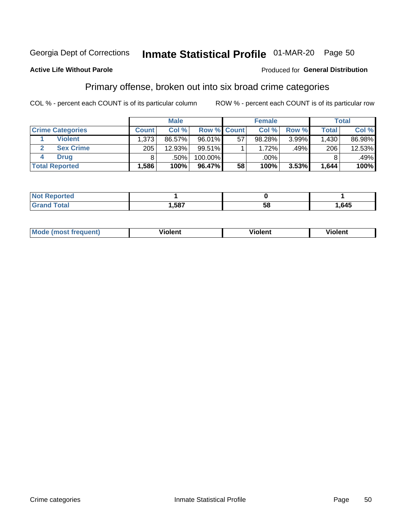## Inmate Statistical Profile 01-MAR-20 Page 50

#### **Active Life Without Parole**

#### Produced for General Distribution

### Primary offense, broken out into six broad crime categories

COL % - percent each COUNT is of its particular column

|                         | <b>Male</b>  |        |                    |    | <b>Female</b> |       |              | Total  |  |
|-------------------------|--------------|--------|--------------------|----|---------------|-------|--------------|--------|--|
| <b>Crime Categories</b> | <b>Count</b> | Col %  | <b>Row % Count</b> |    | Col %         | Row % | <b>Total</b> | Col %  |  |
| <b>Violent</b>          | 1,373        | 86.57% | 96.01%             | 57 | 98.28%        | 3.99% | 1,430        | 86.98% |  |
| <b>Sex Crime</b>        | 205          | 12.93% | 99.51%             |    | 1.72%         | .49%  | 206          | 12.53% |  |
| <b>Drug</b>             |              | .50%   | 100.00%            |    | .00%          |       |              | .49%   |  |
| <b>Total Reported</b>   | 1,586        | 100%   | 96.47%             | 58 | 100%          | 3.53% | 1,644        | 100%   |  |

| .587 | 58 | .645 |
|------|----|------|

| <b>Mou</b><br>القصديم<br><b>IUENTI</b><br>nos | - -<br>วlent | olent | . |
|-----------------------------------------------|--------------|-------|---|
|                                               |              |       |   |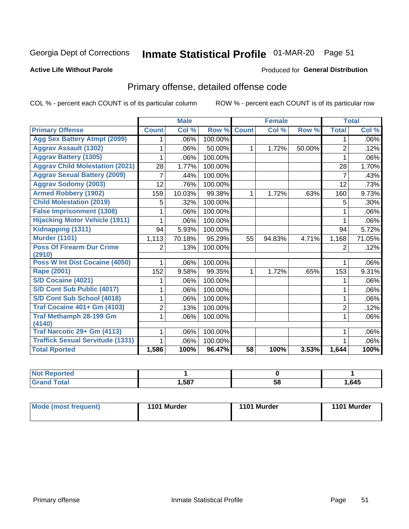## Inmate Statistical Profile 01-MAR-20 Page 51

#### **Active Life Without Parole**

#### Produced for General Distribution

## Primary offense, detailed offense code

COL % - percent each COUNT is of its particular column

|                                            |                | <b>Male</b>               |         |                 | <b>Female</b> |        |                | <b>Total</b> |
|--------------------------------------------|----------------|---------------------------|---------|-----------------|---------------|--------|----------------|--------------|
| <b>Primary Offense</b>                     | <b>Count</b>   | $\overline{\text{Col}}$ % | Row %   | <b>Count</b>    | Col %         | Row %  | <b>Total</b>   | Col %        |
| <b>Agg Sex Battery Atmpt (2099)</b>        | 1              | .06%                      | 100.00% |                 |               |        | 1              | $.06\%$      |
| <b>Aggrav Assault (1302)</b>               |                | .06%                      | 50.00%  | 1               | 1.72%         | 50.00% | 2              | .12%         |
| <b>Aggrav Battery (1305)</b>               |                | .06%                      | 100.00% |                 |               |        | 1              | $.06\%$      |
| <b>Aggrav Child Molestation (2021)</b>     | 28             | 1.77%                     | 100.00% |                 |               |        | 28             | 1.70%        |
| <b>Aggrav Sexual Battery (2009)</b>        | 7              | .44%                      | 100.00% |                 |               |        | $\overline{7}$ | .43%         |
| <b>Aggrav Sodomy (2003)</b>                | 12             | .76%                      | 100.00% |                 |               |        | 12             | .73%         |
| <b>Armed Robbery (1902)</b>                | 159            | 10.03%                    | 99.38%  | 1.              | 1.72%         | .63%   | 160            | 9.73%        |
| <b>Child Molestation (2019)</b>            | 5              | .32%                      | 100.00% |                 |               |        | 5              | $.30\%$      |
| <b>False Imprisonment (1308)</b>           |                | .06%                      | 100.00% |                 |               |        | 1              | .06%         |
| <b>Hijacking Motor Vehicle (1911)</b>      | 1              | .06%                      | 100.00% |                 |               |        | 1              | $.06\%$      |
| Kidnapping (1311)                          | 94             | 5.93%                     | 100.00% |                 |               |        | 94             | 5.72%        |
| <b>Murder (1101)</b>                       | 1,113          | 70.18%                    | 95.29%  | 55              | 94.83%        | 4.71%  | 1,168          | 71.05%       |
| <b>Poss Of Firearm Dur Crime</b><br>(2910) | $\overline{2}$ | .13%                      | 100.00% |                 |               |        | 2              | .12%         |
| Poss W Int Dist Cocaine (4050)             | 1              | .06%                      | 100.00% |                 |               |        | 1              | $.06\%$      |
| <b>Rape (2001)</b>                         | 152            | 9.58%                     | 99.35%  | $\mathbf 1$     | 1.72%         | .65%   | 153            | 9.31%        |
| S/D Cocaine (4021)                         |                | .06%                      | 100.00% |                 |               |        |                | $.06\%$      |
| S/D Cont Sub Public (4017)                 | 1              | .06%                      | 100.00% |                 |               |        | 1              | $.06\%$      |
| S/D Cont Sub School (4018)                 | 1              | .06%                      | 100.00% |                 |               |        | 1              | $.06\%$      |
| <b>Traf Cocaine 401+ Gm (4103)</b>         | $\overline{2}$ | .13%                      | 100.00% |                 |               |        | $\overline{2}$ | .12%         |
| Traf Methamph 28-199 Gm<br>(4140)          | 1              | .06%                      | 100.00% |                 |               |        | 1              | $.06\%$      |
| Traf Narcotic 29+ Gm (4113)                |                | .06%                      | 100.00% |                 |               |        |                | $.06\%$      |
| <b>Traffick Sexual Servitude (1331)</b>    |                | .06%                      | 100.00% |                 |               |        |                | .06%         |
| <b>Total Rported</b>                       | 1,586          | 100%                      | 96.47%  | $\overline{58}$ | 100%          | 3.53%  | 1,644          | 100%         |

| <b>eported</b><br><b>NOT</b> |      |    |       |
|------------------------------|------|----|-------|
| Гоtal                        | ,587 | 58 | 1,645 |

| Mode (most frequent) | 1101 Murder | 1101 Murder | 1101 Murder |
|----------------------|-------------|-------------|-------------|
|----------------------|-------------|-------------|-------------|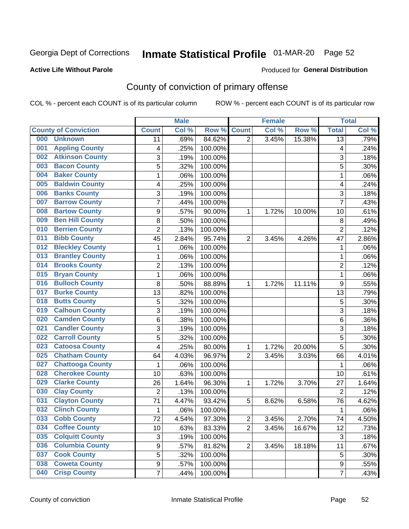## Inmate Statistical Profile 01-MAR-20 Page 52

#### **Active Life Without Parole**

#### Produced for General Distribution

## County of conviction of primary offense

COL % - percent each COUNT is of its particular column

|                                |                | <b>Male</b> |         |                | <b>Female</b> |        |                 | <b>Total</b> |
|--------------------------------|----------------|-------------|---------|----------------|---------------|--------|-----------------|--------------|
| <b>County of Conviction</b>    | <b>Count</b>   | Col %       | Row %   | <b>Count</b>   | Col %         | Row %  | <b>Total</b>    | Col %        |
| 000<br><b>Unknown</b>          | 11             | .69%        | 84.62%  | $\overline{2}$ | 3.45%         | 15.38% | $\overline{13}$ | .79%         |
| <b>Appling County</b><br>001   | 4              | .25%        | 100.00% |                |               |        | 4               | .24%         |
| <b>Atkinson County</b><br>002  | 3              | .19%        | 100.00% |                |               |        | 3               | .18%         |
| <b>Bacon County</b><br>003     | 5              | .32%        | 100.00% |                |               |        | 5               | .30%         |
| <b>Baker County</b><br>004     | 1              | .06%        | 100.00% |                |               |        | 1               | .06%         |
| <b>Baldwin County</b><br>005   | 4              | .25%        | 100.00% |                |               |        | 4               | .24%         |
| <b>Banks County</b><br>006     | 3              | .19%        | 100.00% |                |               |        | 3               | .18%         |
| <b>Barrow County</b><br>007    | $\overline{7}$ | .44%        | 100.00% |                |               |        | $\overline{7}$  | .43%         |
| <b>Bartow County</b><br>008    | 9              | .57%        | 90.00%  | 1              | 1.72%         | 10.00% | 10              | .61%         |
| <b>Ben Hill County</b><br>009  | 8              | .50%        | 100.00% |                |               |        | 8               | .49%         |
| <b>Berrien County</b><br>010   | $\overline{c}$ | .13%        | 100.00% |                |               |        | $\overline{2}$  | .12%         |
| <b>Bibb County</b><br>011      | 45             | 2.84%       | 95.74%  | $\overline{2}$ | 3.45%         | 4.26%  | 47              | 2.86%        |
| <b>Bleckley County</b><br>012  | 1              | .06%        | 100.00% |                |               |        | $\mathbf 1$     | .06%         |
| <b>Brantley County</b><br>013  | 1              | .06%        | 100.00% |                |               |        | 1               | .06%         |
| <b>Brooks County</b><br>014    | $\overline{c}$ | .13%        | 100.00% |                |               |        | $\overline{2}$  | .12%         |
| <b>Bryan County</b><br>015     | 1              | .06%        | 100.00% |                |               |        | $\mathbf 1$     | .06%         |
| <b>Bulloch County</b><br>016   | 8              | .50%        | 88.89%  | 1              | 1.72%         | 11.11% | 9               | .55%         |
| <b>Burke County</b><br>017     | 13             | .82%        | 100.00% |                |               |        | 13              | .79%         |
| <b>Butts County</b><br>018     | 5              | .32%        | 100.00% |                |               |        | 5               | .30%         |
| <b>Calhoun County</b><br>019   | $\overline{3}$ | .19%        | 100.00% |                |               |        | 3               | .18%         |
| <b>Camden County</b><br>020    | $\,6$          | .38%        | 100.00% |                |               |        | $6\phantom{1}6$ | .36%         |
| <b>Candler County</b><br>021   | 3              | .19%        | 100.00% |                |               |        | 3               | .18%         |
| <b>Carroll County</b><br>022   | 5              | .32%        | 100.00% |                |               |        | 5               | .30%         |
| <b>Catoosa County</b><br>023   | 4              | .25%        | 80.00%  | 1              | 1.72%         | 20.00% | 5               | .30%         |
| <b>Chatham County</b><br>025   | 64             | 4.03%       | 96.97%  | $\overline{2}$ | 3.45%         | 3.03%  | 66              | 4.01%        |
| <b>Chattooga County</b><br>027 | 1              | .06%        | 100.00% |                |               |        | 1               | .06%         |
| <b>Cherokee County</b><br>028  | 10             | .63%        | 100.00% |                |               |        | 10              | .61%         |
| <b>Clarke County</b><br>029    | 26             | 1.64%       | 96.30%  | 1              | 1.72%         | 3.70%  | 27              | 1.64%        |
| <b>Clay County</b><br>030      | $\overline{2}$ | .13%        | 100.00% |                |               |        | $\overline{2}$  | .12%         |
| <b>Clayton County</b><br>031   | 71             | 4.47%       | 93.42%  | 5              | 8.62%         | 6.58%  | 76              | 4.62%        |
| <b>Clinch County</b><br>032    | 1              | .06%        | 100.00% |                |               |        | 1               | .06%         |
| <b>Cobb County</b><br>033      | 72             | 4.54%       | 97.30%  | 2              | 3.45%         | 2.70%  | 74              | 4.50%        |
| <b>Coffee County</b><br>034    | 10             | .63%        | 83.33%  | $\overline{2}$ | 3.45%         | 16.67% | 12              | .73%         |
| <b>Colquitt County</b><br>035  | 3              | .19%        | 100.00% |                |               |        | $\sqrt{3}$      | .18%         |
| <b>Columbia County</b><br>036  | 9              | .57%        | 81.82%  | $\overline{2}$ | 3.45%         | 18.18% | 11              | .67%         |
| <b>Cook County</b><br>037      | 5              | .32%        | 100.00% |                |               |        | 5               | .30%         |
| <b>Coweta County</b><br>038    | 9              | .57%        | 100.00% |                |               |        | 9               | .55%         |
| <b>Crisp County</b><br>040     | $\overline{7}$ | .44%        | 100.00% |                |               |        | $\overline{7}$  | .43%         |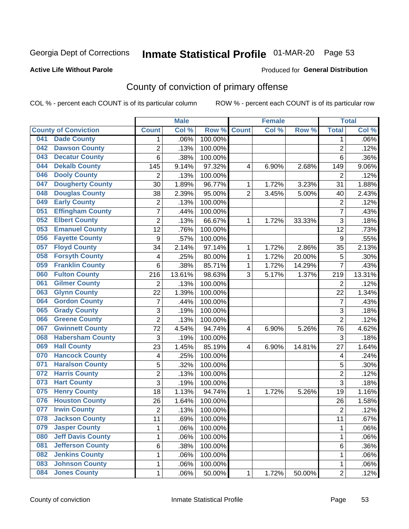## Inmate Statistical Profile 01-MAR-20 Page 53

#### **Active Life Without Parole**

#### Produced for General Distribution

## County of conviction of primary offense

COL % - percent each COUNT is of its particular column

|     |                             |                  | <b>Male</b> |         |                | <b>Female</b> |        |                | <b>Total</b> |
|-----|-----------------------------|------------------|-------------|---------|----------------|---------------|--------|----------------|--------------|
|     | <b>County of Conviction</b> | <b>Count</b>     | Col %       | Row %   | <b>Count</b>   | Col %         | Row %  | <b>Total</b>   | Col %        |
| 041 | <b>Dade County</b>          | 1                | .06%        | 100.00% |                |               |        | 1              | .06%         |
| 042 | <b>Dawson County</b>        | $\overline{2}$   | .13%        | 100.00% |                |               |        | $\overline{2}$ | .12%         |
| 043 | <b>Decatur County</b>       | 6                | .38%        | 100.00% |                |               |        | 6              | .36%         |
| 044 | <b>Dekalb County</b>        | 145              | 9.14%       | 97.32%  | 4              | 6.90%         | 2.68%  | 149            | 9.06%        |
| 046 | <b>Dooly County</b>         | $\overline{2}$   | .13%        | 100.00% |                |               |        | $\overline{2}$ | .12%         |
| 047 | <b>Dougherty County</b>     | 30               | 1.89%       | 96.77%  | 1              | 1.72%         | 3.23%  | 31             | 1.88%        |
| 048 | <b>Douglas County</b>       | 38               | 2.39%       | 95.00%  | $\overline{2}$ | 3.45%         | 5.00%  | 40             | 2.43%        |
| 049 | <b>Early County</b>         | $\mathbf 2$      | .13%        | 100.00% |                |               |        | $\overline{2}$ | .12%         |
| 051 | <b>Effingham County</b>     | 7                | .44%        | 100.00% |                |               |        | $\overline{7}$ | .43%         |
| 052 | <b>Elbert County</b>        | $\overline{2}$   | .13%        | 66.67%  | 1              | 1.72%         | 33.33% | 3              | .18%         |
| 053 | <b>Emanuel County</b>       | 12               | .76%        | 100.00% |                |               |        | 12             | .73%         |
| 056 | <b>Fayette County</b>       | $\boldsymbol{9}$ | .57%        | 100.00% |                |               |        | 9              | .55%         |
| 057 | <b>Floyd County</b>         | 34               | 2.14%       | 97.14%  | $\mathbf{1}$   | 1.72%         | 2.86%  | 35             | 2.13%        |
| 058 | <b>Forsyth County</b>       | 4                | .25%        | 80.00%  | 1              | 1.72%         | 20.00% | 5              | .30%         |
| 059 | <b>Franklin County</b>      | 6                | .38%        | 85.71%  | 1              | 1.72%         | 14.29% | $\overline{7}$ | .43%         |
| 060 | <b>Fulton County</b>        | 216              | 13.61%      | 98.63%  | 3              | 5.17%         | 1.37%  | 219            | 13.31%       |
| 061 | <b>Gilmer County</b>        | $\overline{2}$   | .13%        | 100.00% |                |               |        | $\overline{2}$ | .12%         |
| 063 | <b>Glynn County</b>         | 22               | 1.39%       | 100.00% |                |               |        | 22             | 1.34%        |
| 064 | <b>Gordon County</b>        | 7                | .44%        | 100.00% |                |               |        | $\overline{7}$ | .43%         |
| 065 | <b>Grady County</b>         | 3                | .19%        | 100.00% |                |               |        | 3              | .18%         |
| 066 | <b>Greene County</b>        | $\overline{2}$   | .13%        | 100.00% |                |               |        | $\overline{2}$ | .12%         |
| 067 | <b>Gwinnett County</b>      | 72               | 4.54%       | 94.74%  | 4              | 6.90%         | 5.26%  | 76             | 4.62%        |
| 068 | <b>Habersham County</b>     | 3                | .19%        | 100.00% |                |               |        | 3              | .18%         |
| 069 | <b>Hall County</b>          | 23               | 1.45%       | 85.19%  | 4              | 6.90%         | 14.81% | 27             | 1.64%        |
| 070 | <b>Hancock County</b>       | 4                | .25%        | 100.00% |                |               |        | 4              | .24%         |
| 071 | <b>Haralson County</b>      | 5                | .32%        | 100.00% |                |               |        | 5              | .30%         |
| 072 | <b>Harris County</b>        | $\overline{2}$   | .13%        | 100.00% |                |               |        | $\overline{2}$ | .12%         |
| 073 | <b>Hart County</b>          | 3                | .19%        | 100.00% |                |               |        | $\overline{3}$ | .18%         |
| 075 | <b>Henry County</b>         | 18               | 1.13%       | 94.74%  | $\mathbf{1}$   | 1.72%         | 5.26%  | 19             | 1.16%        |
| 076 | <b>Houston County</b>       | 26               | 1.64%       | 100.00% |                |               |        | 26             | 1.58%        |
| 077 | <b>Irwin County</b>         | $\overline{2}$   | .13%        | 100.00% |                |               |        | $\overline{2}$ | .12%         |
| 078 | <b>Jackson County</b>       | 11               | .69%        | 100.00% |                |               |        | 11             | $.67\%$      |
| 079 | <b>Jasper County</b>        | $\mathbf{1}$     | .06%        | 100.00% |                |               |        | $\mathbf{1}$   | .06%         |
| 080 | <b>Jeff Davis County</b>    | 1                | .06%        | 100.00% |                |               |        | $\mathbf{1}$   | .06%         |
| 081 | <b>Jefferson County</b>     | 6                | .38%        | 100.00% |                |               |        | 6              | .36%         |
| 082 | <b>Jenkins County</b>       | 1                | .06%        | 100.00% |                |               |        | 1              | .06%         |
| 083 | <b>Johnson County</b>       | $\mathbf 1$      | .06%        | 100.00% |                |               |        | 1              | .06%         |
| 084 | <b>Jones County</b>         | $\mathbf 1$      | .06%        | 50.00%  | 1              | 1.72%         | 50.00% | $\overline{2}$ | .12%         |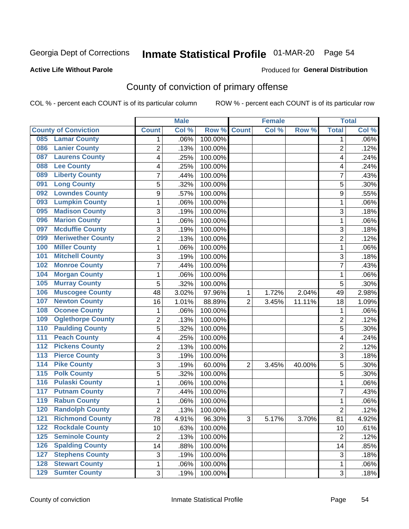## Inmate Statistical Profile 01-MAR-20 Page 54

#### **Active Life Without Parole**

#### Produced for General Distribution

## County of conviction of primary offense

COL % - percent each COUNT is of its particular column

|                                        |                 | <b>Male</b> |         |                | <b>Female</b> |        |                 | <b>Total</b> |
|----------------------------------------|-----------------|-------------|---------|----------------|---------------|--------|-----------------|--------------|
| <b>County of Conviction</b>            | <b>Count</b>    | Col %       | Row %   | <b>Count</b>   | Col %         | Row %  | <b>Total</b>    | Col %        |
| <b>Lamar County</b><br>085             | 1               | .06%        | 100.00% |                |               |        | 1               | $.06\%$      |
| <b>Lanier County</b><br>086            | $\overline{2}$  | .13%        | 100.00% |                |               |        | $\overline{2}$  | .12%         |
| <b>Laurens County</b><br>087           | 4               | .25%        | 100.00% |                |               |        | 4               | .24%         |
| <b>Lee County</b><br>088               | 4               | .25%        | 100.00% |                |               |        | 4               | .24%         |
| <b>Liberty County</b><br>089           | 7               | .44%        | 100.00% |                |               |        | 7               | .43%         |
| <b>Long County</b><br>091              | 5               | .32%        | 100.00% |                |               |        | 5               | .30%         |
| <b>Lowndes County</b><br>092           | 9               | .57%        | 100.00% |                |               |        | 9               | .55%         |
| <b>Lumpkin County</b><br>093           | 1               | .06%        | 100.00% |                |               |        | 1               | .06%         |
| <b>Madison County</b><br>095           | 3               | .19%        | 100.00% |                |               |        | 3               | .18%         |
| <b>Marion County</b><br>096            | 1               | .06%        | 100.00% |                |               |        | 1               | .06%         |
| <b>Mcduffie County</b><br>097          | 3               | .19%        | 100.00% |                |               |        | 3               | .18%         |
| <b>Meriwether County</b><br>099        | $\overline{2}$  | .13%        | 100.00% |                |               |        | $\overline{2}$  | .12%         |
| <b>Miller County</b><br>100            | 1               | .06%        | 100.00% |                |               |        | 1               | .06%         |
| <b>Mitchell County</b><br>101          | 3               | .19%        | 100.00% |                |               |        | 3               | .18%         |
| <b>Monroe County</b><br>102            | 7               | .44%        | 100.00% |                |               |        | $\overline{7}$  | .43%         |
| <b>Morgan County</b><br>104            | 1               | .06%        | 100.00% |                |               |        | 1               | .06%         |
| <b>Murray County</b><br>105            | 5               | .32%        | 100.00% |                |               |        | 5               | .30%         |
| <b>Muscogee County</b><br>106          | 48              | 3.02%       | 97.96%  | 1              | 1.72%         | 2.04%  | 49              | 2.98%        |
| <b>Newton County</b><br>107            | 16              | 1.01%       | 88.89%  | $\overline{2}$ | 3.45%         | 11.11% | 18              | 1.09%        |
| <b>Oconee County</b><br>108            | 1               | .06%        | 100.00% |                |               |        | 1               | .06%         |
| <b>Oglethorpe County</b><br>109        | 2               | .13%        | 100.00% |                |               |        | 2               | .12%         |
| <b>Paulding County</b><br>110          | 5               | .32%        | 100.00% |                |               |        | 5               | .30%         |
| <b>Peach County</b><br>111             | 4               | .25%        | 100.00% |                |               |        | 4               | .24%         |
| <b>Pickens County</b><br>112           | $\overline{2}$  | .13%        | 100.00% |                |               |        | $\overline{2}$  | .12%         |
| <b>Pierce County</b><br>113            | 3               | .19%        | 100.00% |                |               |        | 3               | .18%         |
| <b>Pike County</b><br>$\overline{114}$ | 3               | .19%        | 60.00%  | $\overline{2}$ | 3.45%         | 40.00% | 5               | .30%         |
| <b>Polk County</b><br>$\overline{115}$ | 5               | .32%        | 100.00% |                |               |        | 5               | .30%         |
| <b>Pulaski County</b><br>116           | 1               | .06%        | 100.00% |                |               |        | $\mathbf{1}$    | .06%         |
| <b>Putnam County</b><br>117            | 7               | .44%        | 100.00% |                |               |        | 7               | .43%         |
| <b>Rabun County</b><br>119             | 1               | .06%        | 100.00% |                |               |        | 1               | .06%         |
| <b>Randolph County</b><br>120          | 2               | .13%        | 100.00% |                |               |        | 2               | .12%         |
| <b>121 Richmond County</b>             | $\overline{78}$ | 4.91%       | 96.30%  | 3              | 5.17%         | 3.70%  | $\overline{81}$ | 4.92%        |
| <b>Rockdale County</b><br>122          | 10              | .63%        | 100.00% |                |               |        | 10              | .61%         |
| $125$<br><b>Seminole County</b>        | $\overline{2}$  | .13%        | 100.00% |                |               |        | $\overline{2}$  | .12%         |
| <b>Spalding County</b><br>126          | 14              | .88%        | 100.00% |                |               |        | 14              | .85%         |
| <b>Stephens County</b><br>127          | 3               | .19%        | 100.00% |                |               |        | 3               | .18%         |
| <b>Stewart County</b><br>128           | 1               | .06%        | 100.00% |                |               |        | 1               | .06%         |
| <b>Sumter County</b><br>129            | 3               | .19%        | 100.00% |                |               |        | 3               | .18%         |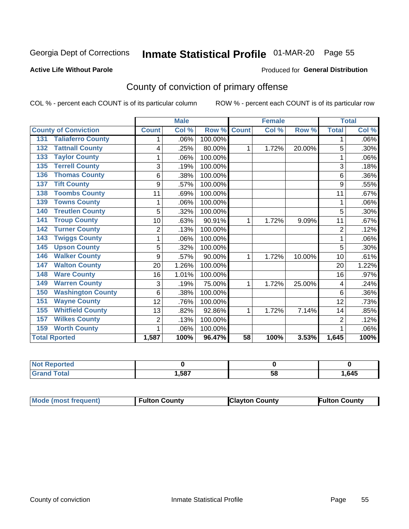## Inmate Statistical Profile 01-MAR-20 Page 55

#### **Active Life Without Parole**

#### Produced for General Distribution

## County of conviction of primary offense

COL % - percent each COUNT is of its particular column

|                                 |                | <b>Male</b> |         |                 | <b>Female</b> |        |                | <b>Total</b> |
|---------------------------------|----------------|-------------|---------|-----------------|---------------|--------|----------------|--------------|
| <b>County of Conviction</b>     | <b>Count</b>   | Col %       | Row %   | <b>Count</b>    | CoI%          | Row %  | <b>Total</b>   | Col %        |
| <b>Taliaferro County</b><br>131 | 1              | .06%        | 100.00% |                 |               |        | 1              | .06%         |
| <b>Tattnall County</b><br>132   | 4              | .25%        | 80.00%  | 1               | 1.72%         | 20.00% | 5              | .30%         |
| <b>Taylor County</b><br>133     |                | .06%        | 100.00% |                 |               |        | 1              | .06%         |
| <b>Terrell County</b><br>135    | 3              | .19%        | 100.00% |                 |               |        | 3              | .18%         |
| <b>Thomas County</b><br>136     | 6              | .38%        | 100.00% |                 |               |        | 6              | .36%         |
| <b>Tift County</b><br>137       | 9              | .57%        | 100.00% |                 |               |        | 9              | .55%         |
| <b>Toombs County</b><br>138     | 11             | .69%        | 100.00% |                 |               |        | 11             | .67%         |
| <b>Towns County</b><br>139      | 1              | .06%        | 100.00% |                 |               |        | 1              | .06%         |
| <b>Treutlen County</b><br>140   | 5              | .32%        | 100.00% |                 |               |        | 5              | .30%         |
| <b>Troup County</b><br>141      | 10             | .63%        | 90.91%  | 1               | 1.72%         | 9.09%  | 11             | .67%         |
| <b>Turner County</b><br>142     | $\overline{2}$ | .13%        | 100.00% |                 |               |        | $\overline{2}$ | .12%         |
| <b>Twiggs County</b><br>143     |                | .06%        | 100.00% |                 |               |        | 1              | .06%         |
| <b>Upson County</b><br>145      | 5              | .32%        | 100.00% |                 |               |        | 5              | .30%         |
| <b>Walker County</b><br>146     | 9              | .57%        | 90.00%  | 1               | 1.72%         | 10.00% | 10             | .61%         |
| <b>Walton County</b><br>147     | 20             | 1.26%       | 100.00% |                 |               |        | 20             | 1.22%        |
| <b>Ware County</b><br>148       | 16             | 1.01%       | 100.00% |                 |               |        | 16             | .97%         |
| <b>Warren County</b><br>149     | 3              | .19%        | 75.00%  | 1               | 1.72%         | 25.00% | 4              | .24%         |
| <b>Washington County</b><br>150 | 6              | .38%        | 100.00% |                 |               |        | 6              | .36%         |
| <b>Wayne County</b><br>151      | 12             | .76%        | 100.00% |                 |               |        | 12             | .73%         |
| <b>Whitfield County</b><br>155  | 13             | .82%        | 92.86%  | 1               | 1.72%         | 7.14%  | 14             | .85%         |
| <b>Wilkes County</b><br>157     | $\overline{2}$ | .13%        | 100.00% |                 |               |        | $\overline{2}$ | .12%         |
| <b>Worth County</b><br>159      | 1              | .06%        | 100.00% |                 |               |        | 1              | .06%         |
| <b>Total Rported</b>            | 1,587          | 100%        | 96.47%  | $\overline{58}$ | 100%          | 3.53%  | 1,645          | 100%         |

| rted<br>тепо |      |    |      |
|--------------|------|----|------|
| υιαι         | .587 | วง | .645 |

| <b>Mode (most frequent)</b> | <b>Fulton County</b> | <b>Clayton County</b> | <b>Fulton County</b> |
|-----------------------------|----------------------|-----------------------|----------------------|
|-----------------------------|----------------------|-----------------------|----------------------|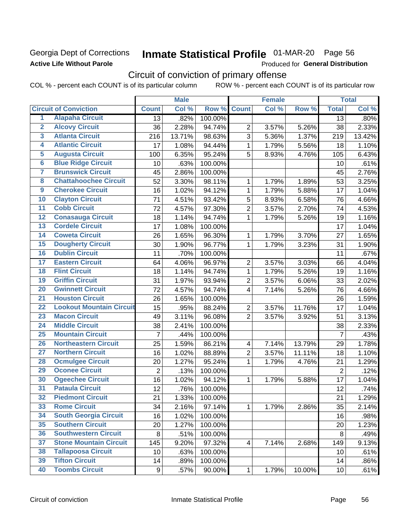### Georgia Dept of Corrections **Active Life Without Parole**

## Inmate Statistical Profile 01-MAR-20 Page 56

Produced for General Distribution

## Circuit of conviction of primary offense

COL % - percent each COUNT is of its particular column ROW % - percent each COUNT is of its particular row

|                         |                                 |                  | <b>Male</b> |         |                          | <b>Female</b> |        |                | <b>Total</b> |
|-------------------------|---------------------------------|------------------|-------------|---------|--------------------------|---------------|--------|----------------|--------------|
|                         | <b>Circuit of Conviction</b>    | <b>Count</b>     | Col %       | Row %   | <b>Count</b>             | Col %         | Row %  | <b>Total</b>   | Col %        |
| 1                       | <b>Alapaha Circuit</b>          | 13               | .82%        | 100.00% |                          |               |        | 13             | .80%         |
| $\overline{2}$          | <b>Alcovy Circuit</b>           | 36               | 2.28%       | 94.74%  | $\overline{2}$           | 3.57%         | 5.26%  | 38             | 2.33%        |
| $\overline{\mathbf{3}}$ | <b>Atlanta Circuit</b>          | 216              | 13.71%      | 98.63%  | 3                        | 5.36%         | 1.37%  | 219            | 13.42%       |
| 4                       | <b>Atlantic Circuit</b>         | 17               | 1.08%       | 94.44%  | 1                        | 1.79%         | 5.56%  | 18             | 1.10%        |
| 5                       | <b>Augusta Circuit</b>          | 100              | 6.35%       | 95.24%  | 5                        | 8.93%         | 4.76%  | 105            | 6.43%        |
| $\overline{\bf{6}}$     | <b>Blue Ridge Circuit</b>       | 10               | .63%        | 100.00% |                          |               |        | 10             | .61%         |
| 7                       | <b>Brunswick Circuit</b>        | 45               | 2.86%       | 100.00% |                          |               |        | 45             | 2.76%        |
| $\overline{\mathbf{8}}$ | <b>Chattahoochee Circuit</b>    | 52               | 3.30%       | 98.11%  | 1                        | 1.79%         | 1.89%  | 53             | 3.25%        |
| $\overline{9}$          | <b>Cherokee Circuit</b>         | 16               | 1.02%       | 94.12%  | $\mathbf{1}$             | 1.79%         | 5.88%  | 17             | 1.04%        |
| 10                      | <b>Clayton Circuit</b>          | 71               | 4.51%       | 93.42%  | 5                        | 8.93%         | 6.58%  | 76             | 4.66%        |
| $\overline{11}$         | <b>Cobb Circuit</b>             | 72               | 4.57%       | 97.30%  | $\overline{2}$           | 3.57%         | 2.70%  | 74             | 4.53%        |
| $\overline{12}$         | <b>Conasauga Circuit</b>        | 18               | 1.14%       | 94.74%  | 1                        | 1.79%         | 5.26%  | 19             | 1.16%        |
| 13                      | <b>Cordele Circuit</b>          | 17               | 1.08%       | 100.00% |                          |               |        | 17             | 1.04%        |
| 14                      | <b>Coweta Circuit</b>           | 26               | 1.65%       | 96.30%  | 1                        | 1.79%         | 3.70%  | 27             | 1.65%        |
| 15                      | <b>Dougherty Circuit</b>        | 30               | 1.90%       | 96.77%  | $\mathbf{1}$             | 1.79%         | 3.23%  | 31             | 1.90%        |
| 16                      | <b>Dublin Circuit</b>           | 11               | .70%        | 100.00% |                          |               |        | 11             | .67%         |
| 17                      | <b>Eastern Circuit</b>          | 64               | 4.06%       | 96.97%  | $\overline{2}$           | 3.57%         | 3.03%  | 66             | 4.04%        |
| $\overline{18}$         | <b>Flint Circuit</b>            | 18               | 1.14%       | 94.74%  | 1                        | 1.79%         | 5.26%  | 19             | 1.16%        |
| 19                      | <b>Griffin Circuit</b>          | 31               | 1.97%       | 93.94%  | $\mathbf 2$              | 3.57%         | 6.06%  | 33             | 2.02%        |
| $\overline{20}$         | <b>Gwinnett Circuit</b>         | 72               | 4.57%       | 94.74%  | 4                        | 7.14%         | 5.26%  | 76             | 4.66%        |
| $\overline{21}$         | <b>Houston Circuit</b>          | 26               | 1.65%       | 100.00% |                          |               |        | 26             | 1.59%        |
| $\overline{22}$         | <b>Lookout Mountain Circuit</b> | 15               | .95%        | 88.24%  | $\overline{2}$           | 3.57%         | 11.76% | 17             | 1.04%        |
| 23                      | <b>Macon Circuit</b>            | 49               | 3.11%       | 96.08%  | $\overline{2}$           | 3.57%         | 3.92%  | 51             | 3.13%        |
| $\overline{24}$         | <b>Middle Circuit</b>           | 38               | 2.41%       | 100.00% |                          |               |        | 38             | 2.33%        |
| $\overline{25}$         | <b>Mountain Circuit</b>         | $\overline{7}$   | .44%        | 100.00% |                          |               |        | $\overline{7}$ | .43%         |
| 26                      | <b>Northeastern Circuit</b>     | 25               | 1.59%       | 86.21%  | $\overline{4}$           | 7.14%         | 13.79% | 29             | 1.78%        |
| $\overline{27}$         | <b>Northern Circuit</b>         | 16               | 1.02%       | 88.89%  | $\overline{2}$           | 3.57%         | 11.11% | 18             | 1.10%        |
| 28                      | <b>Ocmulgee Circuit</b>         | 20               | 1.27%       | 95.24%  | 1                        | 1.79%         | 4.76%  | 21             | 1.29%        |
| 29                      | <b>Oconee Circuit</b>           | $\overline{2}$   | .13%        | 100.00% |                          |               |        | $\overline{2}$ | .12%         |
| 30                      | <b>Ogeechee Circuit</b>         | 16               | 1.02%       | 94.12%  | 1                        | 1.79%         | 5.88%  | 17             | 1.04%        |
| $\overline{31}$         | <b>Pataula Circuit</b>          | 12               | .76%        | 100.00% |                          |               |        | 12             | .74%         |
| 32                      | <b>Piedmont Circuit</b>         | 21               | 1.33%       | 100.00% |                          |               |        | 21             | 1.29%        |
| 33                      | <b>Rome Circuit</b>             | 34               | 2.16%       | 97.14%  | $\mathbf{1}$             | 1.79%         | 2.86%  | 35             | 2.14%        |
| 34                      | <b>South Georgia Circuit</b>    | 16               | 1.02%       | 100.00% |                          |               |        | 16             | .98%         |
| 35                      | <b>Southern Circuit</b>         | 20               | 1.27%       | 100.00% |                          |               |        | 20             | 1.23%        |
| 36                      | <b>Southwestern Circuit</b>     | 8                | .51%        | 100.00% |                          |               |        | 8              | .49%         |
| 37                      | <b>Stone Mountain Circuit</b>   | 145              | 9.20%       | 97.32%  | $\overline{\mathcal{A}}$ | 7.14%         | 2.68%  | 149            | 9.13%        |
| 38                      | <b>Tallapoosa Circuit</b>       | 10               | .63%        | 100.00% |                          |               |        | 10             | .61%         |
| 39                      | <b>Tifton Circuit</b>           | 14               | .89%        | 100.00% |                          |               |        | 14             | .86%         |
| 40                      | <b>Toombs Circuit</b>           | $\boldsymbol{9}$ | .57%        | 90.00%  | 1                        | 1.79%         | 10.00% | 10             | .61%         |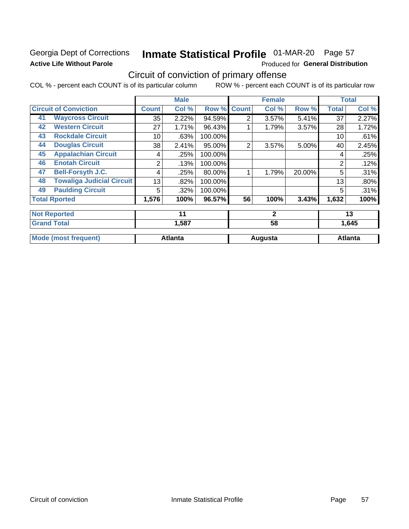### Georgia Dept of Corrections **Active Life Without Parole**

## Inmate Statistical Profile 01-MAR-20 Page 57

Produced for General Distribution

## Circuit of conviction of primary offense

COL % - percent each COUNT is of its particular column ROW % - percent each COUNT is of its particular row

|    |                                  |              | <b>Male</b>    |         |              | <b>Female</b> |        |              | <b>Total</b>   |
|----|----------------------------------|--------------|----------------|---------|--------------|---------------|--------|--------------|----------------|
|    | <b>Circuit of Conviction</b>     | <b>Count</b> | Col %          | Row %   | <b>Count</b> | Col %         | Row %  | <b>Total</b> | Col %          |
| 41 | <b>Waycross Circuit</b>          | 35           | 2.22%          | 94.59%  | 2            | 3.57%         | 5.41%  | 37           | 2.27%          |
| 42 | <b>Western Circuit</b>           | 27           | 1.71%          | 96.43%  |              | 1.79%         | 3.57%  | 28           | 1.72%          |
| 43 | <b>Rockdale Circuit</b>          | 10           | .63%           | 100.00% |              |               |        | 10           | .61%           |
| 44 | <b>Douglas Circuit</b>           | 38           | 2.41%          | 95.00%  | 2            | 3.57%         | 5.00%  | 40           | 2.45%          |
| 45 | <b>Appalachian Circuit</b>       | 4            | .25%           | 100.00% |              |               |        | 4            | .25%           |
| 46 | <b>Enotah Circuit</b>            | 2            | .13%           | 100.00% |              |               |        | 2            | .12%           |
| 47 | <b>Bell-Forsyth J.C.</b>         | 4            | .25%           | 80.00%  |              | 1.79%         | 20.00% | 5            | .31%           |
| 48 | <b>Towaliga Judicial Circuit</b> | 13           | .82%           | 100.00% |              |               |        | 13           | .80%           |
| 49 | <b>Paulding Circuit</b>          | 5            | .32%           | 100.00% |              |               |        | 5            | .31%           |
|    | <b>Total Rported</b>             | 1,576        | 100%           | 96.57%  | 56           | 100%          | 3.43%  | 1,632        | 100%           |
|    | <b>Not Reported</b>              |              | 11             |         |              | $\mathbf{2}$  |        |              | 13             |
|    | <b>Grand Total</b>               |              | 1,587          |         |              | 58            |        |              | 1,645          |
|    | <b>Mode (most frequent)</b>      |              | <b>Atlanta</b> |         |              | Augusta       |        |              | <b>Atlanta</b> |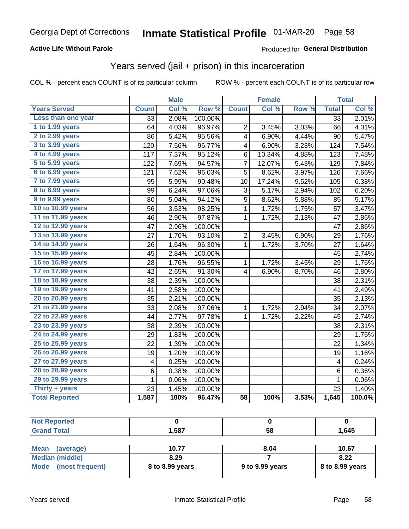#### **Active Life Without Parole**

#### **Produced for General Distribution**

### Years served (jail + prison) in this incarceration

COL % - percent each COUNT is of its particular column

|                        |                 | <b>Male</b> |                  |                         | <b>Female</b> |       |                 | <b>Total</b> |
|------------------------|-----------------|-------------|------------------|-------------------------|---------------|-------|-----------------|--------------|
| <b>Years Served</b>    | <b>Count</b>    | Col %       | Row <sup>%</sup> | <b>Count</b>            | Col %         | Row % | <b>Total</b>    | Col %        |
| Less than one year     | $\overline{33}$ | 2.08%       | 100.00%          |                         |               |       | $\overline{33}$ | 2.01%        |
| 1 to 1.99 years        | 64              | 4.03%       | 96.97%           | $\overline{2}$          | 3.45%         | 3.03% | 66              | 4.01%        |
| 2 to 2.99 years        | 86              | 5.42%       | 95.56%           | 4                       | 6.90%         | 4.44% | 90              | 5.47%        |
| 3 to 3.99 years        | 120             | 7.56%       | 96.77%           | 4                       | 6.90%         | 3.23% | 124             | 7.54%        |
| 4 to 4.99 years        | 117             | 7.37%       | 95.12%           | 6                       | 10.34%        | 4.88% | 123             | 7.48%        |
| 5 to 5.99 years        | 122             | 7.69%       | 94.57%           | 7                       | 12.07%        | 5.43% | 129             | 7.84%        |
| 6 to 6.99 years        | 121             | 7.62%       | 96.03%           | 5                       | 8.62%         | 3.97% | 126             | 7.66%        |
| 7 to 7.99 years        | 95              | 5.99%       | 90.48%           | 10                      | 17.24%        | 9.52% | 105             | 6.38%        |
| <b>8 to 8.99 years</b> | 99              | 6.24%       | 97.06%           | 3                       | 5.17%         | 2.94% | 102             | 6.20%        |
| 9 to 9.99 years        | 80              | 5.04%       | 94.12%           | 5                       | 8.62%         | 5.88% | 85              | 5.17%        |
| 10 to 10.99 years      | 56              | 3.53%       | 98.25%           | $\mathbf 1$             | 1.72%         | 1.75% | 57              | 3.47%        |
| 11 to 11.99 years      | 46              | 2.90%       | 97.87%           | 1                       | 1.72%         | 2.13% | 47              | 2.86%        |
| 12 to 12.99 years      | 47              | 2.96%       | 100.00%          |                         |               |       | 47              | 2.86%        |
| 13 to 13.99 years      | 27              | 1.70%       | 93.10%           | $\overline{c}$          | 3.45%         | 6.90% | 29              | 1.76%        |
| 14 to 14.99 years      | 26              | 1.64%       | 96.30%           | 1                       | 1.72%         | 3.70% | 27              | 1.64%        |
| 15 to 15.99 years      | 45              | 2.84%       | 100.00%          |                         |               |       | 45              | 2.74%        |
| 16 to 16.99 years      | 28              | 1.76%       | 96.55%           | 1                       | 1.72%         | 3.45% | 29              | 1.76%        |
| 17 to 17.99 years      | 42              | 2.65%       | 91.30%           | $\overline{\mathbf{4}}$ | 6.90%         | 8.70% | 46              | 2.80%        |
| 18 to 18.99 years      | 38              | 2.39%       | 100.00%          |                         |               |       | 38              | 2.31%        |
| 19 to 19.99 years      | 41              | 2.58%       | 100.00%          |                         |               |       | 41              | 2.49%        |
| 20 to 20.99 years      | 35              | 2.21%       | 100.00%          |                         |               |       | 35              | 2.13%        |
| 21 to 21.99 years      | 33              | 2.08%       | 97.06%           | 1                       | 1.72%         | 2.94% | 34              | 2.07%        |
| 22 to 22.99 years      | 44              | 2.77%       | 97.78%           | 1                       | 1.72%         | 2.22% | 45              | 2.74%        |
| 23 to 23.99 years      | 38              | 2.39%       | 100.00%          |                         |               |       | 38              | 2.31%        |
| 24 to 24.99 years      | 29              | 1.83%       | 100.00%          |                         |               |       | 29              | 1.76%        |
| 25 to 25.99 years      | 22              | 1.39%       | 100.00%          |                         |               |       | 22              | 1.34%        |
| 26 to 26.99 years      | 19              | 1.20%       | 100.00%          |                         |               |       | 19              | 1.16%        |
| 27 to 27.99 years      | 4               | 0.25%       | 100.00%          |                         |               |       | 4               | 0.24%        |
| 28 to 28.99 years      | 6               | 0.38%       | 100.00%          |                         |               |       | 6               | 0.36%        |
| 29 to 29.99 years      | 1               | 0.06%       | 100.00%          |                         |               |       | $\mathbf{1}$    | 0.06%        |
| Thirty + years         | 23              | 1.45%       | 100.00%          |                         |               |       | 23              | 1.40%        |
| <b>Total Reported</b>  | 1,587           | 100%        | 96.47%           | $\overline{58}$         | 100%          | 3.53% | 1,645           | 100.0%       |

| <b>rted</b><br>- IN A |      |    |      |
|-----------------------|------|----|------|
| <b>Total</b>          | ,587 | 58 | .645 |
|                       |      |    |      |

| <b>Mean</b><br>(average) | 10.77           | 8.04            | 10.67             |
|--------------------------|-----------------|-----------------|-------------------|
| Median (middle)          | 8.29            |                 | 8.22              |
| Mode (most frequent)     | 8 to 8.99 years | 9 to 9.99 years | $8$ to 8.99 years |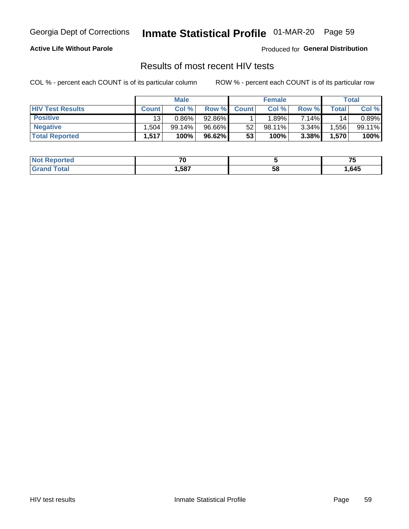## Inmate Statistical Profile 01-MAR-20 Page 59

#### **Active Life Without Parole**

Produced for General Distribution

### Results of most recent HIV tests

COL % - percent each COUNT is of its particular column

|                         | <b>Male</b>     |           |        | <b>Female</b> |           |          | Total |        |
|-------------------------|-----------------|-----------|--------|---------------|-----------|----------|-------|--------|
| <b>HIV Test Results</b> | <b>Count</b>    | Col %     | Row %I | <b>Count</b>  | Col %     | Row %    | Total | Col %  |
| <b>Positive</b>         | 13 <sub>1</sub> | $0.86\%$  | 92.86% |               | .89%      | 7.14%    | 14    | 0.89%  |
| <b>Negative</b>         | .504            | $99.14\%$ | 96.66% | 52            | $98.11\%$ | $3.34\%$ | .556  | 99.11% |
| <b>Total Reported</b>   | .517            | 100%      | 96.62% | 53            | 100%      | 3.38%    | 1,570 | 100%   |

| <b>Not Reported</b> | - -  |    | --   |
|---------------------|------|----|------|
| <b>Total</b>        | .587 | วซ | .645 |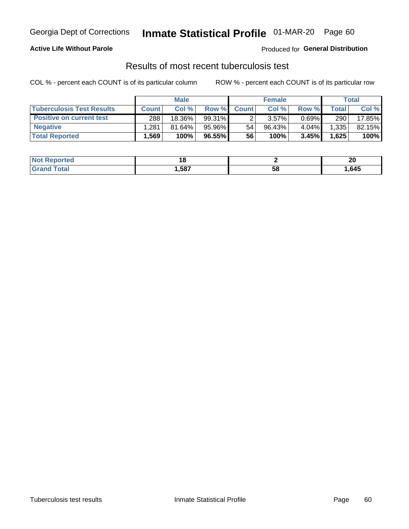## Georgia Dept of Corrections **Inmate Statistical Profile** 01-MAR-20 Page 60

#### **Active Life Without Parole**

Produced for **General Distribution**

### Results of most recent tuberculosis test

COL % - percent each COUNT is of its particular column ROW % - percent each COUNT is of its particular row

|                                  | <b>Male</b>  |        |           | <b>Female</b> |          |          | Total |        |
|----------------------------------|--------------|--------|-----------|---------------|----------|----------|-------|--------|
| <b>Tuberculosis Test Results</b> | <b>Count</b> | Col%   | Row %     | <b>Count</b>  | Col%     | Row %    | Total | Col %  |
| <b>Positive on current test</b>  | 288          | 18.36% | $99.31\%$ |               | $3.57\%$ | $0.69\%$ | 290   | 17.85% |
| <b>Negative</b>                  | .281         | 81.64% | 95.96%    | 54            | 96.43%   | 4.04%    | 1,335 | 82.15% |
| <b>Total Reported</b>            | .569         | 100%   | 96.55%    | 56            | 100%     | 3.45%    | 1,625 | 100%   |

| <b>Not Reported</b> | . .  |    | ິ<br>Δu |
|---------------------|------|----|---------|
| <b>Total</b>        | .587 | 58 | ,645    |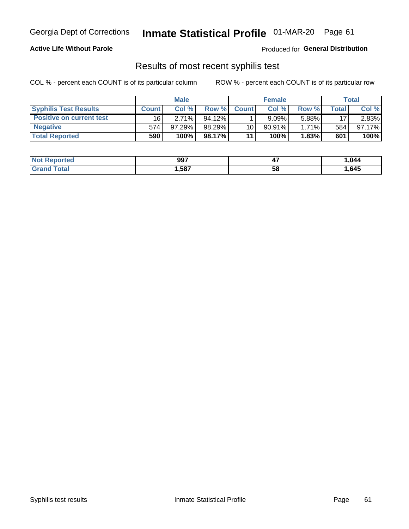## Georgia Dept of Corrections **Inmate Statistical Profile** 01-MAR-20 Page 61

#### **Active Life Without Parole**

Produced for **General Distribution**

### Results of most recent syphilis test

COL % - percent each COUNT is of its particular column ROW % - percent each COUNT is of its particular row

|                                 | <b>Male</b>  |           |           | <b>Female</b> |           |          | Total |        |
|---------------------------------|--------------|-----------|-----------|---------------|-----------|----------|-------|--------|
| <b>Syphilis Test Results</b>    | <b>Count</b> | Col%      | Row %     | <b>Count</b>  | Col %     | Row %    | Total | Col %  |
| <b>Positive on current test</b> | 16           | $2.71\%$  | $94.12\%$ |               | 9.09%     | 5.88%    | 17    | 2.83%  |
| <b>Negative</b>                 | 574          | $97.29\%$ | 98.29%    | 10            | $90.91\%$ | $1.71\%$ | 584   | 97.17% |
| <b>Total Reported</b>           | 590          | 100%      | 98.17%    | 11            | 100%      | $1.83\%$ | 601   | 100%   |

| <b>Not Reported</b>     | 997  | <br>- 1 | .044 |
|-------------------------|------|---------|------|
| <b>Total</b><br>' Grand | ,587 | 58      | ,645 |